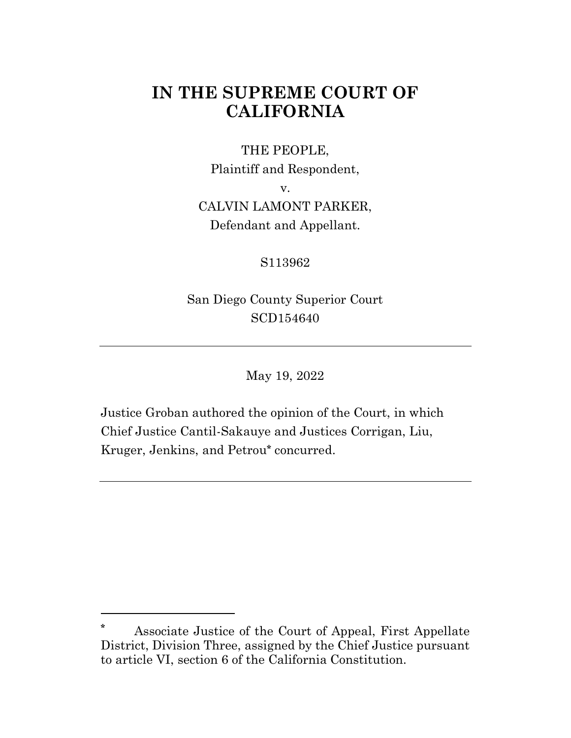# **IN THE SUPREME COURT OF CALIFORNIA**

### THE PEOPLE,

Plaintiff and Respondent,

v.

## CALVIN LAMONT PARKER, Defendant and Appellant.

## S113962

San Diego County Superior Court SCD154640

May 19, 2022

Justice Groban authored the opinion of the Court, in which Chief Justice Cantil-Sakauye and Justices Corrigan, Liu, Kruger, Jenkins, and Petrou**\*** concurred.

**<sup>\*</sup>** Associate Justice of the Court of Appeal, First Appellate District, Division Three, assigned by the Chief Justice pursuant to article VI, section 6 of the California Constitution.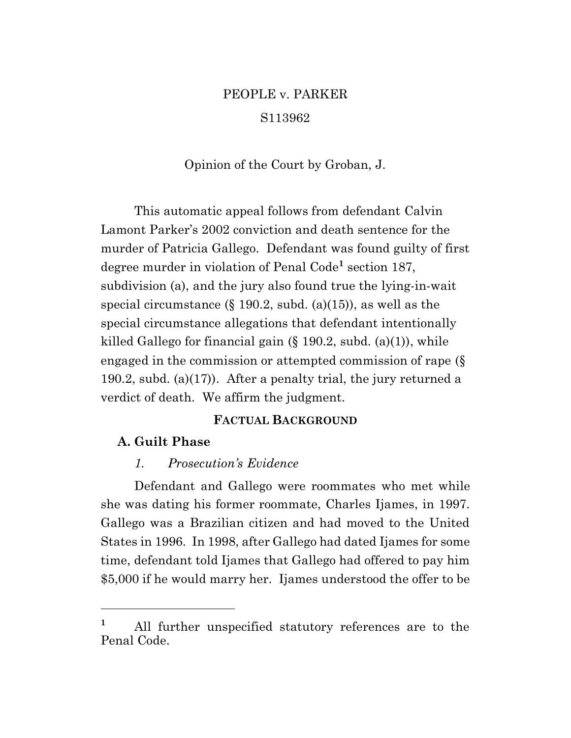# PEOPLE v. PARKER S113962

Opinion of the Court by Groban, J.

This automatic appeal follows from defendant Calvin Lamont Parker's 2002 conviction and death sentence for the murder of Patricia Gallego. Defendant was found guilty of first degree murder in violation of Penal Code**<sup>1</sup>** section 187, subdivision (a), and the jury also found true the lying-in-wait special circumstance  $(\S 190.2, \text{subd. (a)}(15))$ , as well as the special circumstance allegations that defendant intentionally killed Gallego for financial gain (§ 190.2, subd. (a)(1)), while engaged in the commission or attempted commission of rape (§ 190.2, subd. (a)(17)). After a penalty trial, the jury returned a verdict of death. We affirm the judgment.

#### **FACTUAL BACKGROUND**

#### **A. Guilt Phase**

#### *1. Prosecution's Evidence*

Defendant and Gallego were roommates who met while she was dating his former roommate, Charles Ijames, in 1997. Gallego was a Brazilian citizen and had moved to the United States in 1996. In 1998, after Gallego had dated Ijames for some time, defendant told Ijames that Gallego had offered to pay him \$5,000 if he would marry her. Ijames understood the offer to be

**<sup>1</sup>** All further unspecified statutory references are to the Penal Code.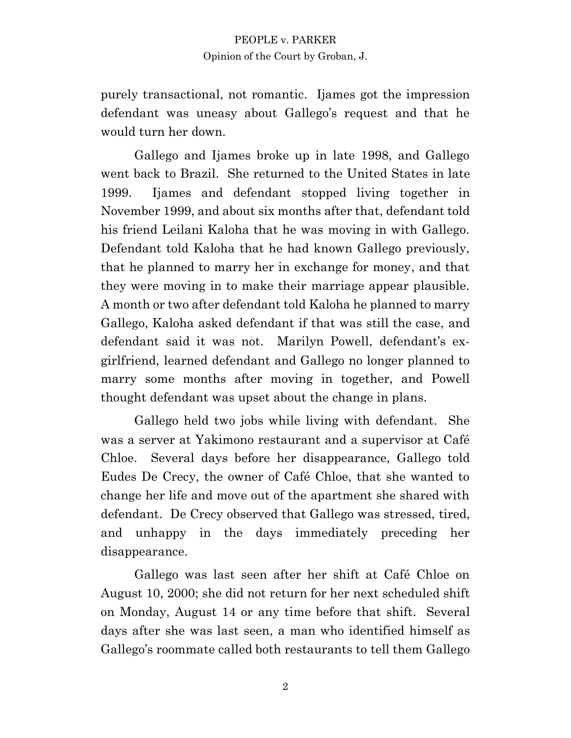purely transactional, not romantic. Ijames got the impression defendant was uneasy about Gallego's request and that he would turn her down.

Gallego and Ijames broke up in late 1998, and Gallego went back to Brazil. She returned to the United States in late 1999. Ijames and defendant stopped living together in November 1999, and about six months after that, defendant told his friend Leilani Kaloha that he was moving in with Gallego. Defendant told Kaloha that he had known Gallego previously, that he planned to marry her in exchange for money, and that they were moving in to make their marriage appear plausible. A month or two after defendant told Kaloha he planned to marry Gallego, Kaloha asked defendant if that was still the case, and defendant said it was not. Marilyn Powell, defendant's exgirlfriend, learned defendant and Gallego no longer planned to marry some months after moving in together, and Powell thought defendant was upset about the change in plans.

Gallego held two jobs while living with defendant. She was a server at Yakimono restaurant and a supervisor at Café Chloe. Several days before her disappearance, Gallego told Eudes De Crecy, the owner of Café Chloe, that she wanted to change her life and move out of the apartment she shared with defendant. De Crecy observed that Gallego was stressed, tired, and unhappy in the days immediately preceding her disappearance.

Gallego was last seen after her shift at Café Chloe on August 10, 2000; she did not return for her next scheduled shift on Monday, August 14 or any time before that shift. Several days after she was last seen, a man who identified himself as Gallego's roommate called both restaurants to tell them Gallego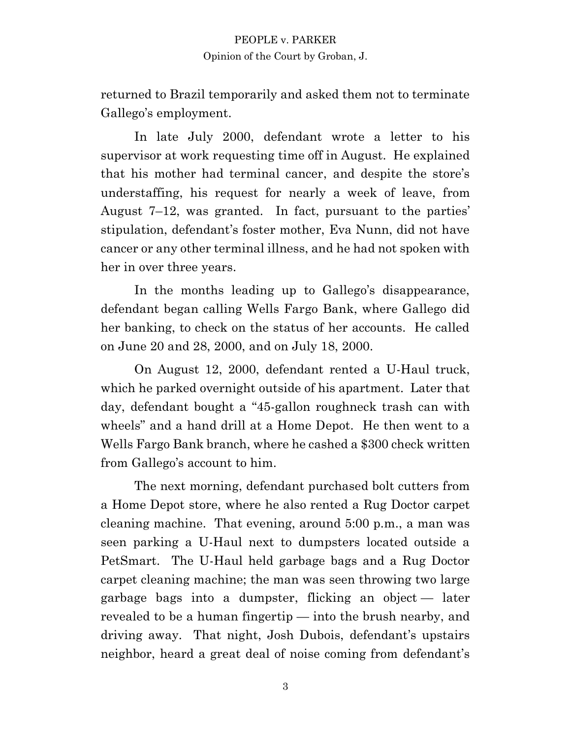returned to Brazil temporarily and asked them not to terminate Gallego's employment.

In late July 2000, defendant wrote a letter to his supervisor at work requesting time off in August. He explained that his mother had terminal cancer, and despite the store's understaffing, his request for nearly a week of leave, from August 7–12, was granted. In fact, pursuant to the parties' stipulation, defendant's foster mother, Eva Nunn, did not have cancer or any other terminal illness, and he had not spoken with her in over three years.

In the months leading up to Gallego's disappearance, defendant began calling Wells Fargo Bank, where Gallego did her banking, to check on the status of her accounts. He called on June 20 and 28, 2000, and on July 18, 2000.

On August 12, 2000, defendant rented a U-Haul truck, which he parked overnight outside of his apartment. Later that day, defendant bought a "45-gallon roughneck trash can with wheels" and a hand drill at a Home Depot. He then went to a Wells Fargo Bank branch, where he cashed a \$300 check written from Gallego's account to him.

The next morning, defendant purchased bolt cutters from a Home Depot store, where he also rented a Rug Doctor carpet cleaning machine. That evening, around 5:00 p.m., a man was seen parking a U-Haul next to dumpsters located outside a PetSmart. The U-Haul held garbage bags and a Rug Doctor carpet cleaning machine; the man was seen throwing two large garbage bags into a dumpster, flicking an object — later revealed to be a human fingertip — into the brush nearby, and driving away. That night, Josh Dubois, defendant's upstairs neighbor, heard a great deal of noise coming from defendant's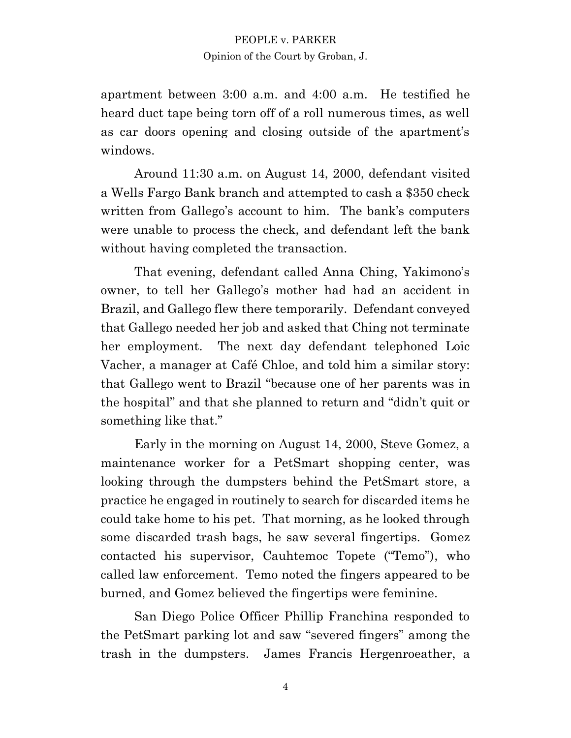apartment between 3:00 a.m. and 4:00 a.m. He testified he heard duct tape being torn off of a roll numerous times, as well as car doors opening and closing outside of the apartment's windows.

Around 11:30 a.m. on August 14, 2000, defendant visited a Wells Fargo Bank branch and attempted to cash a \$350 check written from Gallego's account to him. The bank's computers were unable to process the check, and defendant left the bank without having completed the transaction.

That evening, defendant called Anna Ching, Yakimono's owner, to tell her Gallego's mother had had an accident in Brazil, and Gallego flew there temporarily. Defendant conveyed that Gallego needed her job and asked that Ching not terminate her employment. The next day defendant telephoned Loic Vacher, a manager at Café Chloe, and told him a similar story: that Gallego went to Brazil "because one of her parents was in the hospital" and that she planned to return and "didn't quit or something like that."

Early in the morning on August 14, 2000, Steve Gomez, a maintenance worker for a PetSmart shopping center, was looking through the dumpsters behind the PetSmart store, a practice he engaged in routinely to search for discarded items he could take home to his pet. That morning, as he looked through some discarded trash bags, he saw several fingertips. Gomez contacted his supervisor, Cauhtemoc Topete ("Temo"), who called law enforcement. Temo noted the fingers appeared to be burned, and Gomez believed the fingertips were feminine.

San Diego Police Officer Phillip Franchina responded to the PetSmart parking lot and saw "severed fingers" among the trash in the dumpsters. James Francis Hergenroeather, a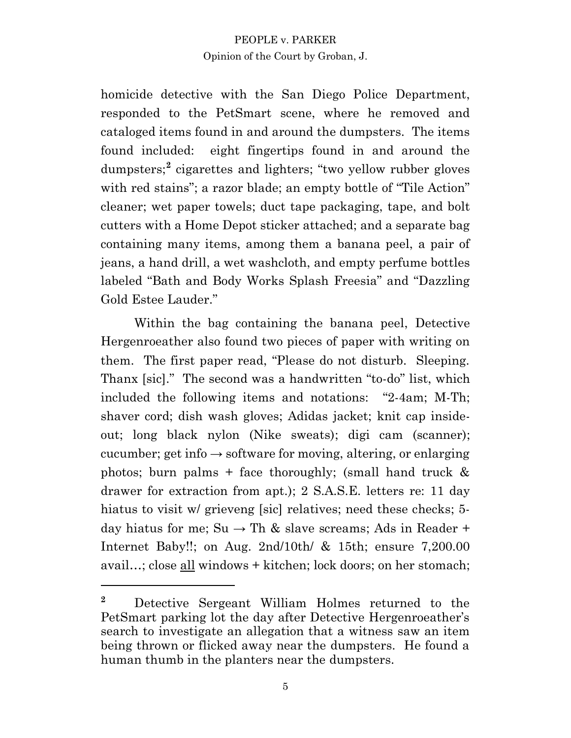homicide detective with the San Diego Police Department, responded to the PetSmart scene, where he removed and cataloged items found in and around the dumpsters. The items found included: eight fingertips found in and around the dumpsters;<sup>2</sup> cigarettes and lighters; "two yellow rubber gloves with red stains"; a razor blade; an empty bottle of "Tile Action" cleaner; wet paper towels; duct tape packaging, tape, and bolt cutters with a Home Depot sticker attached; and a separate bag containing many items, among them a banana peel, a pair of jeans, a hand drill, a wet washcloth, and empty perfume bottles labeled "Bath and Body Works Splash Freesia" and "Dazzling Gold Estee Lauder."

Within the bag containing the banana peel, Detective Hergenroeather also found two pieces of paper with writing on them. The first paper read, "Please do not disturb. Sleeping. Thanx [sic]." The second was a handwritten "to-do" list, which included the following items and notations: "2-4am; M-Th; shaver cord; dish wash gloves; Adidas jacket; knit cap insideout; long black nylon (Nike sweats); digi cam (scanner); cucumber; get info  $\rightarrow$  software for moving, altering, or enlarging photos; burn palms + face thoroughly; (small hand truck  $\&$ drawer for extraction from apt.); 2 S.A.S.E. letters re: 11 day hiatus to visit w/ grieveng [sic] relatives; need these checks; 5day hiatus for me; Su  $\rightarrow$  Th & slave screams; Ads in Reader + Internet Baby!!; on Aug. 2nd/10th/ & 15th; ensure 7,200.00 avail…; close all windows + kitchen; lock doors; on her stomach;

**<sup>2</sup>** Detective Sergeant William Holmes returned to the PetSmart parking lot the day after Detective Hergenroeather's search to investigate an allegation that a witness saw an item being thrown or flicked away near the dumpsters. He found a human thumb in the planters near the dumpsters.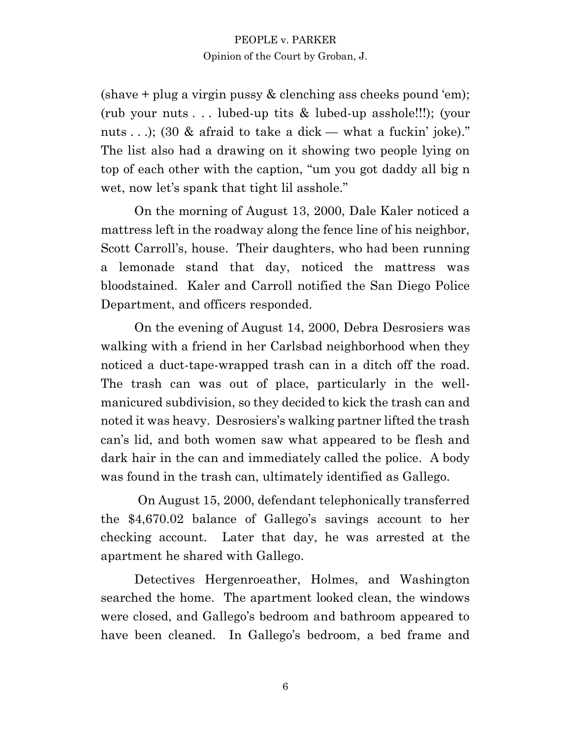$(\text{shape} + \text{plug} \text{a virgin push} \& \text{clenching} \text{ass checks pound 'em})$ ; (rub your nuts . . . lubed-up tits & lubed-up asshole!!!); (your nuts . . .); (30 & afraid to take a dick — what a fuckin' joke)." The list also had a drawing on it showing two people lying on top of each other with the caption, "um you got daddy all big n wet, now let's spank that tight lil asshole."

On the morning of August 13, 2000, Dale Kaler noticed a mattress left in the roadway along the fence line of his neighbor, Scott Carroll's, house. Their daughters, who had been running a lemonade stand that day, noticed the mattress was bloodstained. Kaler and Carroll notified the San Diego Police Department, and officers responded.

On the evening of August 14, 2000, Debra Desrosiers was walking with a friend in her Carlsbad neighborhood when they noticed a duct-tape-wrapped trash can in a ditch off the road. The trash can was out of place, particularly in the wellmanicured subdivision, so they decided to kick the trash can and noted it was heavy. Desrosiers's walking partner lifted the trash can's lid, and both women saw what appeared to be flesh and dark hair in the can and immediately called the police. A body was found in the trash can, ultimately identified as Gallego.

On August 15, 2000, defendant telephonically transferred the \$4,670.02 balance of Gallego's savings account to her checking account. Later that day, he was arrested at the apartment he shared with Gallego.

Detectives Hergenroeather, Holmes, and Washington searched the home. The apartment looked clean, the windows were closed, and Gallego's bedroom and bathroom appeared to have been cleaned. In Gallego's bedroom, a bed frame and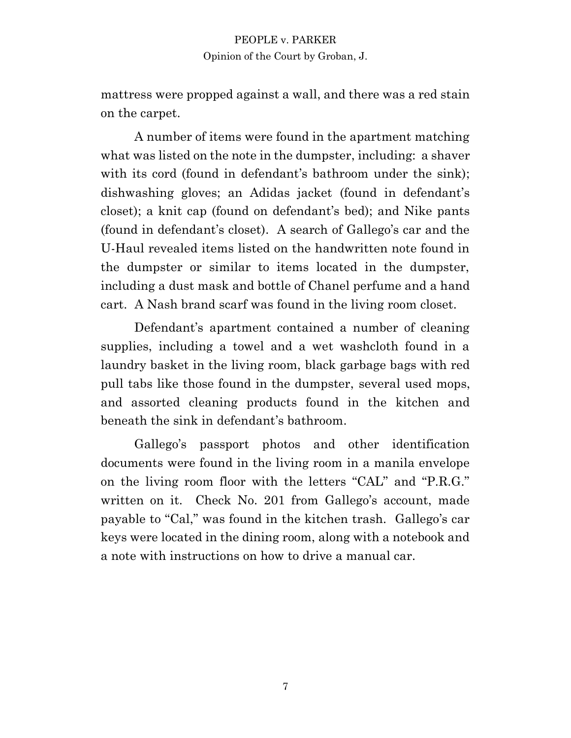mattress were propped against a wall, and there was a red stain on the carpet.

A number of items were found in the apartment matching what was listed on the note in the dumpster, including: a shaver with its cord (found in defendant's bathroom under the sink); dishwashing gloves; an Adidas jacket (found in defendant's closet); a knit cap (found on defendant's bed); and Nike pants (found in defendant's closet). A search of Gallego's car and the U-Haul revealed items listed on the handwritten note found in the dumpster or similar to items located in the dumpster, including a dust mask and bottle of Chanel perfume and a hand cart. A Nash brand scarf was found in the living room closet.

Defendant's apartment contained a number of cleaning supplies, including a towel and a wet washcloth found in a laundry basket in the living room, black garbage bags with red pull tabs like those found in the dumpster, several used mops, and assorted cleaning products found in the kitchen and beneath the sink in defendant's bathroom.

Gallego's passport photos and other identification documents were found in the living room in a manila envelope on the living room floor with the letters "CAL" and "P.R.G." written on it. Check No. 201 from Gallego's account, made payable to "Cal," was found in the kitchen trash. Gallego's car keys were located in the dining room, along with a notebook and a note with instructions on how to drive a manual car.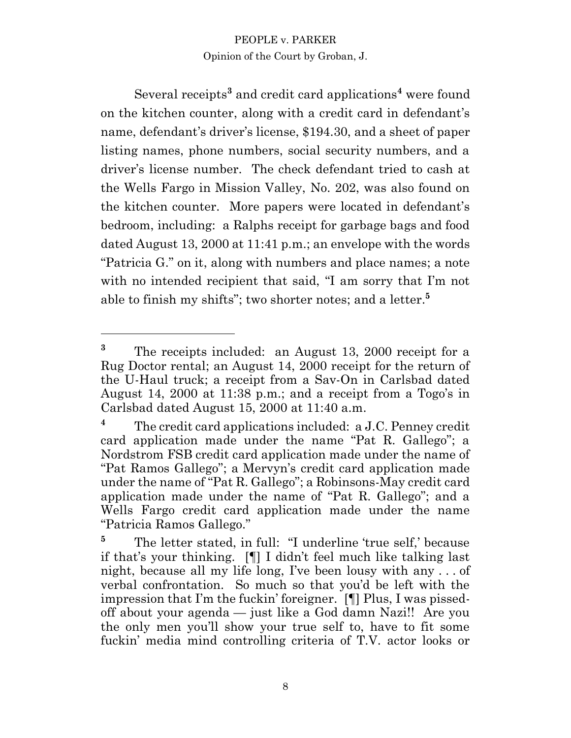Several receipts**<sup>3</sup>** and credit card applications**<sup>4</sup>** were found on the kitchen counter, along with a credit card in defendant's name, defendant's driver's license, \$194.30, and a sheet of paper listing names, phone numbers, social security numbers, and a driver's license number. The check defendant tried to cash at the Wells Fargo in Mission Valley, No. 202, was also found on the kitchen counter. More papers were located in defendant's bedroom, including: a Ralphs receipt for garbage bags and food dated August 13, 2000 at 11:41 p.m.; an envelope with the words "Patricia G." on it, along with numbers and place names; a note with no intended recipient that said, "I am sorry that I'm not able to finish my shifts"; two shorter notes; and a letter. **5**

**<sup>3</sup>** The receipts included: an August 13, 2000 receipt for a Rug Doctor rental; an August 14, 2000 receipt for the return of the U-Haul truck; a receipt from a Sav-On in Carlsbad dated August 14, 2000 at 11:38 p.m.; and a receipt from a Togo's in Carlsbad dated August 15, 2000 at 11:40 a.m.

**<sup>4</sup>** The credit card applications included: a J.C. Penney credit card application made under the name "Pat R. Gallego"; a Nordstrom FSB credit card application made under the name of "Pat Ramos Gallego"; a Mervyn's credit card application made under the name of "Pat R. Gallego"; a Robinsons-May credit card application made under the name of "Pat R. Gallego"; and a Wells Fargo credit card application made under the name "Patricia Ramos Gallego."

<sup>&</sup>lt;sup>5</sup> The letter stated, in full: "I underline 'true self,' because if that's your thinking. [¶] I didn't feel much like talking last night, because all my life long, I've been lousy with any . . . of verbal confrontation. So much so that you'd be left with the impression that I'm the fuckin' foreigner. [¶] Plus, I was pissedoff about your agenda — just like a God damn Nazi!! Are you the only men you'll show your true self to, have to fit some fuckin' media mind controlling criteria of T.V. actor looks or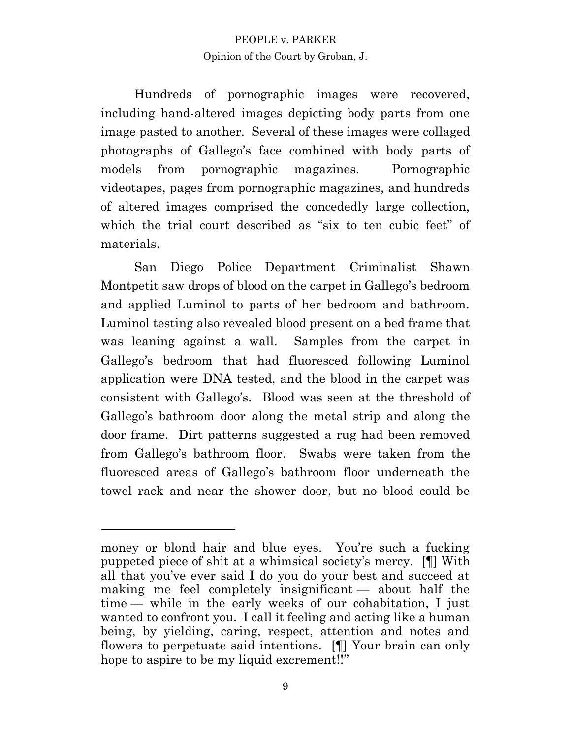Hundreds of pornographic images were recovered, including hand-altered images depicting body parts from one image pasted to another. Several of these images were collaged photographs of Gallego's face combined with body parts of models from pornographic magazines. Pornographic videotapes, pages from pornographic magazines, and hundreds of altered images comprised the concededly large collection, which the trial court described as "six to ten cubic feet" of materials.

San Diego Police Department Criminalist Shawn Montpetit saw drops of blood on the carpet in Gallego's bedroom and applied Luminol to parts of her bedroom and bathroom. Luminol testing also revealed blood present on a bed frame that was leaning against a wall. Samples from the carpet in Gallego's bedroom that had fluoresced following Luminol application were DNA tested, and the blood in the carpet was consistent with Gallego's. Blood was seen at the threshold of Gallego's bathroom door along the metal strip and along the door frame. Dirt patterns suggested a rug had been removed from Gallego's bathroom floor. Swabs were taken from the fluoresced areas of Gallego's bathroom floor underneath the towel rack and near the shower door, but no blood could be

money or blond hair and blue eyes. You're such a fucking puppeted piece of shit at a whimsical society's mercy. [¶] With all that you've ever said I do you do your best and succeed at making me feel completely insignificant — about half the time — while in the early weeks of our cohabitation, I just wanted to confront you. I call it feeling and acting like a human being, by yielding, caring, respect, attention and notes and flowers to perpetuate said intentions. [¶] Your brain can only hope to aspire to be my liquid excrement!!"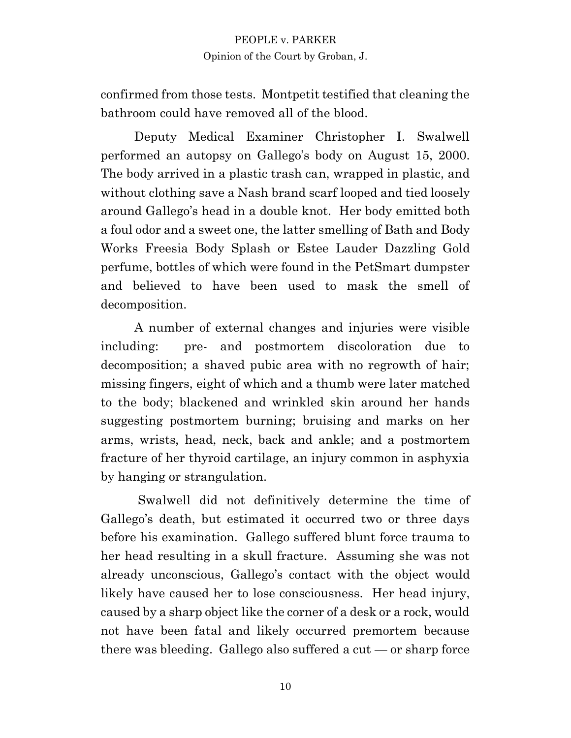confirmed from those tests. Montpetit testified that cleaning the bathroom could have removed all of the blood.

Deputy Medical Examiner Christopher I. Swalwell performed an autopsy on Gallego's body on August 15, 2000. The body arrived in a plastic trash can, wrapped in plastic, and without clothing save a Nash brand scarf looped and tied loosely around Gallego's head in a double knot. Her body emitted both a foul odor and a sweet one, the latter smelling of Bath and Body Works Freesia Body Splash or Estee Lauder Dazzling Gold perfume, bottles of which were found in the PetSmart dumpster and believed to have been used to mask the smell of decomposition.

A number of external changes and injuries were visible including: pre- and postmortem discoloration due to decomposition; a shaved pubic area with no regrowth of hair; missing fingers, eight of which and a thumb were later matched to the body; blackened and wrinkled skin around her hands suggesting postmortem burning; bruising and marks on her arms, wrists, head, neck, back and ankle; and a postmortem fracture of her thyroid cartilage, an injury common in asphyxia by hanging or strangulation.

Swalwell did not definitively determine the time of Gallego's death, but estimated it occurred two or three days before his examination. Gallego suffered blunt force trauma to her head resulting in a skull fracture. Assuming she was not already unconscious, Gallego's contact with the object would likely have caused her to lose consciousness. Her head injury, caused by a sharp object like the corner of a desk or a rock, would not have been fatal and likely occurred premortem because there was bleeding. Gallego also suffered a  $cut - or$  sharp force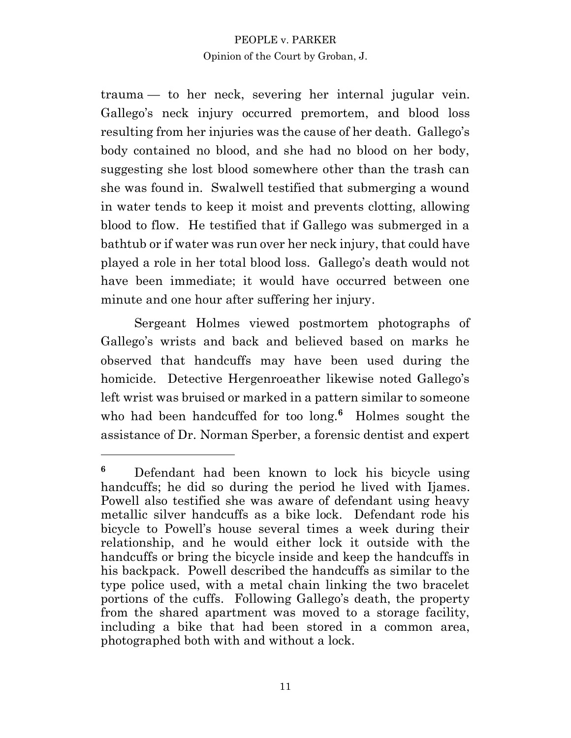trauma — to her neck, severing her internal jugular vein. Gallego's neck injury occurred premortem, and blood loss resulting from her injuries was the cause of her death. Gallego's body contained no blood, and she had no blood on her body, suggesting she lost blood somewhere other than the trash can she was found in. Swalwell testified that submerging a wound in water tends to keep it moist and prevents clotting, allowing blood to flow. He testified that if Gallego was submerged in a bathtub or if water was run over her neck injury, that could have played a role in her total blood loss. Gallego's death would not have been immediate; it would have occurred between one minute and one hour after suffering her injury.

Sergeant Holmes viewed postmortem photographs of Gallego's wrists and back and believed based on marks he observed that handcuffs may have been used during the homicide. Detective Hergenroeather likewise noted Gallego's left wrist was bruised or marked in a pattern similar to someone who had been handcuffed for too long.<sup>6</sup> Holmes sought the assistance of Dr. Norman Sperber, a forensic dentist and expert

**<sup>6</sup>** Defendant had been known to lock his bicycle using handcuffs; he did so during the period he lived with Ijames. Powell also testified she was aware of defendant using heavy metallic silver handcuffs as a bike lock. Defendant rode his bicycle to Powell's house several times a week during their relationship, and he would either lock it outside with the handcuffs or bring the bicycle inside and keep the handcuffs in his backpack. Powell described the handcuffs as similar to the type police used, with a metal chain linking the two bracelet portions of the cuffs. Following Gallego's death, the property from the shared apartment was moved to a storage facility, including a bike that had been stored in a common area, photographed both with and without a lock.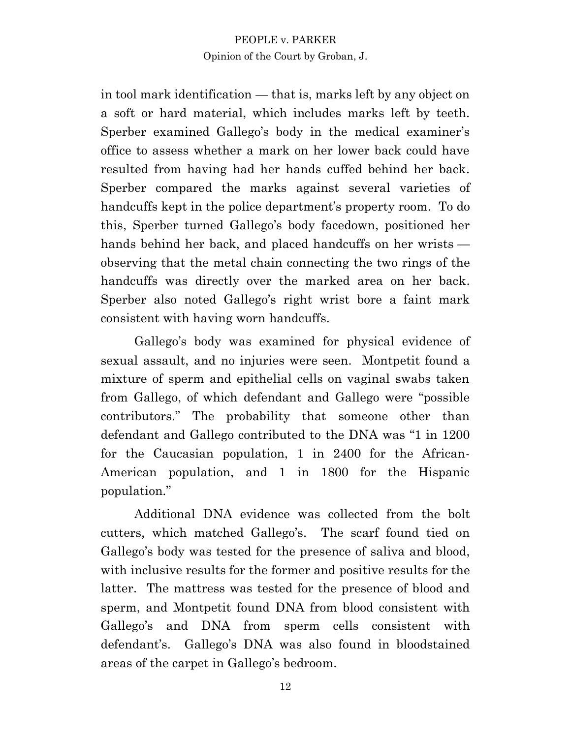in tool mark identification — that is, marks left by any object on a soft or hard material, which includes marks left by teeth. Sperber examined Gallego's body in the medical examiner's office to assess whether a mark on her lower back could have resulted from having had her hands cuffed behind her back. Sperber compared the marks against several varieties of handcuffs kept in the police department's property room. To do this, Sperber turned Gallego's body facedown, positioned her hands behind her back, and placed handcuffs on her wrists observing that the metal chain connecting the two rings of the handcuffs was directly over the marked area on her back. Sperber also noted Gallego's right wrist bore a faint mark consistent with having worn handcuffs.

Gallego's body was examined for physical evidence of sexual assault, and no injuries were seen. Montpetit found a mixture of sperm and epithelial cells on vaginal swabs taken from Gallego, of which defendant and Gallego were "possible contributors." The probability that someone other than defendant and Gallego contributed to the DNA was "1 in 1200 for the Caucasian population, 1 in 2400 for the African-American population, and 1 in 1800 for the Hispanic population."

Additional DNA evidence was collected from the bolt cutters, which matched Gallego's. The scarf found tied on Gallego's body was tested for the presence of saliva and blood, with inclusive results for the former and positive results for the latter. The mattress was tested for the presence of blood and sperm, and Montpetit found DNA from blood consistent with Gallego's and DNA from sperm cells consistent with defendant's. Gallego's DNA was also found in bloodstained areas of the carpet in Gallego's bedroom.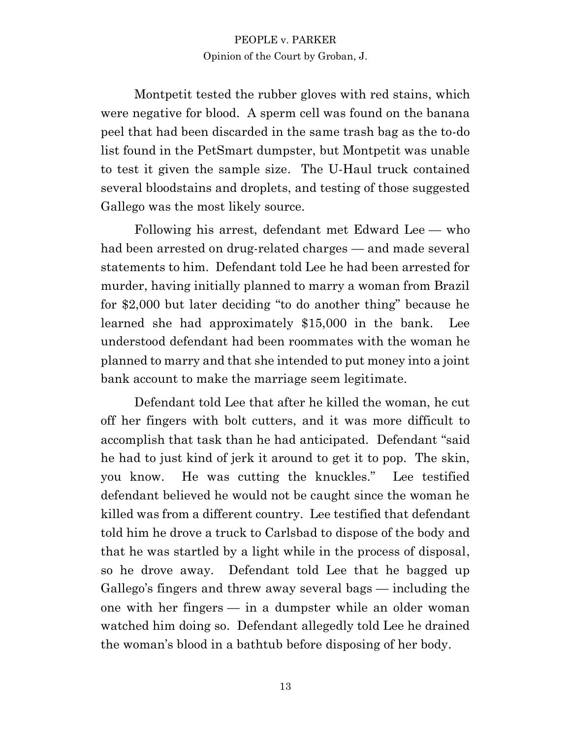Montpetit tested the rubber gloves with red stains, which were negative for blood. A sperm cell was found on the banana peel that had been discarded in the same trash bag as the to-do list found in the PetSmart dumpster, but Montpetit was unable to test it given the sample size. The U-Haul truck contained several bloodstains and droplets, and testing of those suggested Gallego was the most likely source.

Following his arrest, defendant met Edward Lee — who had been arrested on drug-related charges — and made several statements to him. Defendant told Lee he had been arrested for murder, having initially planned to marry a woman from Brazil for \$2,000 but later deciding "to do another thing" because he learned she had approximately \$15,000 in the bank. Lee understood defendant had been roommates with the woman he planned to marry and that she intended to put money into a joint bank account to make the marriage seem legitimate.

Defendant told Lee that after he killed the woman, he cut off her fingers with bolt cutters, and it was more difficult to accomplish that task than he had anticipated. Defendant "said he had to just kind of jerk it around to get it to pop. The skin, you know. He was cutting the knuckles." Lee testified defendant believed he would not be caught since the woman he killed was from a different country. Lee testified that defendant told him he drove a truck to Carlsbad to dispose of the body and that he was startled by a light while in the process of disposal, so he drove away. Defendant told Lee that he bagged up Gallego's fingers and threw away several bags — including the one with her fingers — in a dumpster while an older woman watched him doing so. Defendant allegedly told Lee he drained the woman's blood in a bathtub before disposing of her body.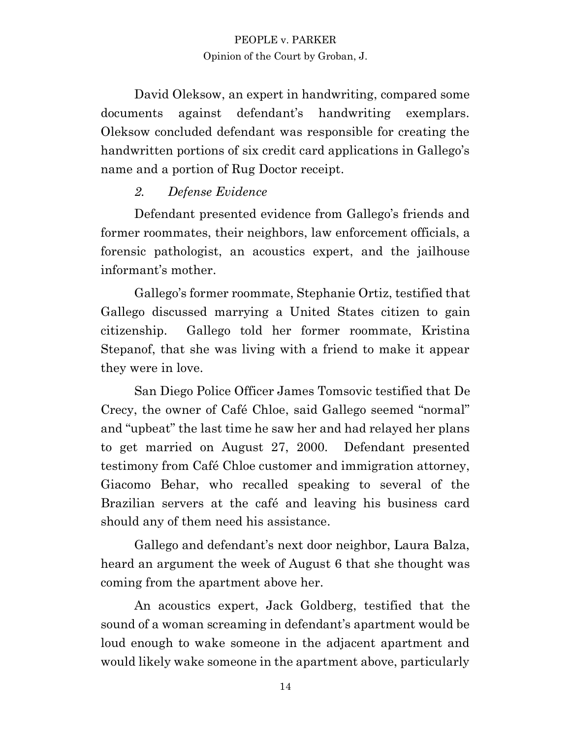David Oleksow, an expert in handwriting, compared some documents against defendant's handwriting exemplars. Oleksow concluded defendant was responsible for creating the handwritten portions of six credit card applications in Gallego's name and a portion of Rug Doctor receipt.

## *2. Defense Evidence*

Defendant presented evidence from Gallego's friends and former roommates, their neighbors, law enforcement officials, a forensic pathologist, an acoustics expert, and the jailhouse informant's mother.

Gallego's former roommate, Stephanie Ortiz, testified that Gallego discussed marrying a United States citizen to gain citizenship. Gallego told her former roommate, Kristina Stepanof, that she was living with a friend to make it appear they were in love.

San Diego Police Officer James Tomsovic testified that De Crecy, the owner of Café Chloe, said Gallego seemed "normal" and "upbeat" the last time he saw her and had relayed her plans to get married on August 27, 2000. Defendant presented testimony from Café Chloe customer and immigration attorney, Giacomo Behar, who recalled speaking to several of the Brazilian servers at the café and leaving his business card should any of them need his assistance.

Gallego and defendant's next door neighbor, Laura Balza, heard an argument the week of August 6 that she thought was coming from the apartment above her.

An acoustics expert, Jack Goldberg, testified that the sound of a woman screaming in defendant's apartment would be loud enough to wake someone in the adjacent apartment and would likely wake someone in the apartment above, particularly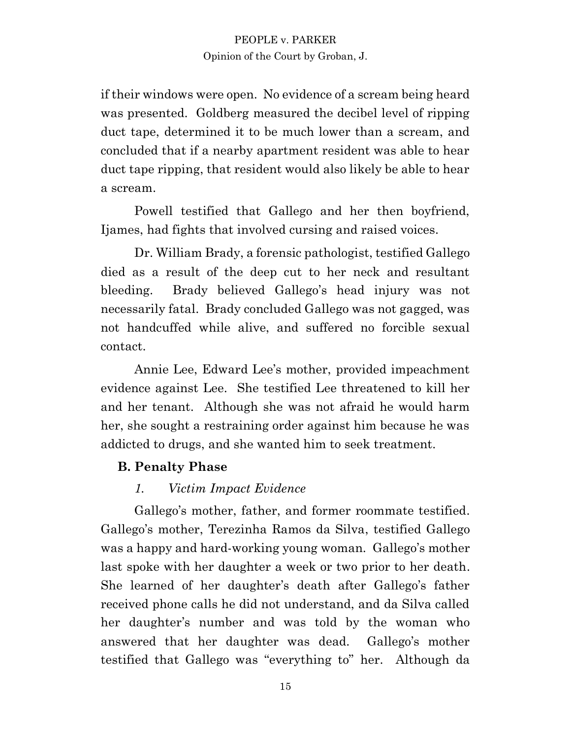if their windows were open. No evidence of a scream being heard was presented. Goldberg measured the decibel level of ripping duct tape, determined it to be much lower than a scream, and concluded that if a nearby apartment resident was able to hear duct tape ripping, that resident would also likely be able to hear a scream.

Powell testified that Gallego and her then boyfriend, Ijames, had fights that involved cursing and raised voices.

Dr. William Brady, a forensic pathologist, testified Gallego died as a result of the deep cut to her neck and resultant bleeding. Brady believed Gallego's head injury was not necessarily fatal. Brady concluded Gallego was not gagged, was not handcuffed while alive, and suffered no forcible sexual contact.

Annie Lee, Edward Lee's mother, provided impeachment evidence against Lee. She testified Lee threatened to kill her and her tenant. Although she was not afraid he would harm her, she sought a restraining order against him because he was addicted to drugs, and she wanted him to seek treatment.

## **B. Penalty Phase**

## *1. Victim Impact Evidence*

Gallego's mother, father, and former roommate testified. Gallego's mother, Terezinha Ramos da Silva, testified Gallego was a happy and hard-working young woman. Gallego's mother last spoke with her daughter a week or two prior to her death. She learned of her daughter's death after Gallego's father received phone calls he did not understand, and da Silva called her daughter's number and was told by the woman who answered that her daughter was dead. Gallego's mother testified that Gallego was "everything to" her. Although da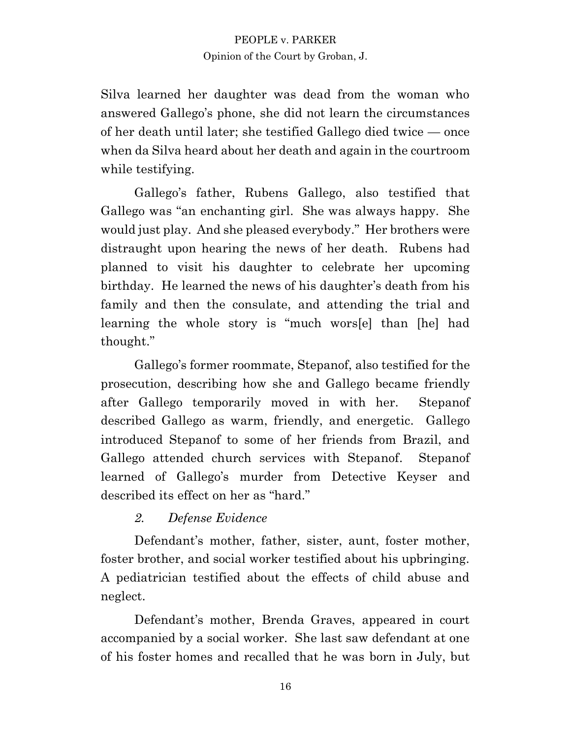Silva learned her daughter was dead from the woman who answered Gallego's phone, she did not learn the circumstances of her death until later; she testified Gallego died twice — once when da Silva heard about her death and again in the courtroom while testifying.

Gallego's father, Rubens Gallego, also testified that Gallego was "an enchanting girl. She was always happy. She would just play. And she pleased everybody." Her brothers were distraught upon hearing the news of her death. Rubens had planned to visit his daughter to celebrate her upcoming birthday. He learned the news of his daughter's death from his family and then the consulate, and attending the trial and learning the whole story is "much wors[e] than [he] had thought."

Gallego's former roommate, Stepanof, also testified for the prosecution, describing how she and Gallego became friendly after Gallego temporarily moved in with her. Stepanof described Gallego as warm, friendly, and energetic. Gallego introduced Stepanof to some of her friends from Brazil, and Gallego attended church services with Stepanof. Stepanof learned of Gallego's murder from Detective Keyser and described its effect on her as "hard."

## *2. Defense Evidence*

Defendant's mother, father, sister, aunt, foster mother, foster brother, and social worker testified about his upbringing. A pediatrician testified about the effects of child abuse and neglect.

Defendant's mother, Brenda Graves, appeared in court accompanied by a social worker. She last saw defendant at one of his foster homes and recalled that he was born in July, but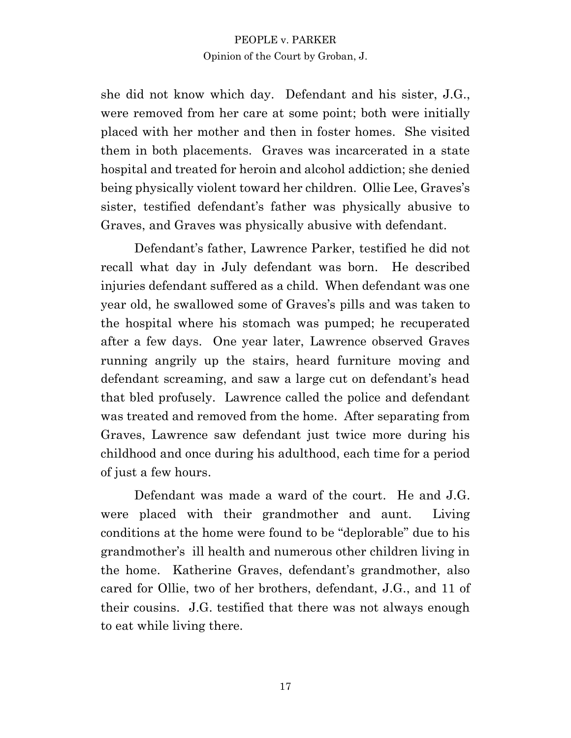she did not know which day. Defendant and his sister, J.G., were removed from her care at some point; both were initially placed with her mother and then in foster homes. She visited them in both placements. Graves was incarcerated in a state hospital and treated for heroin and alcohol addiction; she denied being physically violent toward her children. Ollie Lee, Graves's sister, testified defendant's father was physically abusive to Graves, and Graves was physically abusive with defendant.

Defendant's father, Lawrence Parker, testified he did not recall what day in July defendant was born. He described injuries defendant suffered as a child. When defendant was one year old, he swallowed some of Graves's pills and was taken to the hospital where his stomach was pumped; he recuperated after a few days. One year later, Lawrence observed Graves running angrily up the stairs, heard furniture moving and defendant screaming, and saw a large cut on defendant's head that bled profusely. Lawrence called the police and defendant was treated and removed from the home. After separating from Graves, Lawrence saw defendant just twice more during his childhood and once during his adulthood, each time for a period of just a few hours.

Defendant was made a ward of the court. He and J.G. were placed with their grandmother and aunt. Living conditions at the home were found to be "deplorable" due to his grandmother's ill health and numerous other children living in the home. Katherine Graves, defendant's grandmother, also cared for Ollie, two of her brothers, defendant, J.G., and 11 of their cousins. J.G. testified that there was not always enough to eat while living there.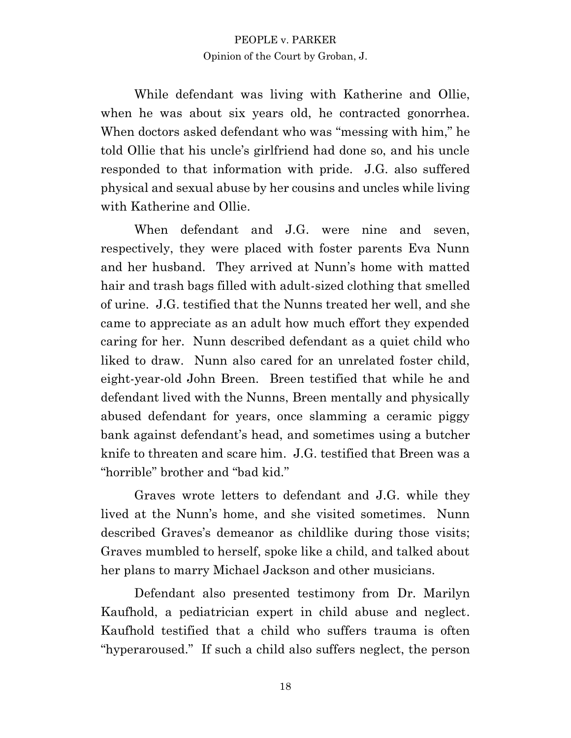While defendant was living with Katherine and Ollie, when he was about six years old, he contracted gonorrhea. When doctors asked defendant who was "messing with him," he told Ollie that his uncle's girlfriend had done so, and his uncle responded to that information with pride. J.G. also suffered physical and sexual abuse by her cousins and uncles while living with Katherine and Ollie.

When defendant and J.G. were nine and seven, respectively, they were placed with foster parents Eva Nunn and her husband. They arrived at Nunn's home with matted hair and trash bags filled with adult-sized clothing that smelled of urine. J.G. testified that the Nunns treated her well, and she came to appreciate as an adult how much effort they expended caring for her. Nunn described defendant as a quiet child who liked to draw. Nunn also cared for an unrelated foster child. eight-year-old John Breen. Breen testified that while he and defendant lived with the Nunns, Breen mentally and physically abused defendant for years, once slamming a ceramic piggy bank against defendant's head, and sometimes using a butcher knife to threaten and scare him. J.G. testified that Breen was a "horrible" brother and "bad kid."

Graves wrote letters to defendant and J.G. while they lived at the Nunn's home, and she visited sometimes. Nunn described Graves's demeanor as childlike during those visits; Graves mumbled to herself, spoke like a child, and talked about her plans to marry Michael Jackson and other musicians.

Defendant also presented testimony from Dr. Marilyn Kaufhold, a pediatrician expert in child abuse and neglect. Kaufhold testified that a child who suffers trauma is often "hyperaroused." If such a child also suffers neglect, the person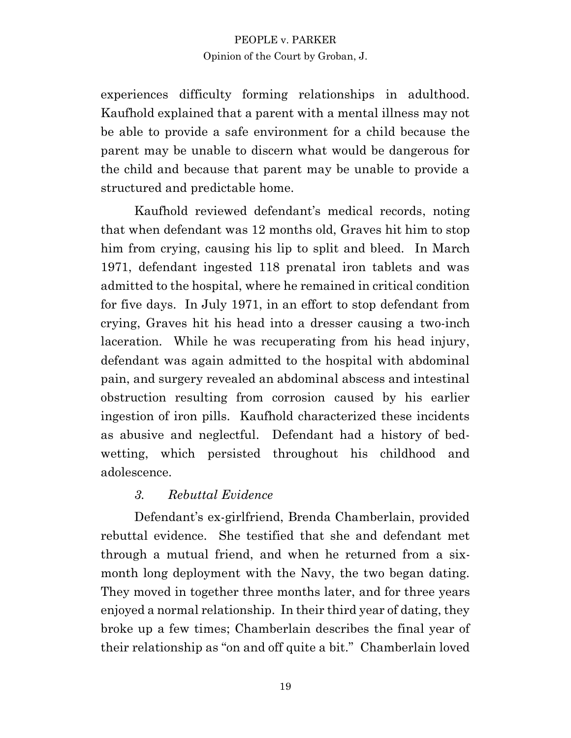experiences difficulty forming relationships in adulthood. Kaufhold explained that a parent with a mental illness may not be able to provide a safe environment for a child because the parent may be unable to discern what would be dangerous for the child and because that parent may be unable to provide a structured and predictable home.

Kaufhold reviewed defendant's medical records, noting that when defendant was 12 months old, Graves hit him to stop him from crying, causing his lip to split and bleed. In March 1971, defendant ingested 118 prenatal iron tablets and was admitted to the hospital, where he remained in critical condition for five days. In July 1971, in an effort to stop defendant from crying, Graves hit his head into a dresser causing a two-inch laceration. While he was recuperating from his head injury, defendant was again admitted to the hospital with abdominal pain, and surgery revealed an abdominal abscess and intestinal obstruction resulting from corrosion caused by his earlier ingestion of iron pills. Kaufhold characterized these incidents as abusive and neglectful. Defendant had a history of bedwetting, which persisted throughout his childhood and adolescence.

## *3. Rebuttal Evidence*

Defendant's ex-girlfriend, Brenda Chamberlain, provided rebuttal evidence. She testified that she and defendant met through a mutual friend, and when he returned from a sixmonth long deployment with the Navy, the two began dating. They moved in together three months later, and for three years enjoyed a normal relationship. In their third year of dating, they broke up a few times; Chamberlain describes the final year of their relationship as "on and off quite a bit." Chamberlain loved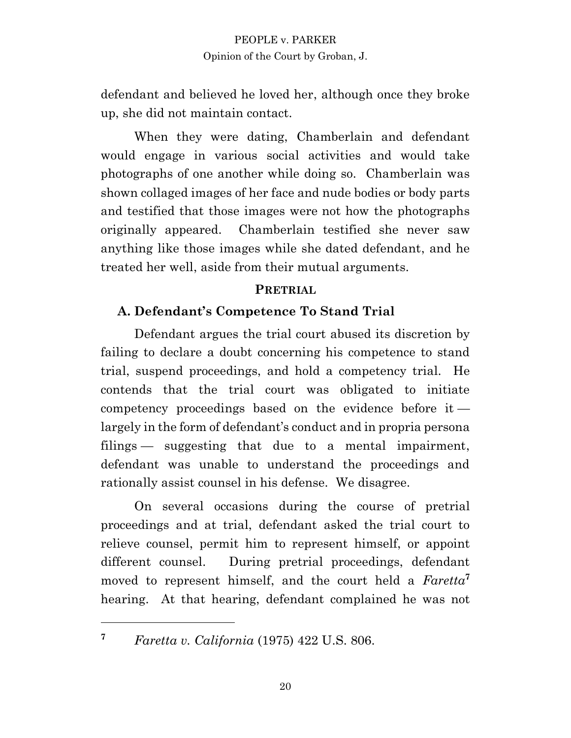defendant and believed he loved her, although once they broke up, she did not maintain contact.

When they were dating, Chamberlain and defendant would engage in various social activities and would take photographs of one another while doing so. Chamberlain was shown collaged images of her face and nude bodies or body parts and testified that those images were not how the photographs originally appeared. Chamberlain testified she never saw anything like those images while she dated defendant, and he treated her well, aside from their mutual arguments.

#### **PRETRIAL**

## **A. Defendant's Competence To Stand Trial**

Defendant argues the trial court abused its discretion by failing to declare a doubt concerning his competence to stand trial, suspend proceedings, and hold a competency trial. He contends that the trial court was obligated to initiate competency proceedings based on the evidence before it largely in the form of defendant's conduct and in propria persona filings — suggesting that due to a mental impairment, defendant was unable to understand the proceedings and rationally assist counsel in his defense. We disagree.

On several occasions during the course of pretrial proceedings and at trial, defendant asked the trial court to relieve counsel, permit him to represent himself, or appoint different counsel. During pretrial proceedings, defendant moved to represent himself, and the court held a *Faretta***<sup>7</sup>** hearing. At that hearing, defendant complained he was not

**<sup>7</sup>** *Faretta v. California* (1975) 422 U.S. 806.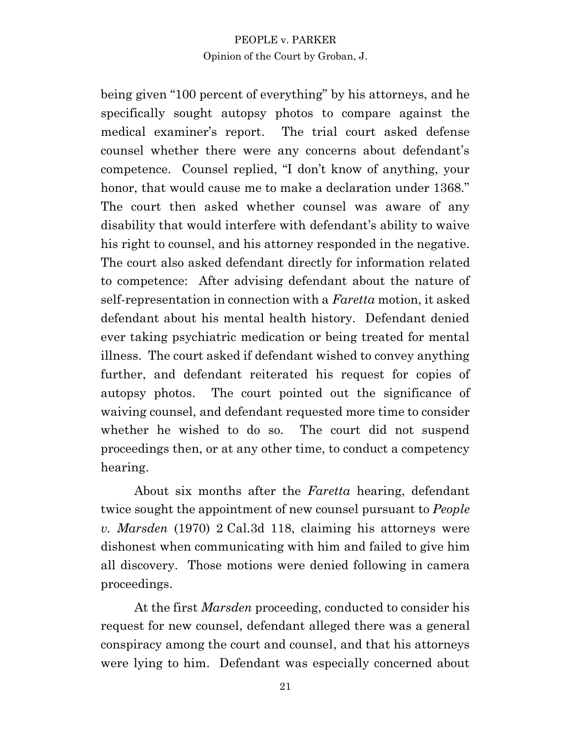being given "100 percent of everything" by his attorneys, and he specifically sought autopsy photos to compare against the medical examiner's report. The trial court asked defense counsel whether there were any concerns about defendant's competence. Counsel replied, "I don't know of anything, your honor, that would cause me to make a declaration under 1368." The court then asked whether counsel was aware of any disability that would interfere with defendant's ability to waive his right to counsel, and his attorney responded in the negative. The court also asked defendant directly for information related to competence: After advising defendant about the nature of self-representation in connection with a *Faretta* motion, it asked defendant about his mental health history. Defendant denied ever taking psychiatric medication or being treated for mental illness. The court asked if defendant wished to convey anything further, and defendant reiterated his request for copies of autopsy photos. The court pointed out the significance of waiving counsel, and defendant requested more time to consider whether he wished to do so. The court did not suspend proceedings then, or at any other time, to conduct a competency hearing.

About six months after the *Faretta* hearing, defendant twice sought the appointment of new counsel pursuant to *People v. Marsden* (1970) 2 Cal.3d 118, claiming his attorneys were dishonest when communicating with him and failed to give him all discovery. Those motions were denied following in camera proceedings.

At the first *Marsden* proceeding, conducted to consider his request for new counsel, defendant alleged there was a general conspiracy among the court and counsel, and that his attorneys were lying to him. Defendant was especially concerned about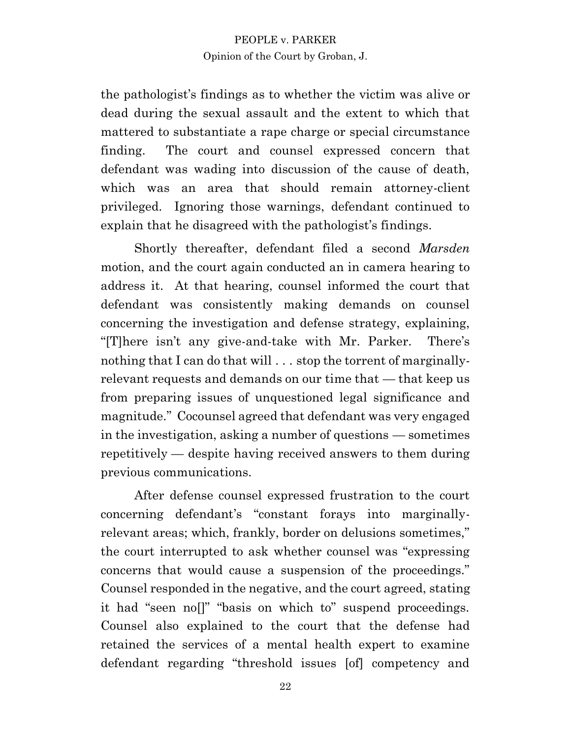the pathologist's findings as to whether the victim was alive or dead during the sexual assault and the extent to which that mattered to substantiate a rape charge or special circumstance finding. The court and counsel expressed concern that defendant was wading into discussion of the cause of death, which was an area that should remain attorney-client privileged. Ignoring those warnings, defendant continued to explain that he disagreed with the pathologist's findings.

Shortly thereafter, defendant filed a second *Marsden* motion, and the court again conducted an in camera hearing to address it. At that hearing, counsel informed the court that defendant was consistently making demands on counsel concerning the investigation and defense strategy, explaining, "[T]here isn't any give-and-take with Mr. Parker. There's nothing that I can do that will . . . stop the torrent of marginallyrelevant requests and demands on our time that — that keep us from preparing issues of unquestioned legal significance and magnitude." Cocounsel agreed that defendant was very engaged in the investigation, asking a number of questions — sometimes repetitively — despite having received answers to them during previous communications.

After defense counsel expressed frustration to the court concerning defendant's "constant forays into marginallyrelevant areas; which, frankly, border on delusions sometimes," the court interrupted to ask whether counsel was "expressing concerns that would cause a suspension of the proceedings." Counsel responded in the negative, and the court agreed, stating it had "seen no[]" "basis on which to" suspend proceedings. Counsel also explained to the court that the defense had retained the services of a mental health expert to examine defendant regarding "threshold issues [of] competency and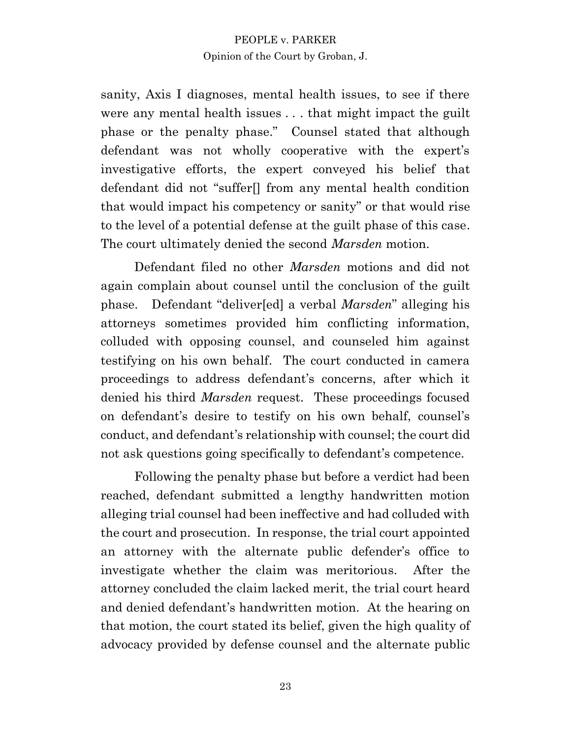sanity, Axis I diagnoses, mental health issues, to see if there were any mental health issues . . . that might impact the guilt phase or the penalty phase." Counsel stated that although defendant was not wholly cooperative with the expert's investigative efforts, the expert conveyed his belief that defendant did not "suffer[] from any mental health condition that would impact his competency or sanity" or that would rise to the level of a potential defense at the guilt phase of this case. The court ultimately denied the second *Marsden* motion.

Defendant filed no other *Marsden* motions and did not again complain about counsel until the conclusion of the guilt phase. Defendant "deliver[ed] a verbal *Marsden*" alleging his attorneys sometimes provided him conflicting information, colluded with opposing counsel, and counseled him against testifying on his own behalf. The court conducted in camera proceedings to address defendant's concerns, after which it denied his third *Marsden* request. These proceedings focused on defendant's desire to testify on his own behalf, counsel's conduct, and defendant's relationship with counsel; the court did not ask questions going specifically to defendant's competence.

Following the penalty phase but before a verdict had been reached, defendant submitted a lengthy handwritten motion alleging trial counsel had been ineffective and had colluded with the court and prosecution. In response, the trial court appointed an attorney with the alternate public defender's office to investigate whether the claim was meritorious. After the attorney concluded the claim lacked merit, the trial court heard and denied defendant's handwritten motion. At the hearing on that motion, the court stated its belief, given the high quality of advocacy provided by defense counsel and the alternate public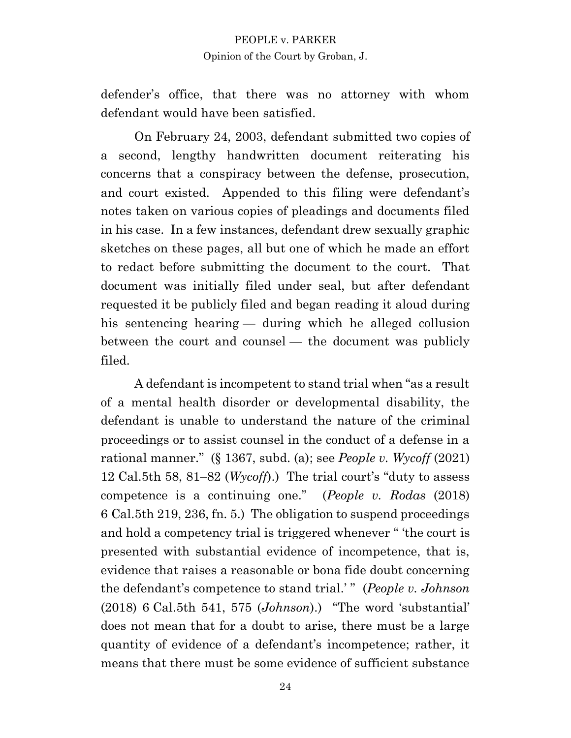defender's office, that there was no attorney with whom defendant would have been satisfied.

On February 24, 2003, defendant submitted two copies of a second, lengthy handwritten document reiterating his concerns that a conspiracy between the defense, prosecution, and court existed. Appended to this filing were defendant's notes taken on various copies of pleadings and documents filed in his case. In a few instances, defendant drew sexually graphic sketches on these pages, all but one of which he made an effort to redact before submitting the document to the court. That document was initially filed under seal, but after defendant requested it be publicly filed and began reading it aloud during his sentencing hearing — during which he alleged collusion between the court and counsel — the document was publicly filed.

A defendant is incompetent to stand trial when "as a result of a mental health disorder or developmental disability, the defendant is unable to understand the nature of the criminal proceedings or to assist counsel in the conduct of a defense in a rational manner." (§ 1367, subd. (a); see *People v. Wycoff* (2021) 12 Cal.5th 58, 81–82 (*Wycoff*).) The trial court's "duty to assess competence is a continuing one." (*People v. Rodas* (2018) 6 Cal.5th 219, 236, fn. 5.) The obligation to suspend proceedings and hold a competency trial is triggered whenever " 'the court is presented with substantial evidence of incompetence, that is, evidence that raises a reasonable or bona fide doubt concerning the defendant's competence to stand trial.' " (*People v. Johnson* (2018) 6 Cal.5th 541, 575 (*Johnson*).) "The word 'substantial' does not mean that for a doubt to arise, there must be a large quantity of evidence of a defendant's incompetence; rather, it means that there must be some evidence of sufficient substance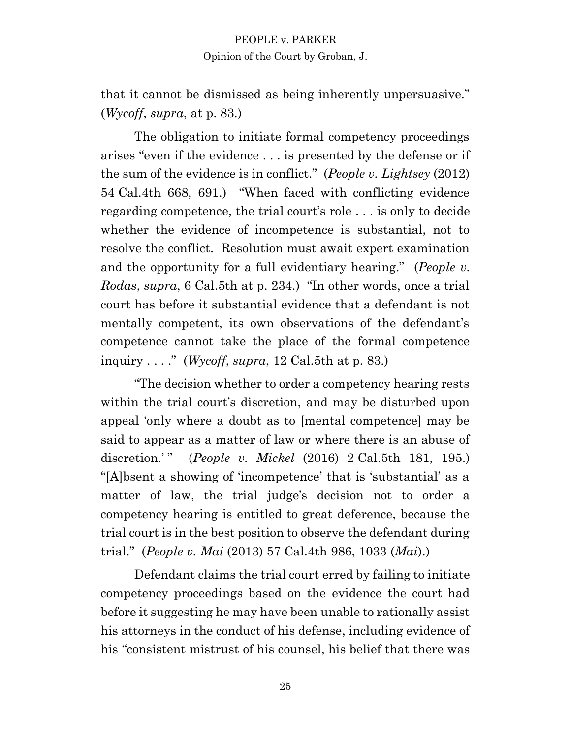that it cannot be dismissed as being inherently unpersuasive." (*Wycoff*, *supra*, at p. 83.)

The obligation to initiate formal competency proceedings arises "even if the evidence . . . is presented by the defense or if the sum of the evidence is in conflict." (*People v. Lightsey* (2012) 54 Cal.4th 668, 691.) "When faced with conflicting evidence regarding competence, the trial court's role . . . is only to decide whether the evidence of incompetence is substantial, not to resolve the conflict. Resolution must await expert examination and the opportunity for a full evidentiary hearing." (*People v. Rodas*, *supra*, 6 Cal.5th at p. 234.) "In other words, once a trial court has before it substantial evidence that a defendant is not mentally competent, its own observations of the defendant's competence cannot take the place of the formal competence inquiry . . . ." (*Wycoff*, *supra*, 12 Cal.5th at p. 83.)

"The decision whether to order a competency hearing rests within the trial court's discretion, and may be disturbed upon appeal 'only where a doubt as to [mental competence] may be said to appear as a matter of law or where there is an abuse of discretion.'" (*People v. Mickel* (2016) 2 Cal.5th 181, 195.) "[A]bsent a showing of 'incompetence' that is 'substantial' as a matter of law, the trial judge's decision not to order a competency hearing is entitled to great deference, because the trial court is in the best position to observe the defendant during trial." (*People v. Mai* (2013) 57 Cal.4th 986, 1033 (*Mai*).)

Defendant claims the trial court erred by failing to initiate competency proceedings based on the evidence the court had before it suggesting he may have been unable to rationally assist his attorneys in the conduct of his defense, including evidence of his "consistent mistrust of his counsel, his belief that there was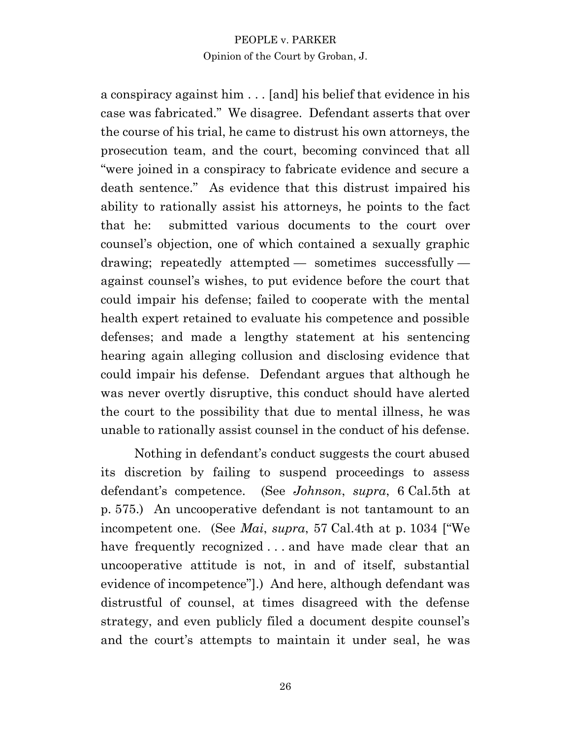a conspiracy against him . . . [and] his belief that evidence in his case was fabricated." We disagree. Defendant asserts that over the course of his trial, he came to distrust his own attorneys, the prosecution team, and the court, becoming convinced that all "were joined in a conspiracy to fabricate evidence and secure a death sentence." As evidence that this distrust impaired his ability to rationally assist his attorneys, he points to the fact that he: submitted various documents to the court over counsel's objection, one of which contained a sexually graphic drawing; repeatedly attempted — sometimes successfully against counsel's wishes, to put evidence before the court that could impair his defense; failed to cooperate with the mental health expert retained to evaluate his competence and possible defenses; and made a lengthy statement at his sentencing hearing again alleging collusion and disclosing evidence that could impair his defense. Defendant argues that although he was never overtly disruptive, this conduct should have alerted the court to the possibility that due to mental illness, he was unable to rationally assist counsel in the conduct of his defense.

Nothing in defendant's conduct suggests the court abused its discretion by failing to suspend proceedings to assess defendant's competence. (See *Johnson*, *supra*, 6 Cal.5th at p. 575.) An uncooperative defendant is not tantamount to an incompetent one. (See *Mai*, *supra*, 57 Cal.4th at p. 1034 ["We have frequently recognized . . . and have made clear that an uncooperative attitude is not, in and of itself, substantial evidence of incompetence"].) And here, although defendant was distrustful of counsel, at times disagreed with the defense strategy, and even publicly filed a document despite counsel's and the court's attempts to maintain it under seal, he was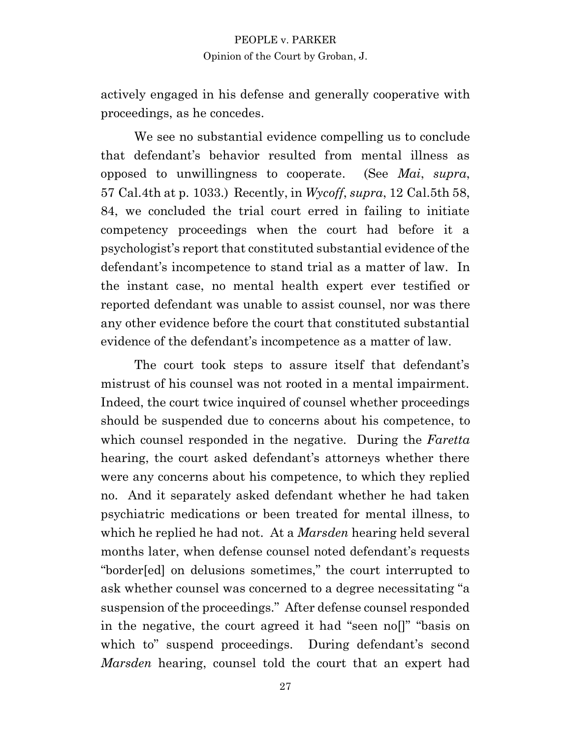actively engaged in his defense and generally cooperative with proceedings, as he concedes.

We see no substantial evidence compelling us to conclude that defendant's behavior resulted from mental illness as opposed to unwillingness to cooperate. (See *Mai*, *supra*, 57 Cal.4th at p. 1033.) Recently, in *Wycoff*, *supra*, 12 Cal.5th 58, 84, we concluded the trial court erred in failing to initiate competency proceedings when the court had before it a psychologist's report that constituted substantial evidence of the defendant's incompetence to stand trial as a matter of law. In the instant case, no mental health expert ever testified or reported defendant was unable to assist counsel, nor was there any other evidence before the court that constituted substantial evidence of the defendant's incompetence as a matter of law.

The court took steps to assure itself that defendant's mistrust of his counsel was not rooted in a mental impairment. Indeed, the court twice inquired of counsel whether proceedings should be suspended due to concerns about his competence, to which counsel responded in the negative. During the *Faretta* hearing, the court asked defendant's attorneys whether there were any concerns about his competence, to which they replied no. And it separately asked defendant whether he had taken psychiatric medications or been treated for mental illness, to which he replied he had not. At a *Marsden* hearing held several months later, when defense counsel noted defendant's requests "border[ed] on delusions sometimes," the court interrupted to ask whether counsel was concerned to a degree necessitating "a suspension of the proceedings." After defense counsel responded in the negative, the court agreed it had "seen no[]" "basis on which to" suspend proceedings. During defendant's second *Marsden* hearing, counsel told the court that an expert had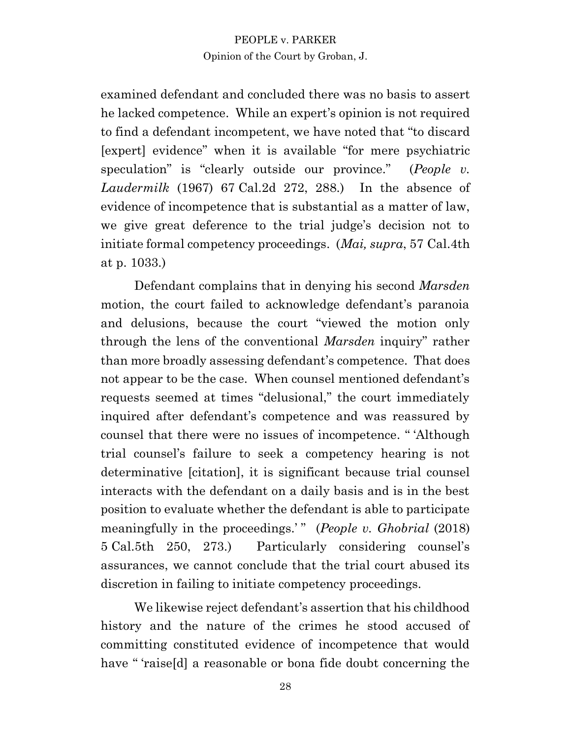examined defendant and concluded there was no basis to assert he lacked competence. While an expert's opinion is not required to find a defendant incompetent, we have noted that "to discard [expert] evidence" when it is available "for mere psychiatric speculation" is "clearly outside our province." (*People v. Laudermilk* (1967) 67 Cal.2d 272, 288.) In the absence of evidence of incompetence that is substantial as a matter of law, we give great deference to the trial judge's decision not to initiate formal competency proceedings. (*Mai, supra*, 57 Cal.4th at p. 1033.)

Defendant complains that in denying his second *Marsden* motion, the court failed to acknowledge defendant's paranoia and delusions, because the court "viewed the motion only through the lens of the conventional *Marsden* inquiry" rather than more broadly assessing defendant's competence. That does not appear to be the case. When counsel mentioned defendant's requests seemed at times "delusional," the court immediately inquired after defendant's competence and was reassured by counsel that there were no issues of incompetence. " 'Although trial counsel's failure to seek a competency hearing is not determinative [citation], it is significant because trial counsel interacts with the defendant on a daily basis and is in the best position to evaluate whether the defendant is able to participate meaningfully in the proceedings.<sup>'</sup>" (*People v. Ghobrial* (2018) 5 Cal.5th 250, 273.) Particularly considering counsel's assurances, we cannot conclude that the trial court abused its discretion in failing to initiate competency proceedings.

We likewise reject defendant's assertion that his childhood history and the nature of the crimes he stood accused of committing constituted evidence of incompetence that would have " 'raise<sup>[d]</sup> a reasonable or bona fide doubt concerning the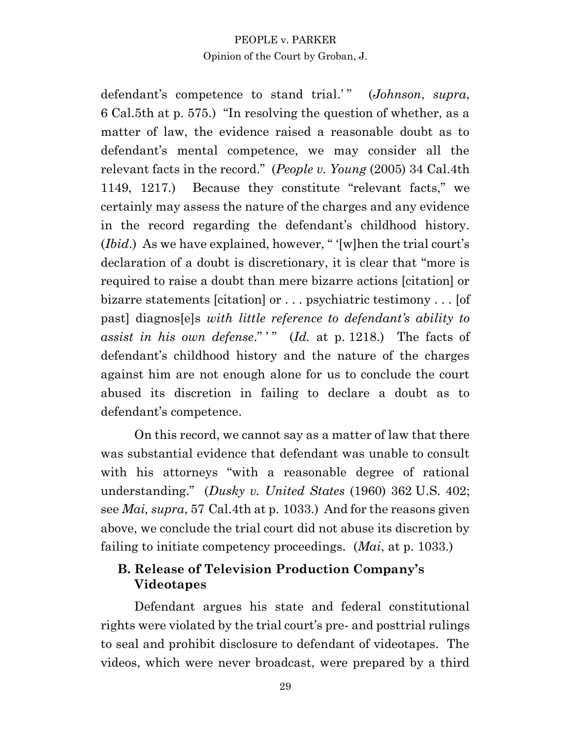defendant's competence to stand trial.'" (*Johnson*, *supra*, 6 Cal.5th at p. 575.) "In resolving the question of whether, as a matter of law, the evidence raised a reasonable doubt as to defendant's mental competence, we may consider all the relevant facts in the record." (*People v. Young* (2005) 34 Cal.4th 1149, 1217.) Because they constitute "relevant facts," we certainly may assess the nature of the charges and any evidence in the record regarding the defendant's childhood history. (*Ibid*.) As we have explained, however, " '[w]hen the trial court's declaration of a doubt is discretionary, it is clear that "more is required to raise a doubt than mere bizarre actions [citation] or bizarre statements [citation] or . . . psychiatric testimony . . . [of past] diagnos[e]s *with little reference to defendant's ability to*  assist in his own defense."" (*Id.* at p. 1218.) The facts of defendant's childhood history and the nature of the charges against him are not enough alone for us to conclude the court abused its discretion in failing to declare a doubt as to defendant's competence.

On this record, we cannot say as a matter of law that there was substantial evidence that defendant was unable to consult with his attorneys "with a reasonable degree of rational understanding." (*Dusky v. United States* (1960) 362 U.S. 402; see *Mai, supra*, 57 Cal.4th at p. 1033.) And for the reasons given above, we conclude the trial court did not abuse its discretion by failing to initiate competency proceedings. (*Mai*, at p. 1033.)

## **B. Release of Television Production Company's Videotapes**

Defendant argues his state and federal constitutional rights were violated by the trial court's pre- and posttrial rulings to seal and prohibit disclosure to defendant of videotapes. The videos, which were never broadcast, were prepared by a third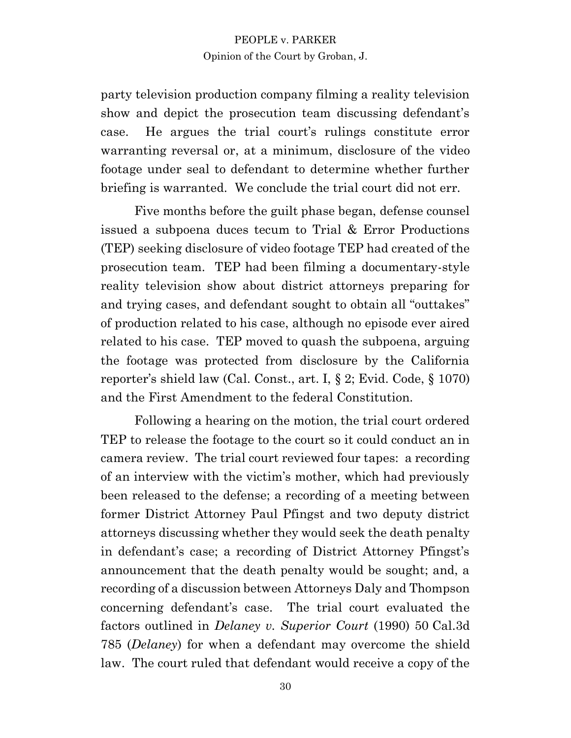party television production company filming a reality television show and depict the prosecution team discussing defendant's case. He argues the trial court's rulings constitute error warranting reversal or, at a minimum, disclosure of the video footage under seal to defendant to determine whether further briefing is warranted. We conclude the trial court did not err.

Five months before the guilt phase began, defense counsel issued a subpoena duces tecum to Trial & Error Productions (TEP) seeking disclosure of video footage TEP had created of the prosecution team. TEP had been filming a documentary-style reality television show about district attorneys preparing for and trying cases, and defendant sought to obtain all "outtakes" of production related to his case, although no episode ever aired related to his case. TEP moved to quash the subpoena, arguing the footage was protected from disclosure by the California reporter's shield law (Cal. Const., art. I, § 2; Evid. Code, § 1070) and the First Amendment to the federal Constitution.

Following a hearing on the motion, the trial court ordered TEP to release the footage to the court so it could conduct an in camera review. The trial court reviewed four tapes: a recording of an interview with the victim's mother, which had previously been released to the defense; a recording of a meeting between former District Attorney Paul Pfingst and two deputy district attorneys discussing whether they would seek the death penalty in defendant's case; a recording of District Attorney Pfingst's announcement that the death penalty would be sought; and, a recording of a discussion between Attorneys Daly and Thompson concerning defendant's case. The trial court evaluated the factors outlined in *Delaney v. Superior Court* (1990) 50 Cal.3d 785 (*Delaney*) for when a defendant may overcome the shield law. The court ruled that defendant would receive a copy of the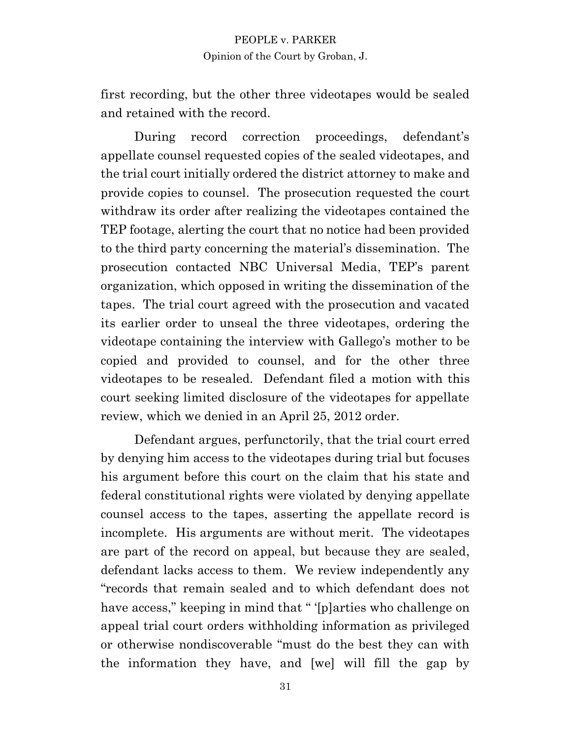first recording, but the other three videotapes would be sealed and retained with the record.

During record correction proceedings, defendant's appellate counsel requested copies of the sealed videotapes, and the trial court initially ordered the district attorney to make and provide copies to counsel. The prosecution requested the court withdraw its order after realizing the videotapes contained the TEP footage, alerting the court that no notice had been provided to the third party concerning the material's dissemination. The prosecution contacted NBC Universal Media, TEP's parent organization, which opposed in writing the dissemination of the tapes. The trial court agreed with the prosecution and vacated its earlier order to unseal the three videotapes, ordering the videotape containing the interview with Gallego's mother to be copied and provided to counsel, and for the other three videotapes to be resealed. Defendant filed a motion with this court seeking limited disclosure of the videotapes for appellate review, which we denied in an April 25, 2012 order.

Defendant argues, perfunctorily, that the trial court erred by denying him access to the videotapes during trial but focuses his argument before this court on the claim that his state and federal constitutional rights were violated by denying appellate counsel access to the tapes, asserting the appellate record is incomplete. His arguments are without merit. The videotapes are part of the record on appeal, but because they are sealed, defendant lacks access to them. We review independently any "records that remain sealed and to which defendant does not have access," keeping in mind that " '[p]arties who challenge on appeal trial court orders withholding information as privileged or otherwise nondiscoverable "must do the best they can with the information they have, and [we] will fill the gap by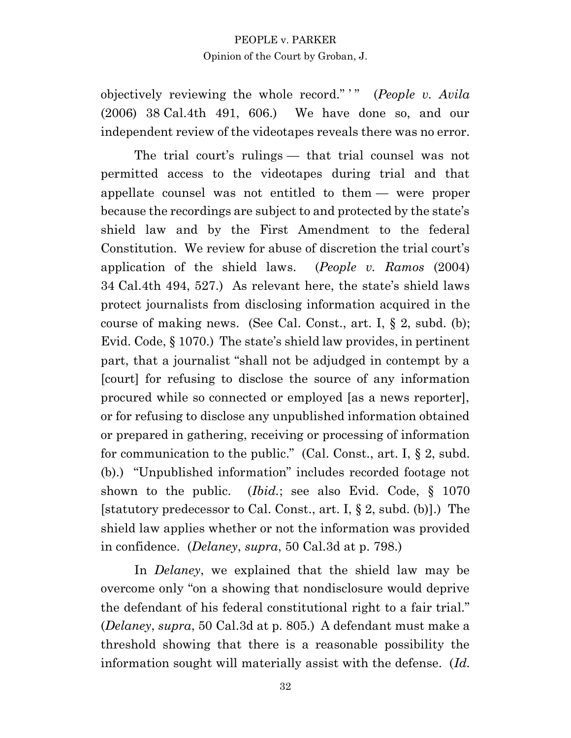objectively reviewing the whole record." " (*People v. Avila*) (2006) 38 Cal.4th 491, 606.) We have done so, and our independent review of the videotapes reveals there was no error.

The trial court's rulings — that trial counsel was not permitted access to the videotapes during trial and that appellate counsel was not entitled to them — were proper because the recordings are subject to and protected by the state's shield law and by the First Amendment to the federal Constitution. We review for abuse of discretion the trial court's application of the shield laws. (*People v. Ramos* (2004) 34 Cal.4th 494, 527.) As relevant here, the state's shield laws protect journalists from disclosing information acquired in the course of making news. (See Cal. Const., art. I,  $\S 2$ , subd. (b); Evid. Code, § 1070.) The state's shield law provides, in pertinent part, that a journalist "shall not be adjudged in contempt by a [court] for refusing to disclose the source of any information procured while so connected or employed [as a news reporter], or for refusing to disclose any unpublished information obtained or prepared in gathering, receiving or processing of information for communication to the public." (Cal. Const., art. I, § 2, subd. (b).) "Unpublished information" includes recorded footage not shown to the public. (*Ibid.*; see also Evid. Code, § 1070 [statutory predecessor to Cal. Const., art. I, § 2, subd. (b)].) The shield law applies whether or not the information was provided in confidence. (*Delaney*, *supra*, 50 Cal.3d at p. 798.)

In *Delaney*, we explained that the shield law may be overcome only "on a showing that nondisclosure would deprive the defendant of his federal constitutional right to a fair trial." (*Delaney*, *supra*, 50 Cal.3d at p. 805.) A defendant must make a threshold showing that there is a reasonable possibility the information sought will materially assist with the defense. (*Id.*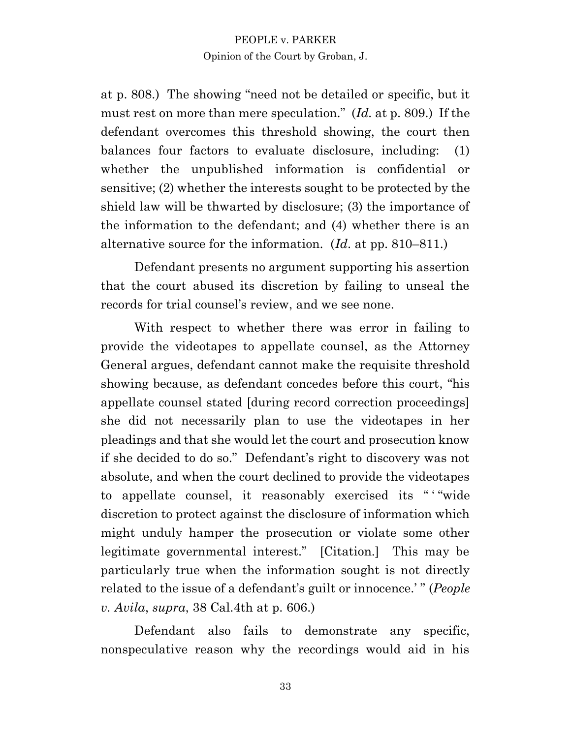at p. 808.) The showing "need not be detailed or specific, but it must rest on more than mere speculation." (*Id.* at p. 809.) If the defendant overcomes this threshold showing, the court then balances four factors to evaluate disclosure, including: (1) whether the unpublished information is confidential or sensitive; (2) whether the interests sought to be protected by the shield law will be thwarted by disclosure; (3) the importance of the information to the defendant; and (4) whether there is an alternative source for the information. (*Id*. at pp. 810–811.)

Defendant presents no argument supporting his assertion that the court abused its discretion by failing to unseal the records for trial counsel's review, and we see none.

With respect to whether there was error in failing to provide the videotapes to appellate counsel, as the Attorney General argues, defendant cannot make the requisite threshold showing because, as defendant concedes before this court, "his appellate counsel stated [during record correction proceedings] she did not necessarily plan to use the videotapes in her pleadings and that she would let the court and prosecution know if she decided to do so." Defendant's right to discovery was not absolute, and when the court declined to provide the videotapes to appellate counsel, it reasonably exercised its " ' "wide discretion to protect against the disclosure of information which might unduly hamper the prosecution or violate some other legitimate governmental interest." [Citation.] This may be particularly true when the information sought is not directly related to the issue of a defendant's guilt or innocence.' " (*People v. Avila*, *supra*, 38 Cal.4th at p. 606.)

Defendant also fails to demonstrate any specific, nonspeculative reason why the recordings would aid in his

33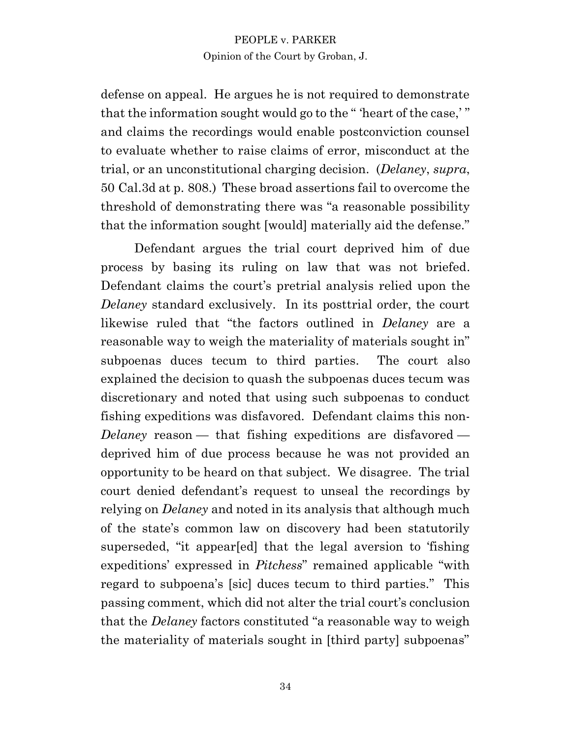defense on appeal. He argues he is not required to demonstrate that the information sought would go to the " 'heart of the case,' " and claims the recordings would enable postconviction counsel to evaluate whether to raise claims of error, misconduct at the trial, or an unconstitutional charging decision. (*Delaney*, *supra*, 50 Cal.3d at p. 808.) These broad assertions fail to overcome the threshold of demonstrating there was "a reasonable possibility that the information sought [would] materially aid the defense."

Defendant argues the trial court deprived him of due process by basing its ruling on law that was not briefed. Defendant claims the court's pretrial analysis relied upon the *Delaney* standard exclusively. In its posttrial order, the court likewise ruled that "the factors outlined in *Delaney* are a reasonable way to weigh the materiality of materials sought in" subpoenas duces tecum to third parties. The court also explained the decision to quash the subpoenas duces tecum was discretionary and noted that using such subpoenas to conduct fishing expeditions was disfavored. Defendant claims this non-*Delaney* reason — that fishing expeditions are disfavored deprived him of due process because he was not provided an opportunity to be heard on that subject. We disagree. The trial court denied defendant's request to unseal the recordings by relying on *Delaney* and noted in its analysis that although much of the state's common law on discovery had been statutorily superseded, "it appear[ed] that the legal aversion to 'fishing expeditions' expressed in *Pitchess*" remained applicable "with regard to subpoena's [sic] duces tecum to third parties." This passing comment, which did not alter the trial court's conclusion that the *Delaney* factors constituted "a reasonable way to weigh the materiality of materials sought in [third party] subpoenas"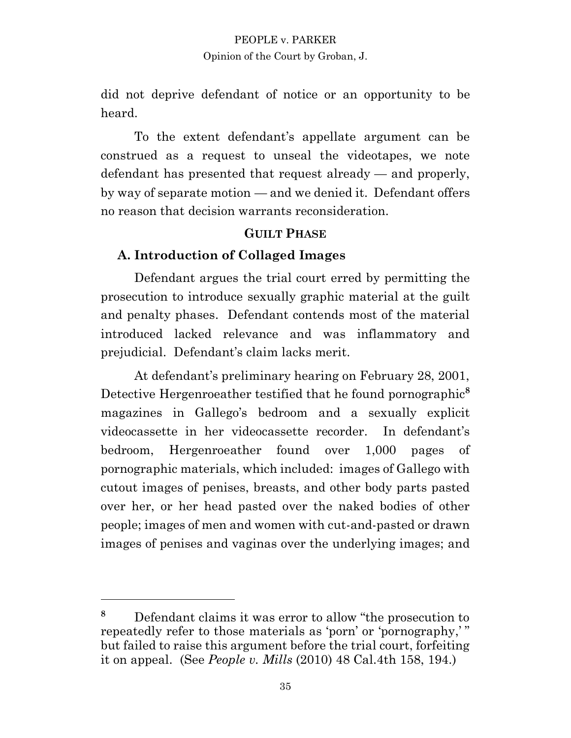did not deprive defendant of notice or an opportunity to be heard.

To the extent defendant's appellate argument can be construed as a request to unseal the videotapes, we note defendant has presented that request already — and properly, by way of separate motion — and we denied it. Defendant offers no reason that decision warrants reconsideration.

## **GUILT PHASE**

### **A. Introduction of Collaged Images**

Defendant argues the trial court erred by permitting the prosecution to introduce sexually graphic material at the guilt and penalty phases. Defendant contends most of the material introduced lacked relevance and was inflammatory and prejudicial. Defendant's claim lacks merit.

At defendant's preliminary hearing on February 28, 2001, Detective Hergenroeather testified that he found pornographic**<sup>8</sup>** magazines in Gallego's bedroom and a sexually explicit videocassette in her videocassette recorder. In defendant's bedroom, Hergenroeather found over 1,000 pages of pornographic materials, which included: images of Gallego with cutout images of penises, breasts, and other body parts pasted over her, or her head pasted over the naked bodies of other people; images of men and women with cut-and-pasted or drawn images of penises and vaginas over the underlying images; and

**<sup>8</sup>** Defendant claims it was error to allow "the prosecution to repeatedly refer to those materials as 'porn' or 'pornography,' " but failed to raise this argument before the trial court, forfeiting it on appeal. (See *People v. Mills* (2010) 48 Cal.4th 158, 194.)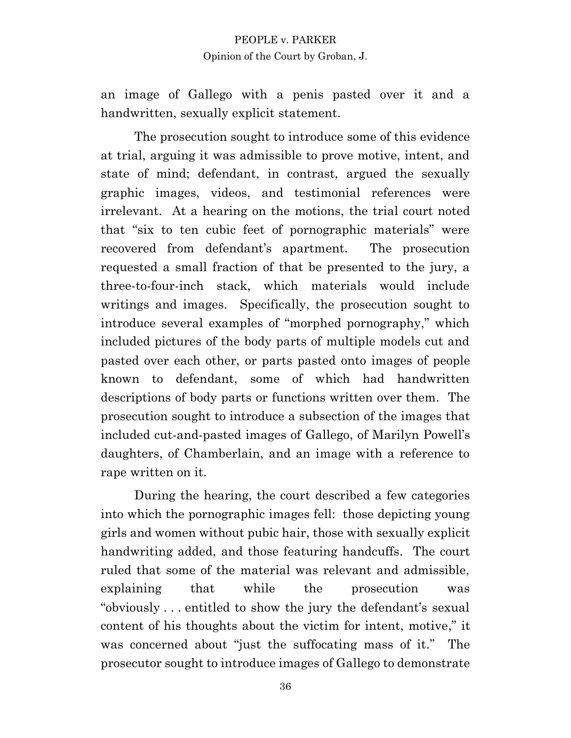an image of Gallego with a penis pasted over it and a handwritten, sexually explicit statement.

The prosecution sought to introduce some of this evidence at trial, arguing it was admissible to prove motive, intent, and state of mind; defendant, in contrast, argued the sexually graphic images, videos, and testimonial references were irrelevant. At a hearing on the motions, the trial court noted that "six to ten cubic feet of pornographic materials" were recovered from defendant's apartment. The prosecution requested a small fraction of that be presented to the jury, a three-to-four-inch stack, which materials would include writings and images. Specifically, the prosecution sought to introduce several examples of "morphed pornography," which included pictures of the body parts of multiple models cut and pasted over each other, or parts pasted onto images of people known to defendant, some of which had handwritten descriptions of body parts or functions written over them. The prosecution sought to introduce a subsection of the images that included cut-and-pasted images of Gallego, of Marilyn Powell's daughters, of Chamberlain, and an image with a reference to rape written on it.

During the hearing, the court described a few categories into which the pornographic images fell: those depicting young girls and women without pubic hair, those with sexually explicit handwriting added, and those featuring handcuffs. The court ruled that some of the material was relevant and admissible, explaining that while the prosecution was "obviously . . . entitled to show the jury the defendant's sexual content of his thoughts about the victim for intent, motive," it was concerned about "just the suffocating mass of it." The prosecutor sought to introduce images of Gallego to demonstrate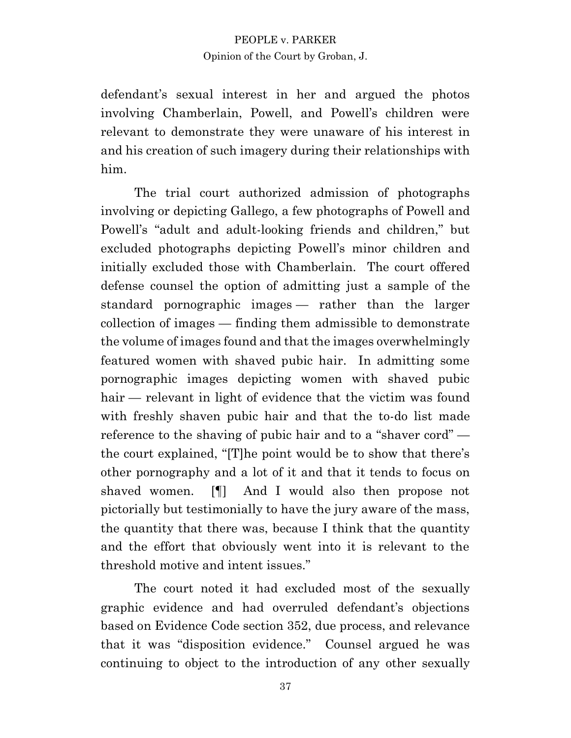defendant's sexual interest in her and argued the photos involving Chamberlain, Powell, and Powell's children were relevant to demonstrate they were unaware of his interest in and his creation of such imagery during their relationships with him.

The trial court authorized admission of photographs involving or depicting Gallego, a few photographs of Powell and Powell's "adult and adult-looking friends and children," but excluded photographs depicting Powell's minor children and initially excluded those with Chamberlain. The court offered defense counsel the option of admitting just a sample of the standard pornographic images — rather than the larger collection of images — finding them admissible to demonstrate the volume of images found and that the images overwhelmingly featured women with shaved pubic hair. In admitting some pornographic images depicting women with shaved pubic hair — relevant in light of evidence that the victim was found with freshly shaven pubic hair and that the to-do list made reference to the shaving of pubic hair and to a "shaver cord" the court explained, "[T]he point would be to show that there's other pornography and a lot of it and that it tends to focus on shaved women. [¶] And I would also then propose not pictorially but testimonially to have the jury aware of the mass, the quantity that there was, because I think that the quantity and the effort that obviously went into it is relevant to the threshold motive and intent issues."

The court noted it had excluded most of the sexually graphic evidence and had overruled defendant's objections based on Evidence Code section 352, due process, and relevance that it was "disposition evidence." Counsel argued he was continuing to object to the introduction of any other sexually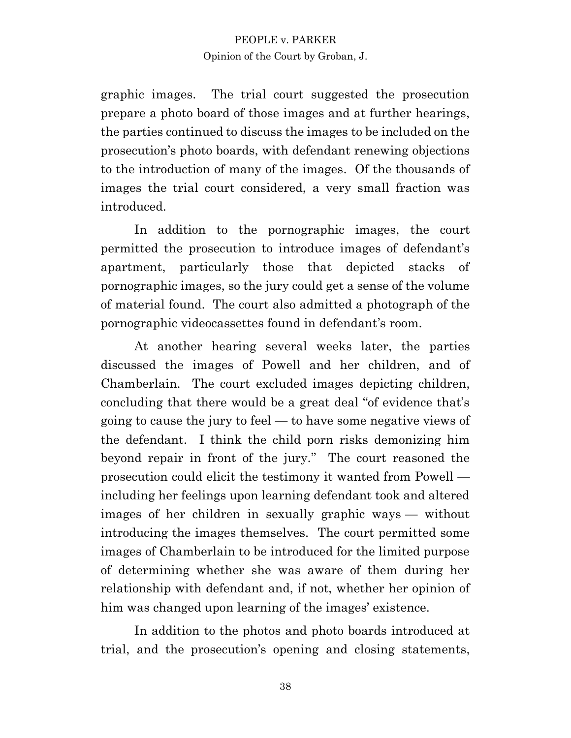graphic images. The trial court suggested the prosecution prepare a photo board of those images and at further hearings, the parties continued to discuss the images to be included on the prosecution's photo boards, with defendant renewing objections to the introduction of many of the images. Of the thousands of images the trial court considered, a very small fraction was introduced.

In addition to the pornographic images, the court permitted the prosecution to introduce images of defendant's apartment, particularly those that depicted stacks of pornographic images, so the jury could get a sense of the volume of material found. The court also admitted a photograph of the pornographic videocassettes found in defendant's room.

At another hearing several weeks later, the parties discussed the images of Powell and her children, and of Chamberlain. The court excluded images depicting children, concluding that there would be a great deal "of evidence that's going to cause the jury to feel — to have some negative views of the defendant. I think the child porn risks demonizing him beyond repair in front of the jury." The court reasoned the prosecution could elicit the testimony it wanted from Powell including her feelings upon learning defendant took and altered images of her children in sexually graphic ways — without introducing the images themselves. The court permitted some images of Chamberlain to be introduced for the limited purpose of determining whether she was aware of them during her relationship with defendant and, if not, whether her opinion of him was changed upon learning of the images' existence.

In addition to the photos and photo boards introduced at trial, and the prosecution's opening and closing statements,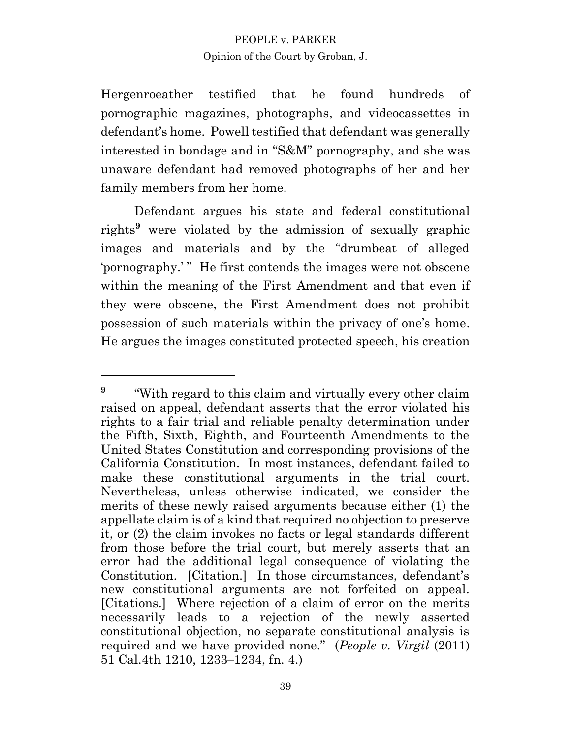Hergenroeather testified that he found hundreds of pornographic magazines, photographs, and videocassettes in defendant's home. Powell testified that defendant was generally interested in bondage and in "S&M" pornography, and she was unaware defendant had removed photographs of her and her family members from her home.

Defendant argues his state and federal constitutional rights**<sup>9</sup>** were violated by the admission of sexually graphic images and materials and by the "drumbeat of alleged 'pornography.'" He first contends the images were not obscene within the meaning of the First Amendment and that even if they were obscene, the First Amendment does not prohibit possession of such materials within the privacy of one's home. He argues the images constituted protected speech, his creation

**<sup>9</sup>** "With regard to this claim and virtually every other claim raised on appeal, defendant asserts that the error violated his rights to a fair trial and reliable penalty determination under the Fifth, Sixth, Eighth, and Fourteenth Amendments to the United States Constitution and corresponding provisions of the California Constitution. In most instances, defendant failed to make these constitutional arguments in the trial court. Nevertheless, unless otherwise indicated, we consider the merits of these newly raised arguments because either (1) the appellate claim is of a kind that required no objection to preserve it, or (2) the claim invokes no facts or legal standards different from those before the trial court, but merely asserts that an error had the additional legal consequence of violating the Constitution. [Citation.] In those circumstances, defendant's new constitutional arguments are not forfeited on appeal. [Citations.] Where rejection of a claim of error on the merits necessarily leads to a rejection of the newly asserted constitutional objection, no separate constitutional analysis is required and we have provided none." (*People v. Virgil* (2011) 51 Cal.4th 1210, 1233–1234, fn. 4.)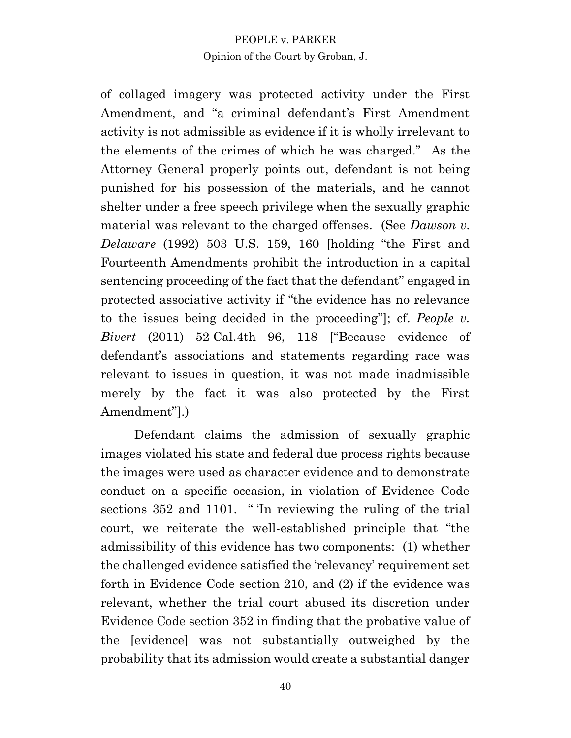of collaged imagery was protected activity under the First Amendment, and "a criminal defendant's First Amendment activity is not admissible as evidence if it is wholly irrelevant to the elements of the crimes of which he was charged." As the Attorney General properly points out, defendant is not being punished for his possession of the materials, and he cannot shelter under a free speech privilege when the sexually graphic material was relevant to the charged offenses. (See *Dawson v. Delaware* (1992) 503 U.S. 159, 160 [holding "the First and Fourteenth Amendments prohibit the introduction in a capital sentencing proceeding of the fact that the defendant" engaged in protected associative activity if "the evidence has no relevance to the issues being decided in the proceeding"]; cf. *People v. Bivert* (2011) 52 Cal.4th 96, 118 ["Because evidence of defendant's associations and statements regarding race was relevant to issues in question, it was not made inadmissible merely by the fact it was also protected by the First Amendment"].)

Defendant claims the admission of sexually graphic images violated his state and federal due process rights because the images were used as character evidence and to demonstrate conduct on a specific occasion, in violation of Evidence Code sections 352 and 1101. " The reviewing the ruling of the trial court, we reiterate the well-established principle that "the admissibility of this evidence has two components: (1) whether the challenged evidence satisfied the 'relevancy' requirement set forth in Evidence Code section 210, and (2) if the evidence was relevant, whether the trial court abused its discretion under Evidence Code section 352 in finding that the probative value of the [evidence] was not substantially outweighed by the probability that its admission would create a substantial danger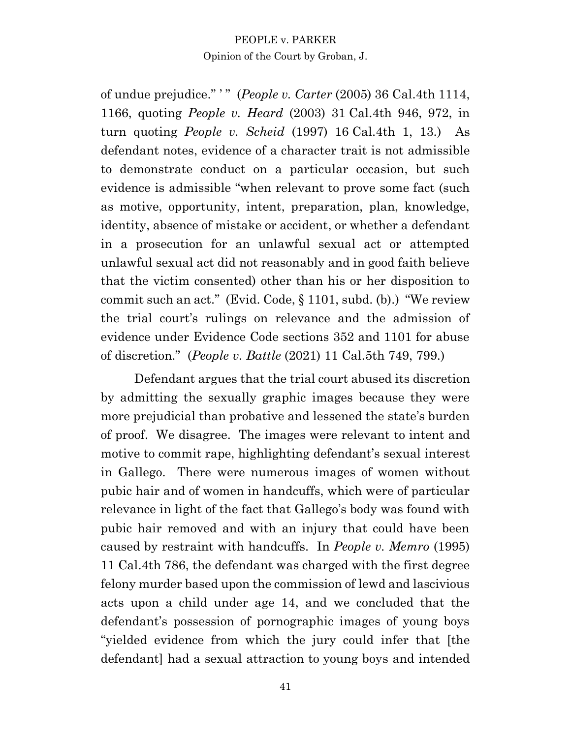of undue prejudice." ' " (*People v. Carter* (2005) 36 Cal.4th 1114, 1166, quoting *People v. Heard* (2003) 31 Cal.4th 946, 972, in turn quoting *People v. Scheid* (1997) 16 Cal.4th 1, 13.) As defendant notes, evidence of a character trait is not admissible to demonstrate conduct on a particular occasion, but such evidence is admissible "when relevant to prove some fact (such as motive, opportunity, intent, preparation, plan, knowledge, identity, absence of mistake or accident, or whether a defendant in a prosecution for an unlawful sexual act or attempted unlawful sexual act did not reasonably and in good faith believe that the victim consented) other than his or her disposition to commit such an act." (Evid. Code, § 1101, subd. (b).) "We review the trial court's rulings on relevance and the admission of evidence under Evidence Code sections 352 and 1101 for abuse of discretion." (*People v. Battle* (2021) 11 Cal.5th 749, 799.)

Defendant argues that the trial court abused its discretion by admitting the sexually graphic images because they were more prejudicial than probative and lessened the state's burden of proof. We disagree. The images were relevant to intent and motive to commit rape, highlighting defendant's sexual interest in Gallego. There were numerous images of women without pubic hair and of women in handcuffs, which were of particular relevance in light of the fact that Gallego's body was found with pubic hair removed and with an injury that could have been caused by restraint with handcuffs. In *People v. Memro* (1995) 11 Cal.4th 786, the defendant was charged with the first degree felony murder based upon the commission of lewd and lascivious acts upon a child under age 14, and we concluded that the defendant's possession of pornographic images of young boys "yielded evidence from which the jury could infer that [the defendant] had a sexual attraction to young boys and intended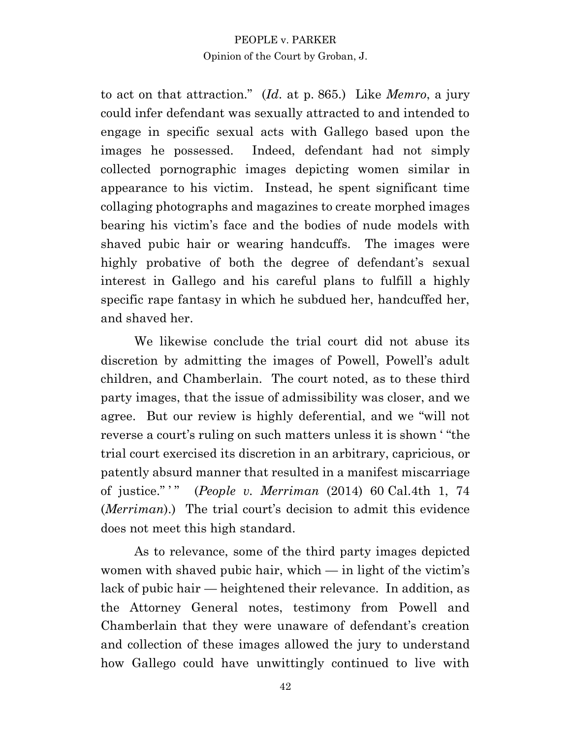to act on that attraction." (*Id*. at p. 865.) Like *Memro*, a jury could infer defendant was sexually attracted to and intended to engage in specific sexual acts with Gallego based upon the images he possessed. Indeed, defendant had not simply collected pornographic images depicting women similar in appearance to his victim. Instead, he spent significant time collaging photographs and magazines to create morphed images bearing his victim's face and the bodies of nude models with shaved pubic hair or wearing handcuffs. The images were highly probative of both the degree of defendant's sexual interest in Gallego and his careful plans to fulfill a highly specific rape fantasy in which he subdued her, handcuffed her, and shaved her.

We likewise conclude the trial court did not abuse its discretion by admitting the images of Powell, Powell's adult children, and Chamberlain. The court noted, as to these third party images, that the issue of admissibility was closer, and we agree. But our review is highly deferential, and we "will not reverse a court's ruling on such matters unless it is shown ' "the trial court exercised its discretion in an arbitrary, capricious, or patently absurd manner that resulted in a manifest miscarriage of justice." ' " (*People v. Merriman* (2014) 60 Cal.4th 1, 74 (*Merriman*).) The trial court's decision to admit this evidence does not meet this high standard.

As to relevance, some of the third party images depicted women with shaved pubic hair, which — in light of the victim's lack of pubic hair — heightened their relevance. In addition, as the Attorney General notes, testimony from Powell and Chamberlain that they were unaware of defendant's creation and collection of these images allowed the jury to understand how Gallego could have unwittingly continued to live with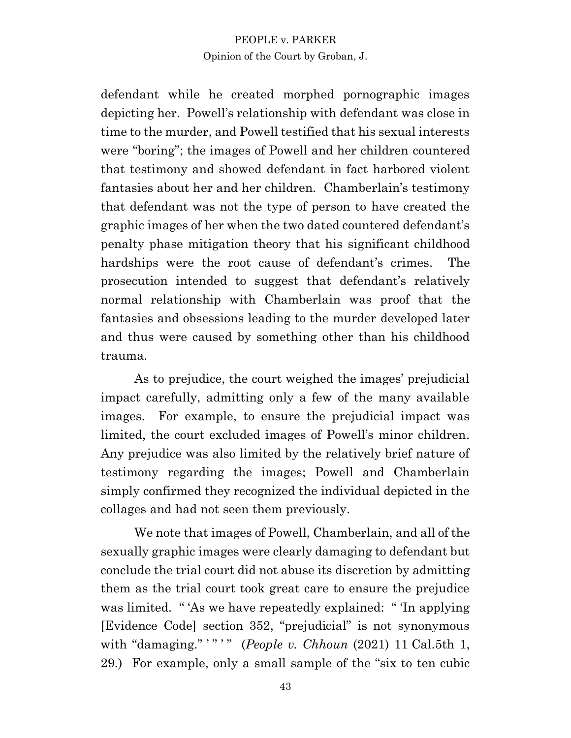defendant while he created morphed pornographic images depicting her. Powell's relationship with defendant was close in time to the murder, and Powell testified that his sexual interests were "boring"; the images of Powell and her children countered that testimony and showed defendant in fact harbored violent fantasies about her and her children. Chamberlain's testimony that defendant was not the type of person to have created the graphic images of her when the two dated countered defendant's penalty phase mitigation theory that his significant childhood hardships were the root cause of defendant's crimes. The prosecution intended to suggest that defendant's relatively normal relationship with Chamberlain was proof that the fantasies and obsessions leading to the murder developed later and thus were caused by something other than his childhood trauma.

As to prejudice, the court weighed the images' prejudicial impact carefully, admitting only a few of the many available images. For example, to ensure the prejudicial impact was limited, the court excluded images of Powell's minor children. Any prejudice was also limited by the relatively brief nature of testimony regarding the images; Powell and Chamberlain simply confirmed they recognized the individual depicted in the collages and had not seen them previously.

We note that images of Powell, Chamberlain, and all of the sexually graphic images were clearly damaging to defendant but conclude the trial court did not abuse its discretion by admitting them as the trial court took great care to ensure the prejudice was limited. " 'As we have repeatedly explained: " 'In applying [Evidence Code] section 352, "prejudicial" is not synonymous with "damaging." '" '" (*People v. Chhoun* (2021) 11 Cal.5th 1, 29.) For example, only a small sample of the "six to ten cubic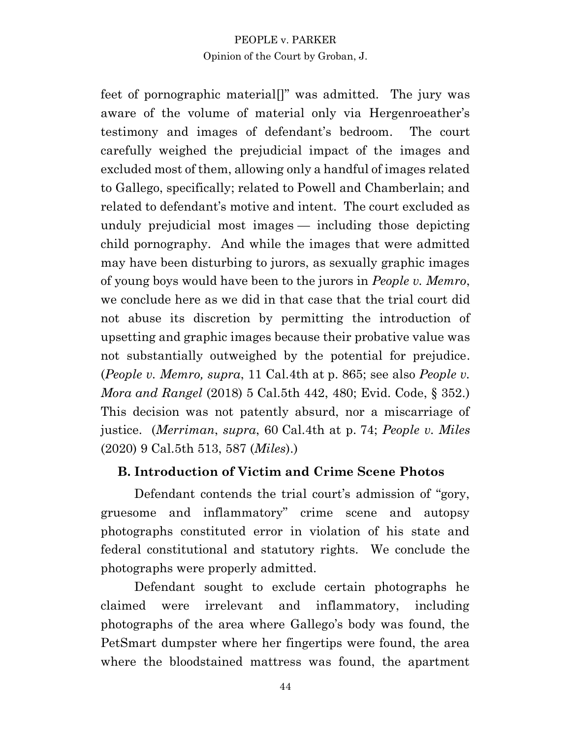feet of pornographic material<sup>[]"</sup> was admitted. The jury was aware of the volume of material only via Hergenroeather's testimony and images of defendant's bedroom. The court carefully weighed the prejudicial impact of the images and excluded most of them, allowing only a handful of images related to Gallego, specifically; related to Powell and Chamberlain; and related to defendant's motive and intent. The court excluded as unduly prejudicial most images — including those depicting child pornography. And while the images that were admitted may have been disturbing to jurors, as sexually graphic images of young boys would have been to the jurors in *People v. Memro*, we conclude here as we did in that case that the trial court did not abuse its discretion by permitting the introduction of upsetting and graphic images because their probative value was not substantially outweighed by the potential for prejudice. (*People v. Memro, supra*, 11 Cal.4th at p. 865; see also *People v. Mora and Rangel* (2018) 5 Cal.5th 442, 480; Evid. Code, § 352.) This decision was not patently absurd, nor a miscarriage of justice. (*Merriman*, *supra*, 60 Cal.4th at p. 74; *People v. Miles* (2020) 9 Cal.5th 513, 587 (*Miles*).)

# **B. Introduction of Victim and Crime Scene Photos**

Defendant contends the trial court's admission of "gory, gruesome and inflammatory" crime scene and autopsy photographs constituted error in violation of his state and federal constitutional and statutory rights. We conclude the photographs were properly admitted.

Defendant sought to exclude certain photographs he claimed were irrelevant and inflammatory, including photographs of the area where Gallego's body was found, the PetSmart dumpster where her fingertips were found, the area where the bloodstained mattress was found, the apartment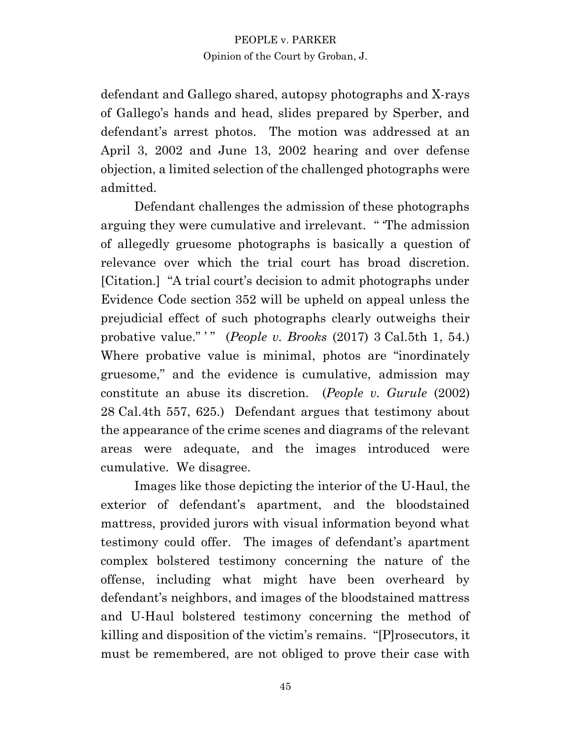defendant and Gallego shared, autopsy photographs and X-rays of Gallego's hands and head, slides prepared by Sperber, and defendant's arrest photos. The motion was addressed at an April 3, 2002 and June 13, 2002 hearing and over defense objection, a limited selection of the challenged photographs were admitted.

Defendant challenges the admission of these photographs arguing they were cumulative and irrelevant. " 'The admission of allegedly gruesome photographs is basically a question of relevance over which the trial court has broad discretion. [Citation.] "A trial court's decision to admit photographs under Evidence Code section 352 will be upheld on appeal unless the prejudicial effect of such photographs clearly outweighs their probative value." " (*People v. Brooks* (2017) 3 Cal.5th 1, 54.) Where probative value is minimal, photos are "inordinately gruesome," and the evidence is cumulative, admission may constitute an abuse its discretion. (*People v. Gurule* (2002) 28 Cal.4th 557, 625.) Defendant argues that testimony about the appearance of the crime scenes and diagrams of the relevant areas were adequate, and the images introduced were cumulative. We disagree.

Images like those depicting the interior of the U-Haul, the exterior of defendant's apartment, and the bloodstained mattress, provided jurors with visual information beyond what testimony could offer. The images of defendant's apartment complex bolstered testimony concerning the nature of the offense, including what might have been overheard by defendant's neighbors, and images of the bloodstained mattress and U-Haul bolstered testimony concerning the method of killing and disposition of the victim's remains. "[P]rosecutors, it must be remembered, are not obliged to prove their case with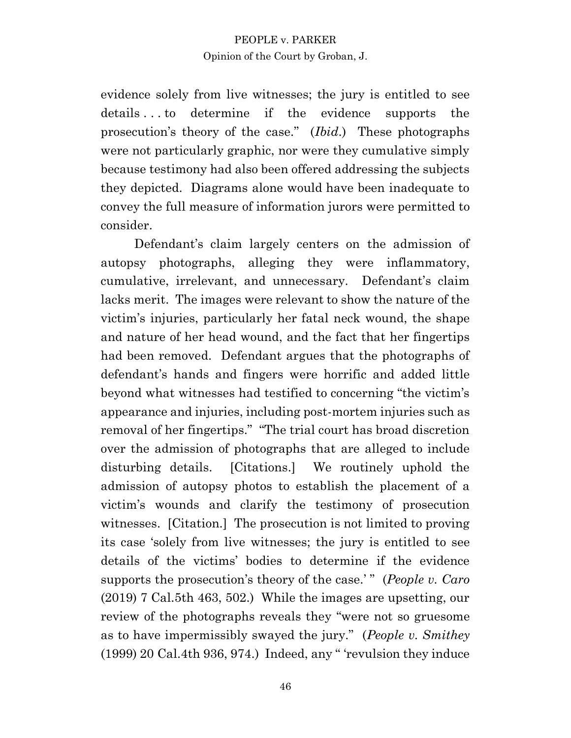evidence solely from live witnesses; the jury is entitled to see details . . . to determine if the evidence supports the prosecution's theory of the case." (*Ibid*.) These photographs were not particularly graphic, nor were they cumulative simply because testimony had also been offered addressing the subjects they depicted. Diagrams alone would have been inadequate to convey the full measure of information jurors were permitted to consider.

Defendant's claim largely centers on the admission of autopsy photographs, alleging they were inflammatory, cumulative, irrelevant, and unnecessary. Defendant's claim lacks merit. The images were relevant to show the nature of the victim's injuries, particularly her fatal neck wound, the shape and nature of her head wound, and the fact that her fingertips had been removed. Defendant argues that the photographs of defendant's hands and fingers were horrific and added little beyond what witnesses had testified to concerning "the victim's appearance and injuries, including post-mortem injuries such as removal of her fingertips." "The trial court has broad discretion over the admission of photographs that are alleged to include disturbing details. [Citations.] We routinely uphold the admission of autopsy photos to establish the placement of a victim's wounds and clarify the testimony of prosecution witnesses. [Citation.] The prosecution is not limited to proving its case 'solely from live witnesses; the jury is entitled to see details of the victims' bodies to determine if the evidence supports the prosecution's theory of the case.' " (*People v. Caro*  (2019) 7 Cal.5th 463, 502.) While the images are upsetting, our review of the photographs reveals they "were not so gruesome as to have impermissibly swayed the jury." (*People v. Smithey* (1999) 20 Cal.4th 936, 974.) Indeed, any " 'revulsion they induce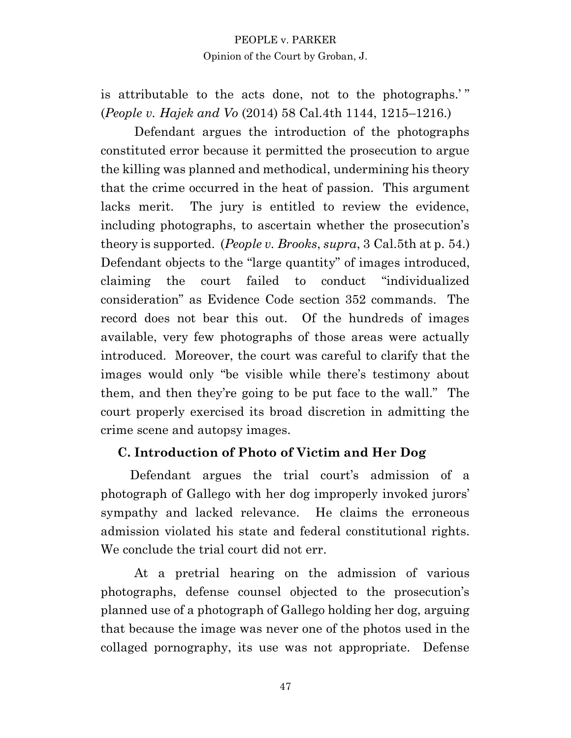is attributable to the acts done, not to the photographs.' " (*People v. Hajek and Vo* (2014) 58 Cal.4th 1144, 1215–1216.)

Defendant argues the introduction of the photographs constituted error because it permitted the prosecution to argue the killing was planned and methodical, undermining his theory that the crime occurred in the heat of passion. This argument lacks merit. The jury is entitled to review the evidence, including photographs, to ascertain whether the prosecution's theory is supported. (*People v. Brooks*, *supra*, 3 Cal.5th at p. 54.) Defendant objects to the "large quantity" of images introduced, claiming the court failed to conduct "individualized consideration" as Evidence Code section 352 commands. The record does not bear this out. Of the hundreds of images available, very few photographs of those areas were actually introduced. Moreover, the court was careful to clarify that the images would only "be visible while there's testimony about them, and then they're going to be put face to the wall." The court properly exercised its broad discretion in admitting the crime scene and autopsy images.

# **C. Introduction of Photo of Victim and Her Dog**

Defendant argues the trial court's admission of a photograph of Gallego with her dog improperly invoked jurors' sympathy and lacked relevance. He claims the erroneous admission violated his state and federal constitutional rights. We conclude the trial court did not err.

At a pretrial hearing on the admission of various photographs, defense counsel objected to the prosecution's planned use of a photograph of Gallego holding her dog, arguing that because the image was never one of the photos used in the collaged pornography, its use was not appropriate. Defense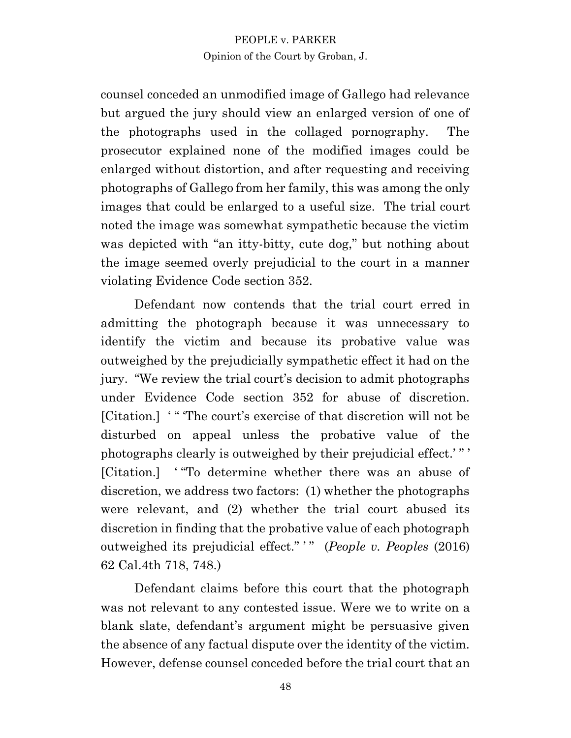counsel conceded an unmodified image of Gallego had relevance but argued the jury should view an enlarged version of one of the photographs used in the collaged pornography. The prosecutor explained none of the modified images could be enlarged without distortion, and after requesting and receiving photographs of Gallego from her family, this was among the only images that could be enlarged to a useful size. The trial court noted the image was somewhat sympathetic because the victim was depicted with "an itty-bitty, cute dog," but nothing about the image seemed overly prejudicial to the court in a manner violating Evidence Code section 352.

Defendant now contends that the trial court erred in admitting the photograph because it was unnecessary to identify the victim and because its probative value was outweighed by the prejudicially sympathetic effect it had on the jury. "We review the trial court's decision to admit photographs under Evidence Code section 352 for abuse of discretion. [Citation.] '" The court's exercise of that discretion will not be disturbed on appeal unless the probative value of the photographs clearly is outweighed by their prejudicial effect.' " ' [Citation.] ' "To determine whether there was an abuse of discretion, we address two factors: (1) whether the photographs were relevant, and (2) whether the trial court abused its discretion in finding that the probative value of each photograph outweighed its prejudicial effect." ' " (*People v. Peoples* (2016) 62 Cal.4th 718, 748.)

Defendant claims before this court that the photograph was not relevant to any contested issue. Were we to write on a blank slate, defendant's argument might be persuasive given the absence of any factual dispute over the identity of the victim. However, defense counsel conceded before the trial court that an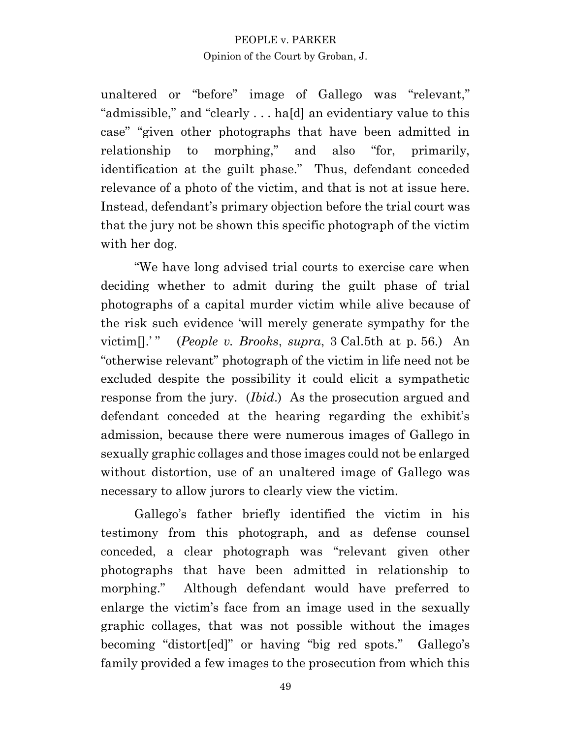unaltered or "before" image of Gallego was "relevant," "admissible," and "clearly . . . ha[d] an evidentiary value to this case" "given other photographs that have been admitted in relationship to morphing," and also "for, primarily, identification at the guilt phase." Thus, defendant conceded relevance of a photo of the victim, and that is not at issue here. Instead, defendant's primary objection before the trial court was that the jury not be shown this specific photograph of the victim with her dog.

"We have long advised trial courts to exercise care when deciding whether to admit during the guilt phase of trial photographs of a capital murder victim while alive because of the risk such evidence 'will merely generate sympathy for the victim[].' " (*People v. Brooks*, *supra*, 3 Cal.5th at p. 56.) An "otherwise relevant" photograph of the victim in life need not be excluded despite the possibility it could elicit a sympathetic response from the jury. (*Ibid*.) As the prosecution argued and defendant conceded at the hearing regarding the exhibit's admission, because there were numerous images of Gallego in sexually graphic collages and those images could not be enlarged without distortion, use of an unaltered image of Gallego was necessary to allow jurors to clearly view the victim.

Gallego's father briefly identified the victim in his testimony from this photograph, and as defense counsel conceded, a clear photograph was "relevant given other photographs that have been admitted in relationship to morphing." Although defendant would have preferred to enlarge the victim's face from an image used in the sexually graphic collages, that was not possible without the images becoming "distort[ed]" or having "big red spots." Gallego's family provided a few images to the prosecution from which this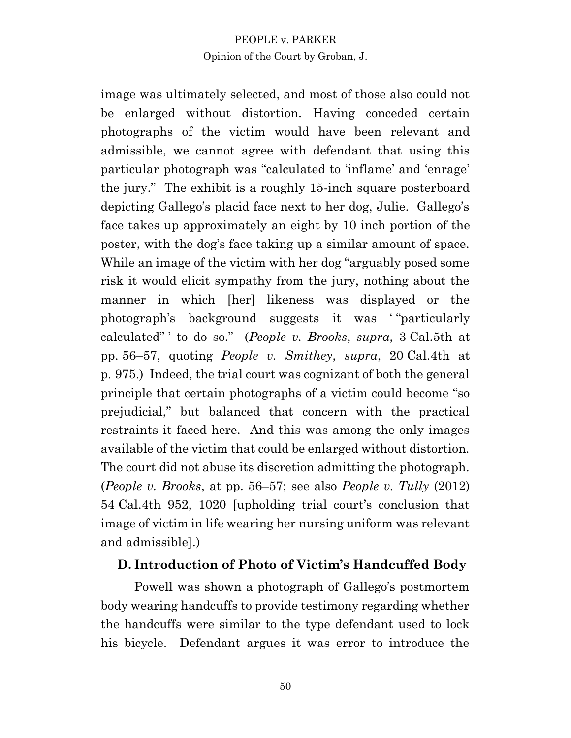image was ultimately selected, and most of those also could not be enlarged without distortion. Having conceded certain photographs of the victim would have been relevant and admissible, we cannot agree with defendant that using this particular photograph was "calculated to 'inflame' and 'enrage' the jury." The exhibit is a roughly 15-inch square posterboard depicting Gallego's placid face next to her dog, Julie. Gallego's face takes up approximately an eight by 10 inch portion of the poster, with the dog's face taking up a similar amount of space. While an image of the victim with her dog "arguably posed some risk it would elicit sympathy from the jury, nothing about the manner in which [her] likeness was displayed or the photograph's background suggests it was ' "particularly calculated" ' to do so." (*People v. Brooks*, *supra*, 3 Cal.5th at pp. 56–57, quoting *People v. Smithey*, *supra*, 20 Cal.4th at p. 975.) Indeed, the trial court was cognizant of both the general principle that certain photographs of a victim could become "so prejudicial," but balanced that concern with the practical restraints it faced here. And this was among the only images available of the victim that could be enlarged without distortion. The court did not abuse its discretion admitting the photograph. (*People v. Brooks*, at pp. 56–57; see also *People v. Tully* (2012) 54 Cal.4th 952, 1020 [upholding trial court's conclusion that image of victim in life wearing her nursing uniform was relevant and admissible].)

# **D. Introduction of Photo of Victim's Handcuffed Body**

Powell was shown a photograph of Gallego's postmortem body wearing handcuffs to provide testimony regarding whether the handcuffs were similar to the type defendant used to lock his bicycle. Defendant argues it was error to introduce the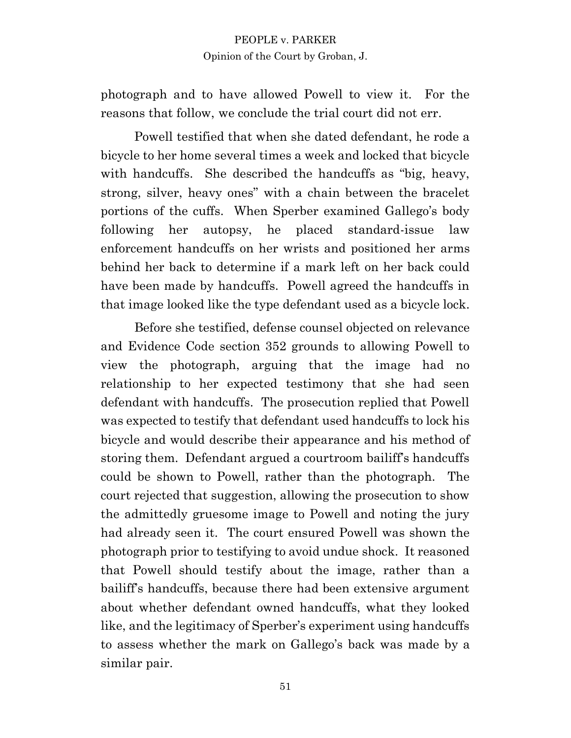photograph and to have allowed Powell to view it. For the reasons that follow, we conclude the trial court did not err.

Powell testified that when she dated defendant, he rode a bicycle to her home several times a week and locked that bicycle with handcuffs. She described the handcuffs as "big, heavy, strong, silver, heavy ones" with a chain between the bracelet portions of the cuffs. When Sperber examined Gallego's body following her autopsy, he placed standard-issue law enforcement handcuffs on her wrists and positioned her arms behind her back to determine if a mark left on her back could have been made by handcuffs. Powell agreed the handcuffs in that image looked like the type defendant used as a bicycle lock.

Before she testified, defense counsel objected on relevance and Evidence Code section 352 grounds to allowing Powell to view the photograph, arguing that the image had no relationship to her expected testimony that she had seen defendant with handcuffs. The prosecution replied that Powell was expected to testify that defendant used handcuffs to lock his bicycle and would describe their appearance and his method of storing them. Defendant argued a courtroom bailiff's handcuffs could be shown to Powell, rather than the photograph. The court rejected that suggestion, allowing the prosecution to show the admittedly gruesome image to Powell and noting the jury had already seen it. The court ensured Powell was shown the photograph prior to testifying to avoid undue shock. It reasoned that Powell should testify about the image, rather than a bailiff's handcuffs, because there had been extensive argument about whether defendant owned handcuffs, what they looked like, and the legitimacy of Sperber's experiment using handcuffs to assess whether the mark on Gallego's back was made by a similar pair.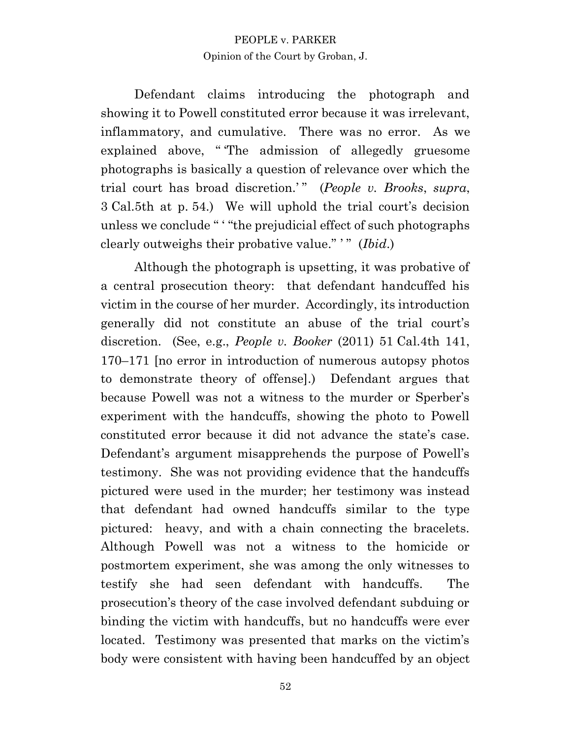Defendant claims introducing the photograph and showing it to Powell constituted error because it was irrelevant, inflammatory, and cumulative. There was no error. As we explained above, " 'The admission of allegedly gruesome photographs is basically a question of relevance over which the trial court has broad discretion.'" (People v. Brooks, supra, 3 Cal.5th at p. 54.) We will uphold the trial court's decision unless we conclude " ' "the prejudicial effect of such photographs clearly outweighs their probative value." ' " (*Ibid*.)

Although the photograph is upsetting, it was probative of a central prosecution theory: that defendant handcuffed his victim in the course of her murder. Accordingly, its introduction generally did not constitute an abuse of the trial court's discretion. (See, e.g., *People v. Booker* (2011) 51 Cal.4th 141, 170–171 [no error in introduction of numerous autopsy photos to demonstrate theory of offense].) Defendant argues that because Powell was not a witness to the murder or Sperber's experiment with the handcuffs, showing the photo to Powell constituted error because it did not advance the state's case. Defendant's argument misapprehends the purpose of Powell's testimony. She was not providing evidence that the handcuffs pictured were used in the murder; her testimony was instead that defendant had owned handcuffs similar to the type pictured: heavy, and with a chain connecting the bracelets. Although Powell was not a witness to the homicide or postmortem experiment, she was among the only witnesses to testify she had seen defendant with handcuffs. The prosecution's theory of the case involved defendant subduing or binding the victim with handcuffs, but no handcuffs were ever located. Testimony was presented that marks on the victim's body were consistent with having been handcuffed by an object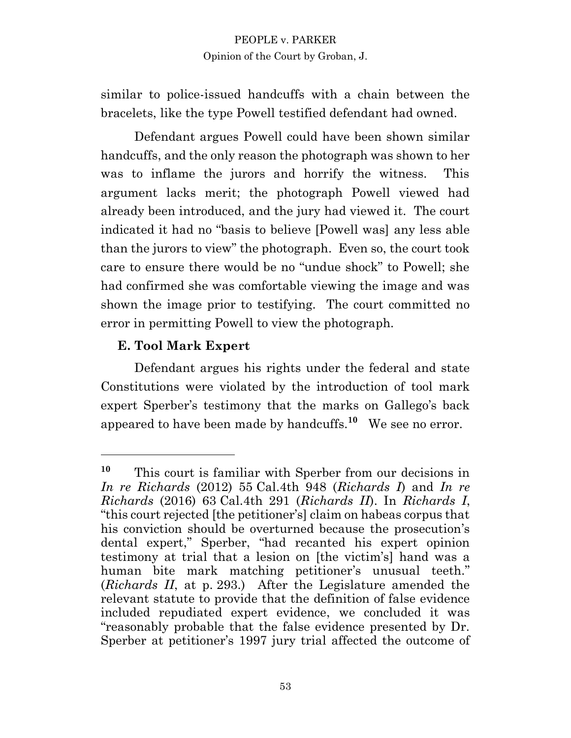similar to police-issued handcuffs with a chain between the bracelets, like the type Powell testified defendant had owned.

Defendant argues Powell could have been shown similar handcuffs, and the only reason the photograph was shown to her was to inflame the jurors and horrify the witness. This argument lacks merit; the photograph Powell viewed had already been introduced, and the jury had viewed it. The court indicated it had no "basis to believe [Powell was] any less able than the jurors to view" the photograph. Even so, the court took care to ensure there would be no "undue shock" to Powell; she had confirmed she was comfortable viewing the image and was shown the image prior to testifying. The court committed no error in permitting Powell to view the photograph.

# **E. Tool Mark Expert**

Defendant argues his rights under the federal and state Constitutions were violated by the introduction of tool mark expert Sperber's testimony that the marks on Gallego's back appeared to have been made by handcuffs.**<sup>10</sup>** We see no error.

**<sup>10</sup>** This court is familiar with Sperber from our decisions in *In re Richards* (2012) 55 Cal.4th 948 (*Richards I*) and *In re Richards* (2016) 63 Cal.4th 291 (*Richards II*). In *Richards I*, "this court rejected [the petitioner's] claim on habeas corpus that his conviction should be overturned because the prosecution's dental expert," Sperber, "had recanted his expert opinion testimony at trial that a lesion on [the victim's] hand was a human bite mark matching petitioner's unusual teeth." (*Richards II*, at p. 293.) After the Legislature amended the relevant statute to provide that the definition of false evidence included repudiated expert evidence, we concluded it was "reasonably probable that the false evidence presented by Dr. Sperber at petitioner's 1997 jury trial affected the outcome of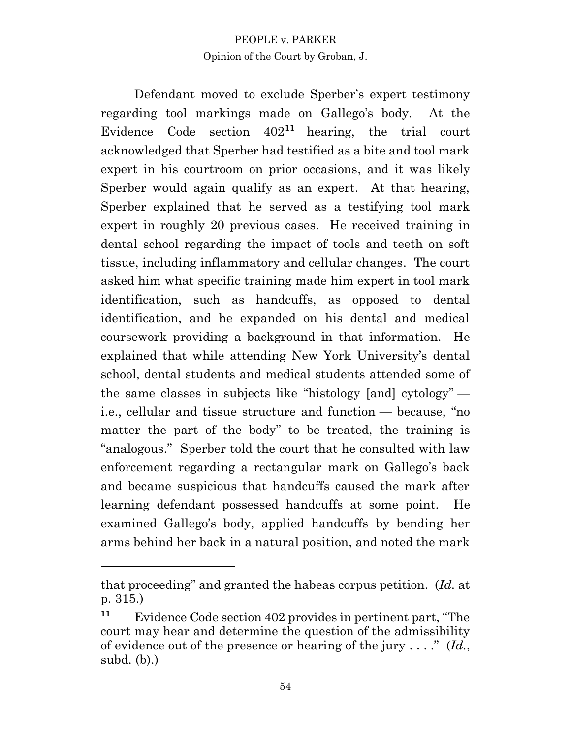Defendant moved to exclude Sperber's expert testimony regarding tool markings made on Gallego's body. At the Evidence Code section 402**<sup>11</sup>** hearing, the trial court acknowledged that Sperber had testified as a bite and tool mark expert in his courtroom on prior occasions, and it was likely Sperber would again qualify as an expert. At that hearing, Sperber explained that he served as a testifying tool mark expert in roughly 20 previous cases. He received training in dental school regarding the impact of tools and teeth on soft tissue, including inflammatory and cellular changes. The court asked him what specific training made him expert in tool mark identification, such as handcuffs, as opposed to dental identification, and he expanded on his dental and medical coursework providing a background in that information. He explained that while attending New York University's dental school, dental students and medical students attended some of the same classes in subjects like "histology [and] cytology" i.e., cellular and tissue structure and function — because, "no matter the part of the body" to be treated, the training is "analogous." Sperber told the court that he consulted with law enforcement regarding a rectangular mark on Gallego's back and became suspicious that handcuffs caused the mark after learning defendant possessed handcuffs at some point. He examined Gallego's body, applied handcuffs by bending her arms behind her back in a natural position, and noted the mark

that proceeding" and granted the habeas corpus petition. (*Id.* at p. 315.)

**<sup>11</sup>** Evidence Code section 402 provides in pertinent part, "The court may hear and determine the question of the admissibility of evidence out of the presence or hearing of the jury . . . ." (*Id.*, subd. (b).)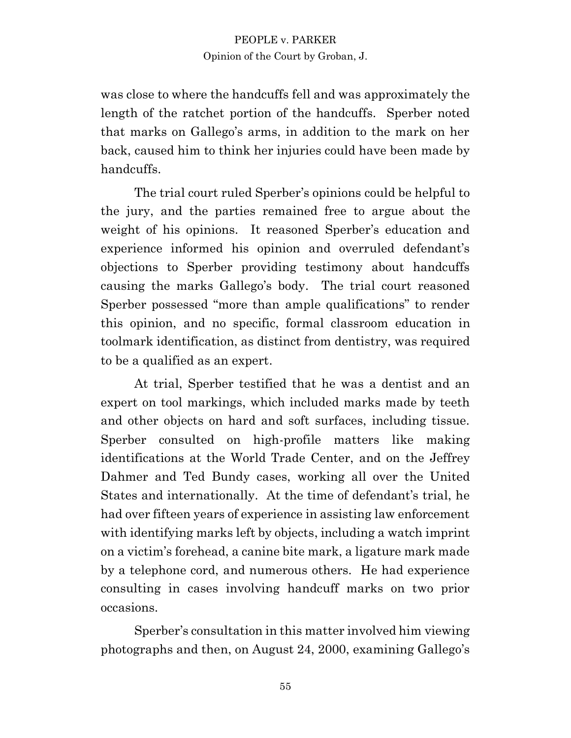was close to where the handcuffs fell and was approximately the length of the ratchet portion of the handcuffs. Sperber noted that marks on Gallego's arms, in addition to the mark on her back, caused him to think her injuries could have been made by handcuffs.

The trial court ruled Sperber's opinions could be helpful to the jury, and the parties remained free to argue about the weight of his opinions. It reasoned Sperber's education and experience informed his opinion and overruled defendant's objections to Sperber providing testimony about handcuffs causing the marks Gallego's body. The trial court reasoned Sperber possessed "more than ample qualifications" to render this opinion, and no specific, formal classroom education in toolmark identification, as distinct from dentistry, was required to be a qualified as an expert.

At trial, Sperber testified that he was a dentist and an expert on tool markings, which included marks made by teeth and other objects on hard and soft surfaces, including tissue. Sperber consulted on high-profile matters like making identifications at the World Trade Center, and on the Jeffrey Dahmer and Ted Bundy cases, working all over the United States and internationally. At the time of defendant's trial, he had over fifteen years of experience in assisting law enforcement with identifying marks left by objects, including a watch imprint on a victim's forehead, a canine bite mark, a ligature mark made by a telephone cord, and numerous others. He had experience consulting in cases involving handcuff marks on two prior occasions.

Sperber's consultation in this matter involved him viewing photographs and then, on August 24, 2000, examining Gallego's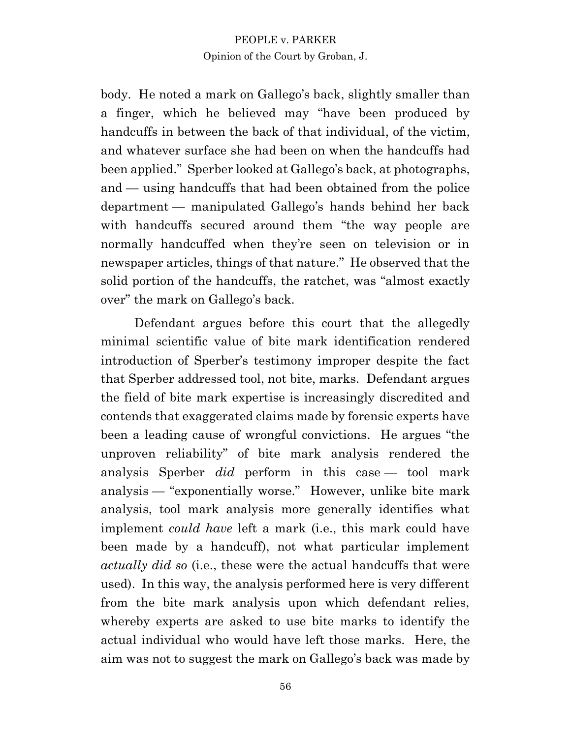body. He noted a mark on Gallego's back, slightly smaller than a finger, which he believed may "have been produced by handcuffs in between the back of that individual, of the victim, and whatever surface she had been on when the handcuffs had been applied." Sperber looked at Gallego's back, at photographs, and — using handcuffs that had been obtained from the police department — manipulated Gallego's hands behind her back with handcuffs secured around them "the way people are normally handcuffed when they're seen on television or in newspaper articles, things of that nature." He observed that the solid portion of the handcuffs, the ratchet, was "almost exactly over" the mark on Gallego's back.

Defendant argues before this court that the allegedly minimal scientific value of bite mark identification rendered introduction of Sperber's testimony improper despite the fact that Sperber addressed tool, not bite, marks. Defendant argues the field of bite mark expertise is increasingly discredited and contends that exaggerated claims made by forensic experts have been a leading cause of wrongful convictions. He argues "the unproven reliability" of bite mark analysis rendered the analysis Sperber *did* perform in this case — tool mark analysis — "exponentially worse." However, unlike bite mark analysis, tool mark analysis more generally identifies what implement *could have* left a mark (i.e., this mark could have been made by a handcuff), not what particular implement *actually did so* (i.e., these were the actual handcuffs that were used). In this way, the analysis performed here is very different from the bite mark analysis upon which defendant relies, whereby experts are asked to use bite marks to identify the actual individual who would have left those marks. Here, the aim was not to suggest the mark on Gallego's back was made by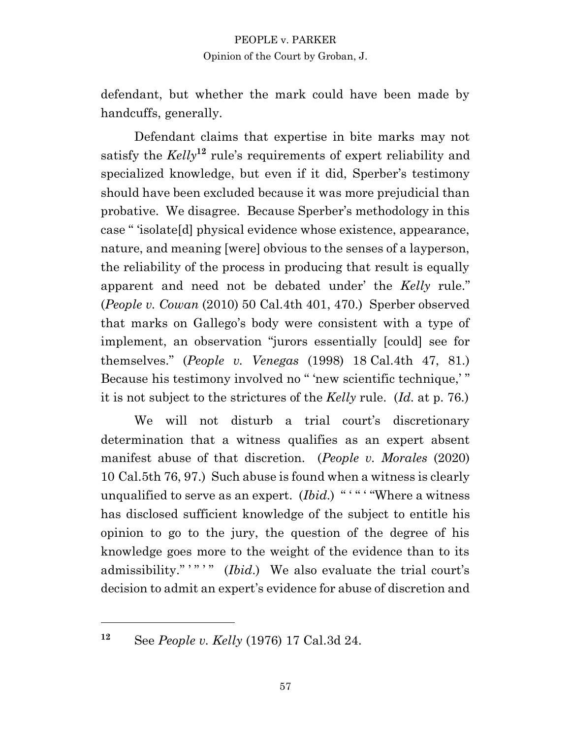defendant, but whether the mark could have been made by handcuffs, generally.

Defendant claims that expertise in bite marks may not satisfy the *Kelly***<sup>12</sup>** rule's requirements of expert reliability and specialized knowledge, but even if it did, Sperber's testimony should have been excluded because it was more prejudicial than probative. We disagree. Because Sperber's methodology in this case " 'isolate[d] physical evidence whose existence, appearance, nature, and meaning [were] obvious to the senses of a layperson, the reliability of the process in producing that result is equally apparent and need not be debated under' the *Kelly* rule." (*People v. Cowan* (2010) 50 Cal.4th 401, 470.) Sperber observed that marks on Gallego's body were consistent with a type of implement, an observation "jurors essentially [could] see for themselves." (*People v. Venegas* (1998) 18 Cal.4th 47, 81.) Because his testimony involved no " 'new scientific technique,' " it is not subject to the strictures of the *Kelly* rule. (*Id*. at p. 76.)

We will not disturb a trial court's discretionary determination that a witness qualifies as an expert absent manifest abuse of that discretion. (*People v. Morales* (2020) 10 Cal.5th 76, 97.) Such abuse is found when a witness is clearly unqualified to serve as an expert. *(Ibid.)* "'" "Where a witness has disclosed sufficient knowledge of the subject to entitle his opinion to go to the jury, the question of the degree of his knowledge goes more to the weight of the evidence than to its admissibility."""" (*Ibid*.) We also evaluate the trial court's decision to admit an expert's evidence for abuse of discretion and

**<sup>12</sup>** See *People v. Kelly* (1976) 17 Cal.3d 24.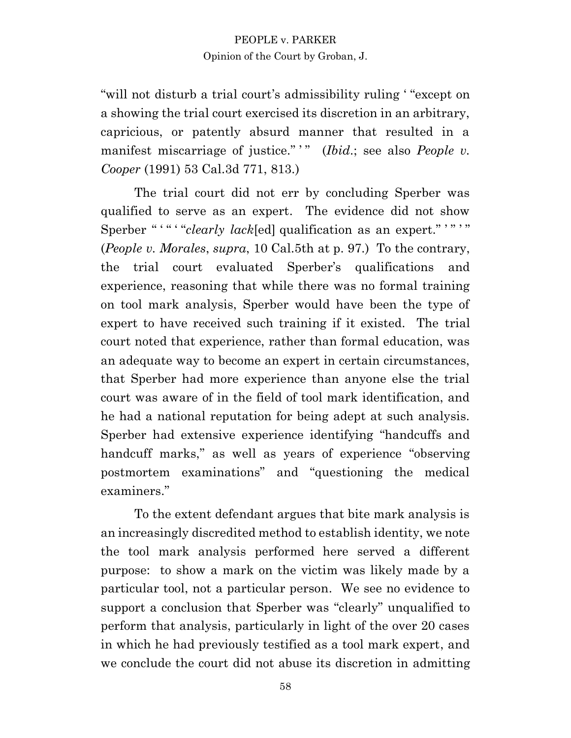"will not disturb a trial court's admissibility ruling ' "except on a showing the trial court exercised its discretion in an arbitrary, capricious, or patently absurd manner that resulted in a manifest miscarriage of justice."<sup>"</sup> (*Ibid*.; see also *People v*. *Cooper* (1991) 53 Cal.3d 771, 813.)

The trial court did not err by concluding Sperber was qualified to serve as an expert. The evidence did not show Sperber "'" " "clearly lack[ed] qualification as an expert." '" (*People v. Morales*, *supra*, 10 Cal.5th at p. 97.) To the contrary, the trial court evaluated Sperber's qualifications and experience, reasoning that while there was no formal training on tool mark analysis, Sperber would have been the type of expert to have received such training if it existed. The trial court noted that experience, rather than formal education, was an adequate way to become an expert in certain circumstances, that Sperber had more experience than anyone else the trial court was aware of in the field of tool mark identification, and he had a national reputation for being adept at such analysis. Sperber had extensive experience identifying "handcuffs and handcuff marks," as well as years of experience "observing" postmortem examinations" and "questioning the medical examiners."

To the extent defendant argues that bite mark analysis is an increasingly discredited method to establish identity, we note the tool mark analysis performed here served a different purpose: to show a mark on the victim was likely made by a particular tool, not a particular person. We see no evidence to support a conclusion that Sperber was "clearly" unqualified to perform that analysis, particularly in light of the over 20 cases in which he had previously testified as a tool mark expert, and we conclude the court did not abuse its discretion in admitting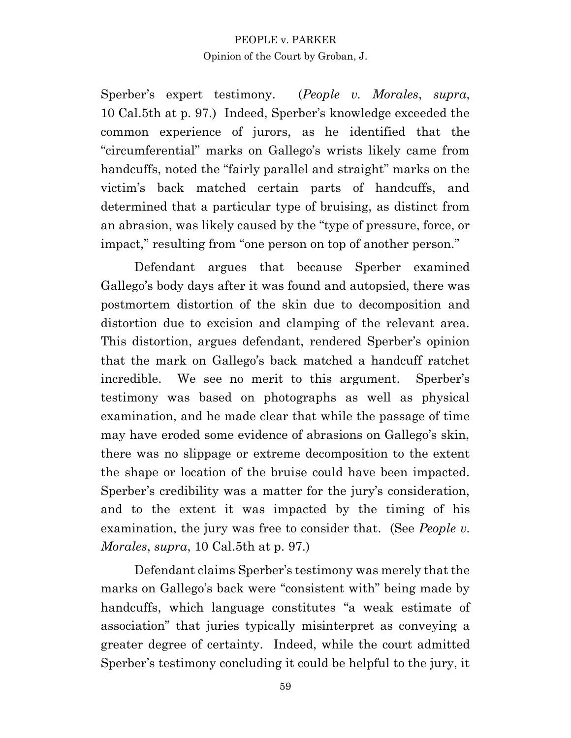Sperber's expert testimony. (*People v. Morales*, *supra*, 10 Cal.5th at p. 97.) Indeed, Sperber's knowledge exceeded the common experience of jurors, as he identified that the "circumferential" marks on Gallego's wrists likely came from handcuffs, noted the "fairly parallel and straight" marks on the victim's back matched certain parts of handcuffs, and determined that a particular type of bruising, as distinct from an abrasion, was likely caused by the "type of pressure, force, or impact," resulting from "one person on top of another person."

Defendant argues that because Sperber examined Gallego's body days after it was found and autopsied, there was postmortem distortion of the skin due to decomposition and distortion due to excision and clamping of the relevant area. This distortion, argues defendant, rendered Sperber's opinion that the mark on Gallego's back matched a handcuff ratchet incredible. We see no merit to this argument. Sperber's testimony was based on photographs as well as physical examination, and he made clear that while the passage of time may have eroded some evidence of abrasions on Gallego's skin, there was no slippage or extreme decomposition to the extent the shape or location of the bruise could have been impacted. Sperber's credibility was a matter for the jury's consideration, and to the extent it was impacted by the timing of his examination, the jury was free to consider that. (See *People v. Morales*, *supra*, 10 Cal.5th at p. 97.)

Defendant claims Sperber's testimony was merely that the marks on Gallego's back were "consistent with" being made by handcuffs, which language constitutes "a weak estimate of association" that juries typically misinterpret as conveying a greater degree of certainty. Indeed, while the court admitted Sperber's testimony concluding it could be helpful to the jury, it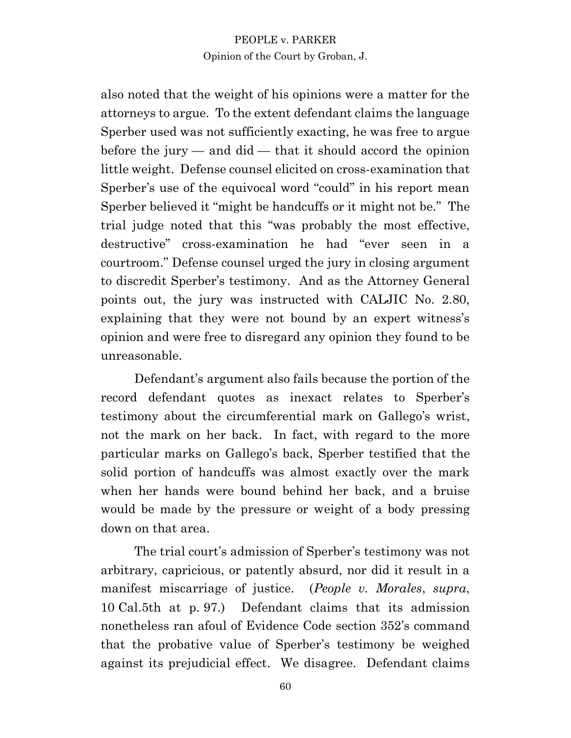also noted that the weight of his opinions were a matter for the attorneys to argue. To the extent defendant claims the language Sperber used was not sufficiently exacting, he was free to argue before the jury  $-$  and did  $-$  that it should accord the opinion little weight. Defense counsel elicited on cross-examination that Sperber's use of the equivocal word "could" in his report mean Sperber believed it "might be handcuffs or it might not be." The trial judge noted that this "was probably the most effective, destructive" cross-examination he had "ever seen in a courtroom." Defense counsel urged the jury in closing argument to discredit Sperber's testimony. And as the Attorney General points out, the jury was instructed with CALJIC No. 2.80, explaining that they were not bound by an expert witness's opinion and were free to disregard any opinion they found to be unreasonable.

Defendant's argument also fails because the portion of the record defendant quotes as inexact relates to Sperber's testimony about the circumferential mark on Gallego's wrist, not the mark on her back. In fact, with regard to the more particular marks on Gallego's back, Sperber testified that the solid portion of handcuffs was almost exactly over the mark when her hands were bound behind her back, and a bruise would be made by the pressure or weight of a body pressing down on that area.

The trial court's admission of Sperber's testimony was not arbitrary, capricious, or patently absurd, nor did it result in a manifest miscarriage of justice. (*People v. Morales*, *supra*, 10 Cal.5th at p. 97.) Defendant claims that its admission nonetheless ran afoul of Evidence Code section 352's command that the probative value of Sperber's testimony be weighed against its prejudicial effect. We disagree. Defendant claims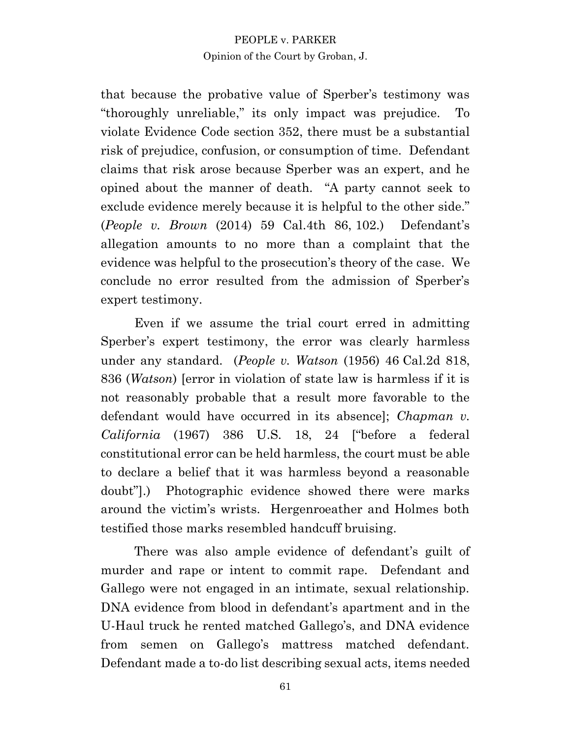that because the probative value of Sperber's testimony was "thoroughly unreliable," its only impact was prejudice. To violate Evidence Code section 352, there must be a substantial risk of prejudice, confusion, or consumption of time. Defendant claims that risk arose because Sperber was an expert, and he opined about the manner of death. "A party cannot seek to exclude evidence merely because it is helpful to the other side." (*People v. Brown* (2014) 59 Cal.4th 86, 102.) Defendant's allegation amounts to no more than a complaint that the evidence was helpful to the prosecution's theory of the case. We conclude no error resulted from the admission of Sperber's expert testimony.

Even if we assume the trial court erred in admitting Sperber's expert testimony, the error was clearly harmless under any standard. (*People v. Watson* (1956) 46 Cal.2d 818, 836 (*Watson*) [error in violation of state law is harmless if it is not reasonably probable that a result more favorable to the defendant would have occurred in its absence]; *Chapman v. California* (1967) 386 U.S. 18, 24 ["before a federal constitutional error can be held harmless, the court must be able to declare a belief that it was harmless beyond a reasonable doubt"].) Photographic evidence showed there were marks around the victim's wrists. Hergenroeather and Holmes both testified those marks resembled handcuff bruising.

There was also ample evidence of defendant's guilt of murder and rape or intent to commit rape. Defendant and Gallego were not engaged in an intimate, sexual relationship. DNA evidence from blood in defendant's apartment and in the U-Haul truck he rented matched Gallego's, and DNA evidence from semen on Gallego's mattress matched defendant. Defendant made a to-do list describing sexual acts, items needed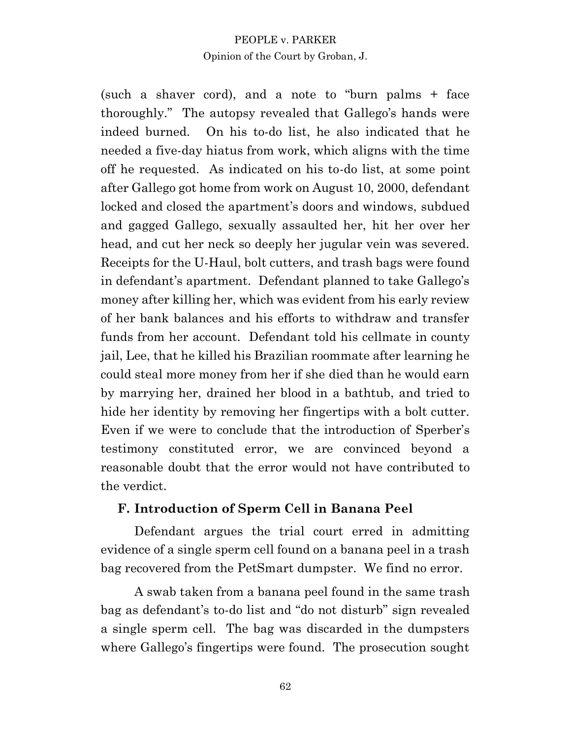(such a shaver cord), and a note to "burn palms + face thoroughly." The autopsy revealed that Gallego's hands were indeed burned. On his to-do list, he also indicated that he needed a five-day hiatus from work, which aligns with the time off he requested. As indicated on his to-do list, at some point after Gallego got home from work on August 10, 2000, defendant locked and closed the apartment's doors and windows, subdued and gagged Gallego, sexually assaulted her, hit her over her head, and cut her neck so deeply her jugular vein was severed. Receipts for the U-Haul, bolt cutters, and trash bags were found in defendant's apartment. Defendant planned to take Gallego's money after killing her, which was evident from his early review of her bank balances and his efforts to withdraw and transfer funds from her account. Defendant told his cellmate in county jail, Lee, that he killed his Brazilian roommate after learning he could steal more money from her if she died than he would earn by marrying her, drained her blood in a bathtub, and tried to hide her identity by removing her fingertips with a bolt cutter. Even if we were to conclude that the introduction of Sperber's testimony constituted error, we are convinced beyond a reasonable doubt that the error would not have contributed to the verdict.

# **F. Introduction of Sperm Cell in Banana Peel**

Defendant argues the trial court erred in admitting evidence of a single sperm cell found on a banana peel in a trash bag recovered from the PetSmart dumpster. We find no error.

A swab taken from a banana peel found in the same trash bag as defendant's to-do list and "do not disturb" sign revealed a single sperm cell. The bag was discarded in the dumpsters where Gallego's fingertips were found. The prosecution sought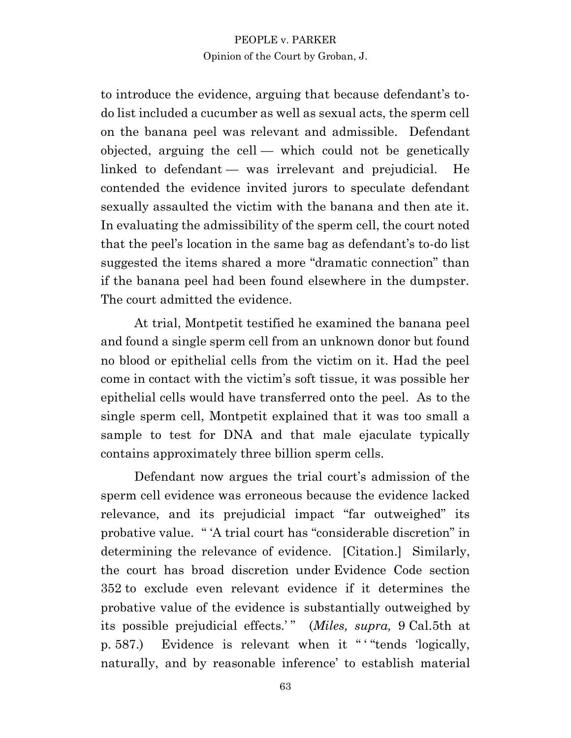to introduce the evidence, arguing that because defendant's todo list included a cucumber as well as sexual acts, the sperm cell on the banana peel was relevant and admissible. Defendant objected, arguing the cell — which could not be genetically linked to defendant — was irrelevant and prejudicial. He contended the evidence invited jurors to speculate defendant sexually assaulted the victim with the banana and then ate it. In evaluating the admissibility of the sperm cell, the court noted that the peel's location in the same bag as defendant's to-do list suggested the items shared a more "dramatic connection" than if the banana peel had been found elsewhere in the dumpster. The court admitted the evidence.

At trial, Montpetit testified he examined the banana peel and found a single sperm cell from an unknown donor but found no blood or epithelial cells from the victim on it. Had the peel come in contact with the victim's soft tissue, it was possible her epithelial cells would have transferred onto the peel. As to the single sperm cell, Montpetit explained that it was too small a sample to test for DNA and that male ejaculate typically contains approximately three billion sperm cells.

Defendant now argues the trial court's admission of the sperm cell evidence was erroneous because the evidence lacked relevance, and its prejudicial impact "far outweighed" its probative value. " 'A trial court has "considerable discretion" in determining the relevance of evidence. [Citation.] Similarly, the court has broad discretion under Evidence Code section 352 to exclude even relevant evidence if it determines the probative value of the evidence is substantially outweighed by its possible prejudicial effects.'" (*Miles, supra,* 9 Cal.5th at p. 587.) Evidence is relevant when it " ' "tends 'logically, naturally, and by reasonable inference' to establish material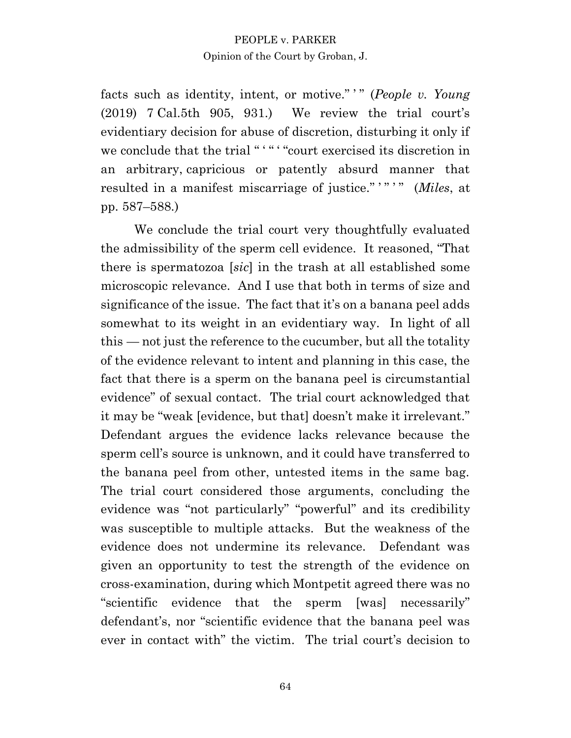facts such as identity, intent, or motive." ' " (*People v. Young* (2019) 7 Cal.5th 905, 931.) We review the trial court's evidentiary decision for abuse of discretion, disturbing it only if we conclude that the trial "'" "" court exercised its discretion in an arbitrary, capricious or patently absurd manner that resulted in a manifest miscarriage of justice."""" (*Miles*, at pp. 587–588.)

We conclude the trial court very thoughtfully evaluated the admissibility of the sperm cell evidence. It reasoned, "That there is spermatozoa [*sic*] in the trash at all established some microscopic relevance. And I use that both in terms of size and significance of the issue. The fact that it's on a banana peel adds somewhat to its weight in an evidentiary way. In light of all this — not just the reference to the cucumber, but all the totality of the evidence relevant to intent and planning in this case, the fact that there is a sperm on the banana peel is circumstantial evidence" of sexual contact. The trial court acknowledged that it may be "weak [evidence, but that] doesn't make it irrelevant." Defendant argues the evidence lacks relevance because the sperm cell's source is unknown, and it could have transferred to the banana peel from other, untested items in the same bag. The trial court considered those arguments, concluding the evidence was "not particularly" "powerful" and its credibility was susceptible to multiple attacks. But the weakness of the evidence does not undermine its relevance. Defendant was given an opportunity to test the strength of the evidence on cross-examination, during which Montpetit agreed there was no "scientific evidence that the sperm [was] necessarily" defendant's, nor "scientific evidence that the banana peel was ever in contact with" the victim. The trial court's decision to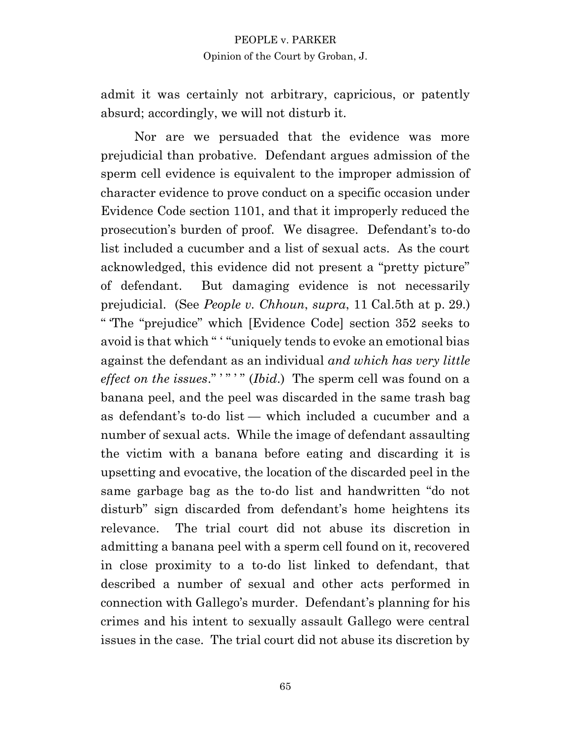admit it was certainly not arbitrary, capricious, or patently absurd; accordingly, we will not disturb it.

Nor are we persuaded that the evidence was more prejudicial than probative. Defendant argues admission of the sperm cell evidence is equivalent to the improper admission of character evidence to prove conduct on a specific occasion under Evidence Code section 1101, and that it improperly reduced the prosecution's burden of proof. We disagree. Defendant's to-do list included a cucumber and a list of sexual acts. As the court acknowledged, this evidence did not present a "pretty picture" of defendant. But damaging evidence is not necessarily prejudicial. (See *People v. Chhoun*, *supra*, 11 Cal.5th at p. 29.) " 'The "prejudice" which [Evidence Code] section 352 seeks to avoid is that which " ' "uniquely tends to evoke an emotional bias against the defendant as an individual *and which has very little effect on the issues.*"""" (*Ibid.*) The sperm cell was found on a banana peel, and the peel was discarded in the same trash bag as defendant's to-do list — which included a cucumber and a number of sexual acts. While the image of defendant assaulting the victim with a banana before eating and discarding it is upsetting and evocative, the location of the discarded peel in the same garbage bag as the to-do list and handwritten "do not disturb" sign discarded from defendant's home heightens its relevance. The trial court did not abuse its discretion in admitting a banana peel with a sperm cell found on it, recovered in close proximity to a to-do list linked to defendant, that described a number of sexual and other acts performed in connection with Gallego's murder. Defendant's planning for his crimes and his intent to sexually assault Gallego were central issues in the case. The trial court did not abuse its discretion by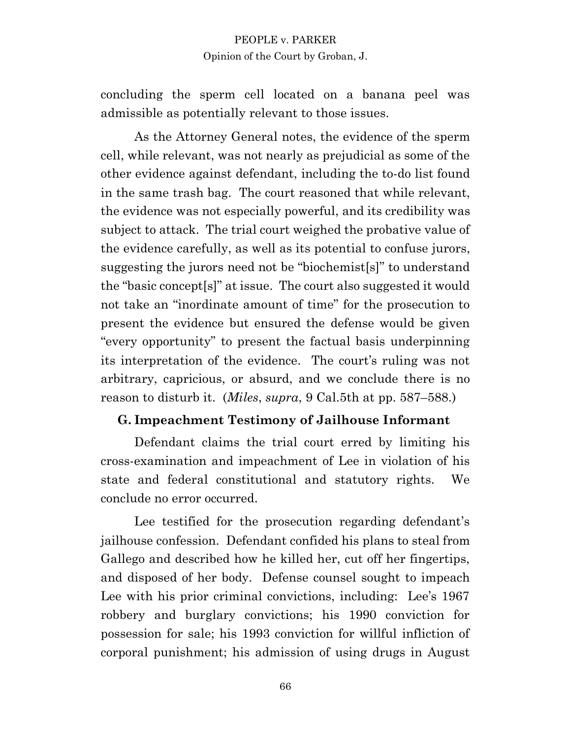concluding the sperm cell located on a banana peel was admissible as potentially relevant to those issues.

As the Attorney General notes, the evidence of the sperm cell, while relevant, was not nearly as prejudicial as some of the other evidence against defendant, including the to-do list found in the same trash bag. The court reasoned that while relevant, the evidence was not especially powerful, and its credibility was subject to attack. The trial court weighed the probative value of the evidence carefully, as well as its potential to confuse jurors, suggesting the jurors need not be "biochemist[s]" to understand the "basic concept[s]" at issue. The court also suggested it would not take an "inordinate amount of time" for the prosecution to present the evidence but ensured the defense would be given "every opportunity" to present the factual basis underpinning its interpretation of the evidence. The court's ruling was not arbitrary, capricious, or absurd, and we conclude there is no reason to disturb it. (*Miles*, *supra*, 9 Cal.5th at pp. 587–588.)

#### **G. Impeachment Testimony of Jailhouse Informant**

Defendant claims the trial court erred by limiting his cross-examination and impeachment of Lee in violation of his state and federal constitutional and statutory rights. We conclude no error occurred.

Lee testified for the prosecution regarding defendant's jailhouse confession. Defendant confided his plans to steal from Gallego and described how he killed her, cut off her fingertips, and disposed of her body. Defense counsel sought to impeach Lee with his prior criminal convictions, including: Lee's 1967 robbery and burglary convictions; his 1990 conviction for possession for sale; his 1993 conviction for willful infliction of corporal punishment; his admission of using drugs in August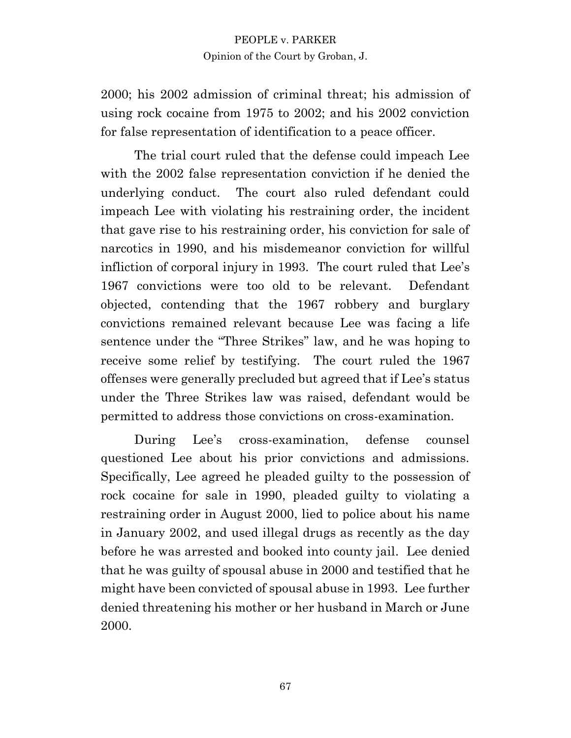2000; his 2002 admission of criminal threat; his admission of using rock cocaine from 1975 to 2002; and his 2002 conviction for false representation of identification to a peace officer.

The trial court ruled that the defense could impeach Lee with the 2002 false representation conviction if he denied the underlying conduct. The court also ruled defendant could impeach Lee with violating his restraining order, the incident that gave rise to his restraining order, his conviction for sale of narcotics in 1990, and his misdemeanor conviction for willful infliction of corporal injury in 1993. The court ruled that Lee's 1967 convictions were too old to be relevant. Defendant objected, contending that the 1967 robbery and burglary convictions remained relevant because Lee was facing a life sentence under the "Three Strikes" law, and he was hoping to receive some relief by testifying. The court ruled the 1967 offenses were generally precluded but agreed that if Lee's status under the Three Strikes law was raised, defendant would be permitted to address those convictions on cross-examination.

During Lee's cross-examination, defense counsel questioned Lee about his prior convictions and admissions. Specifically, Lee agreed he pleaded guilty to the possession of rock cocaine for sale in 1990, pleaded guilty to violating a restraining order in August 2000, lied to police about his name in January 2002, and used illegal drugs as recently as the day before he was arrested and booked into county jail. Lee denied that he was guilty of spousal abuse in 2000 and testified that he might have been convicted of spousal abuse in 1993. Lee further denied threatening his mother or her husband in March or June 2000.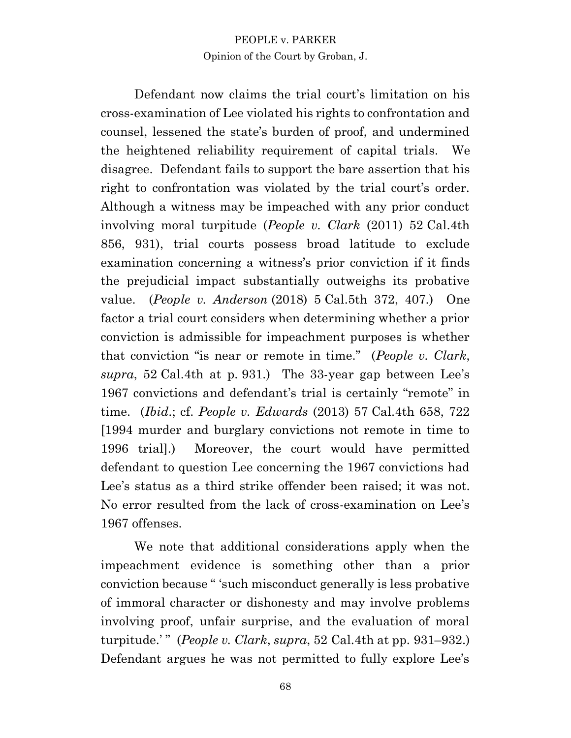Defendant now claims the trial court's limitation on his cross-examination of Lee violated his rights to confrontation and counsel, lessened the state's burden of proof, and undermined the heightened reliability requirement of capital trials. We disagree. Defendant fails to support the bare assertion that his right to confrontation was violated by the trial court's order. Although a witness may be impeached with any prior conduct involving moral turpitude (*People v. Clark* (2011) 52 Cal.4th 856, 931), trial courts possess broad latitude to exclude examination concerning a witness's prior conviction if it finds the prejudicial impact substantially outweighs its probative value. (*People v. Anderson* (2018) 5 Cal.5th 372, 407.) One factor a trial court considers when determining whether a prior conviction is admissible for impeachment purposes is whether that conviction "is near or remote in time." (*People v. Clark*, *supra*, 52 Cal.4th at p. 931.) The 33-year gap between Lee's 1967 convictions and defendant's trial is certainly "remote" in time. (*Ibid*.; cf. *People v. Edwards* (2013) 57 Cal.4th 658, 722 [1994 murder and burglary convictions not remote in time to 1996 trial].) Moreover, the court would have permitted defendant to question Lee concerning the 1967 convictions had Lee's status as a third strike offender been raised; it was not. No error resulted from the lack of cross-examination on Lee's 1967 offenses.

We note that additional considerations apply when the impeachment evidence is something other than a prior conviction because " 'such misconduct generally is less probative of immoral character or dishonesty and may involve problems involving proof, unfair surprise, and the evaluation of moral turpitude.' " (*People v. Clark*, *supra*, 52 Cal.4th at pp. 931–932.) Defendant argues he was not permitted to fully explore Lee's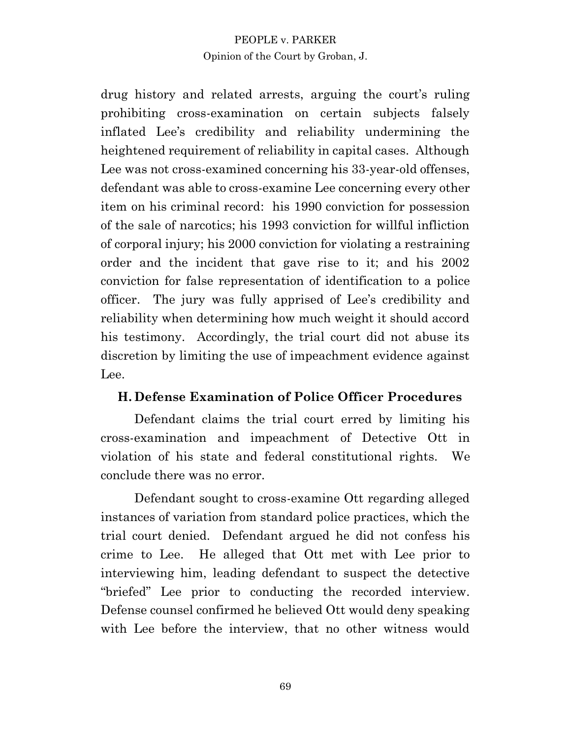drug history and related arrests, arguing the court's ruling prohibiting cross-examination on certain subjects falsely inflated Lee's credibility and reliability undermining the heightened requirement of reliability in capital cases. Although Lee was not cross-examined concerning his 33-year-old offenses, defendant was able to cross-examine Lee concerning every other item on his criminal record: his 1990 conviction for possession of the sale of narcotics; his 1993 conviction for willful infliction of corporal injury; his 2000 conviction for violating a restraining order and the incident that gave rise to it; and his 2002 conviction for false representation of identification to a police officer. The jury was fully apprised of Lee's credibility and reliability when determining how much weight it should accord his testimony. Accordingly, the trial court did not abuse its discretion by limiting the use of impeachment evidence against Lee.

# **H. Defense Examination of Police Officer Procedures**

Defendant claims the trial court erred by limiting his cross-examination and impeachment of Detective Ott in violation of his state and federal constitutional rights. We conclude there was no error.

Defendant sought to cross-examine Ott regarding alleged instances of variation from standard police practices, which the trial court denied. Defendant argued he did not confess his crime to Lee. He alleged that Ott met with Lee prior to interviewing him, leading defendant to suspect the detective "briefed" Lee prior to conducting the recorded interview. Defense counsel confirmed he believed Ott would deny speaking with Lee before the interview, that no other witness would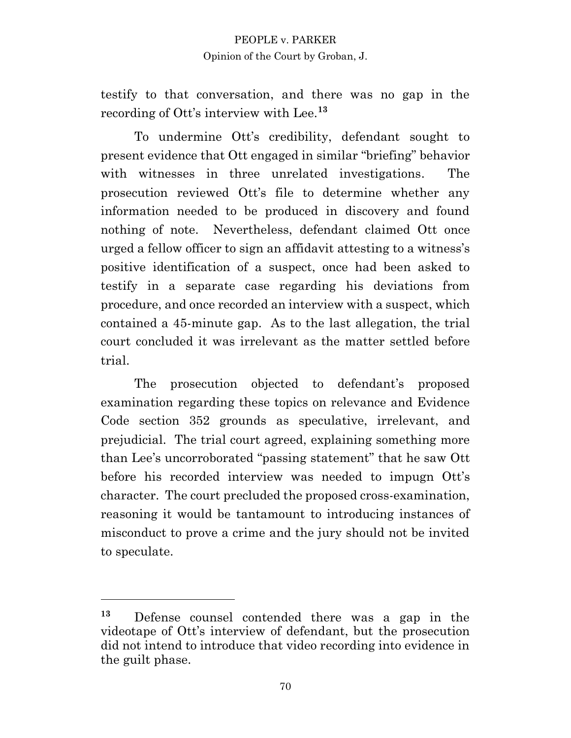testify to that conversation, and there was no gap in the recording of Ott's interview with Lee.**<sup>13</sup>**

To undermine Ott's credibility, defendant sought to present evidence that Ott engaged in similar "briefing" behavior with witnesses in three unrelated investigations. The prosecution reviewed Ott's file to determine whether any information needed to be produced in discovery and found nothing of note. Nevertheless, defendant claimed Ott once urged a fellow officer to sign an affidavit attesting to a witness's positive identification of a suspect, once had been asked to testify in a separate case regarding his deviations from procedure, and once recorded an interview with a suspect, which contained a 45-minute gap. As to the last allegation, the trial court concluded it was irrelevant as the matter settled before trial.

The prosecution objected to defendant's proposed examination regarding these topics on relevance and Evidence Code section 352 grounds as speculative, irrelevant, and prejudicial. The trial court agreed, explaining something more than Lee's uncorroborated "passing statement" that he saw Ott before his recorded interview was needed to impugn Ott's character. The court precluded the proposed cross-examination, reasoning it would be tantamount to introducing instances of misconduct to prove a crime and the jury should not be invited to speculate.

**<sup>13</sup>** Defense counsel contended there was a gap in the videotape of Ott's interview of defendant, but the prosecution did not intend to introduce that video recording into evidence in the guilt phase.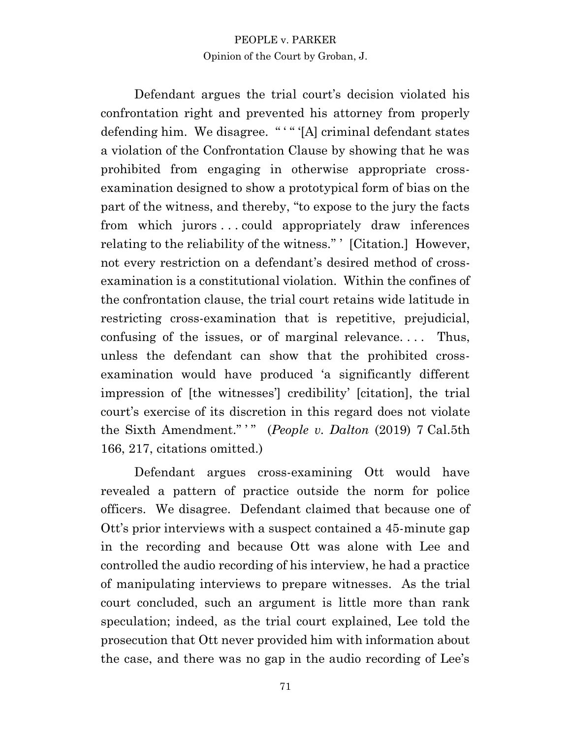Defendant argues the trial court's decision violated his confrontation right and prevented his attorney from properly defending him. We disagree. "" "[A] criminal defendant states a violation of the Confrontation Clause by showing that he was prohibited from engaging in otherwise appropriate crossexamination designed to show a prototypical form of bias on the part of the witness, and thereby, "to expose to the jury the facts from which jurors . . . could appropriately draw inferences relating to the reliability of the witness." ' [Citation.] However, not every restriction on a defendant's desired method of crossexamination is a constitutional violation. Within the confines of the confrontation clause, the trial court retains wide latitude in restricting cross-examination that is repetitive, prejudicial, confusing of the issues, or of marginal relevance. . . . Thus, unless the defendant can show that the prohibited crossexamination would have produced 'a significantly different impression of [the witnesses'] credibility' [citation], the trial court's exercise of its discretion in this regard does not violate the Sixth Amendment."" (*People v. Dalton* (2019) 7 Cal.5th 166, 217, citations omitted.)

Defendant argues cross-examining Ott would have revealed a pattern of practice outside the norm for police officers. We disagree. Defendant claimed that because one of Ott's prior interviews with a suspect contained a 45-minute gap in the recording and because Ott was alone with Lee and controlled the audio recording of his interview, he had a practice of manipulating interviews to prepare witnesses. As the trial court concluded, such an argument is little more than rank speculation; indeed, as the trial court explained, Lee told the prosecution that Ott never provided him with information about the case, and there was no gap in the audio recording of Lee's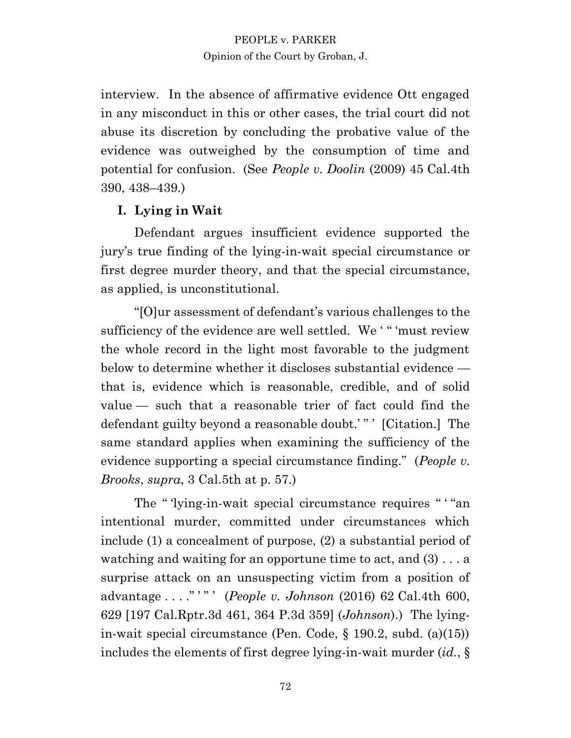interview. In the absence of affirmative evidence Ott engaged in any misconduct in this or other cases, the trial court did not abuse its discretion by concluding the probative value of the evidence was outweighed by the consumption of time and potential for confusion. (See *People v. Doolin* (2009) 45 Cal.4th 390, 438–439.)

# **I. Lying in Wait**

Defendant argues insufficient evidence supported the jury's true finding of the lying-in-wait special circumstance or first degree murder theory, and that the special circumstance, as applied, is unconstitutional.

"[O]ur assessment of defendant's various challenges to the sufficiency of the evidence are well settled. We ' " 'must review the whole record in the light most favorable to the judgment below to determine whether it discloses substantial evidence that is, evidence which is reasonable, credible, and of solid value — such that a reasonable trier of fact could find the defendant guilty beyond a reasonable doubt.'"' [Citation.] The same standard applies when examining the sufficiency of the evidence supporting a special circumstance finding." (*People v. Brooks*, *supra*, 3 Cal.5th at p. 57.)

The " 'lying-in-wait special circumstance requires " "an intentional murder, committed under circumstances which include (1) a concealment of purpose, (2) a substantial period of watching and waiting for an opportune time to act, and (3) . . . a surprise attack on an unsuspecting victim from a position of advantage . . . ." ' " ' (*People v. Johnson* (2016) 62 Cal.4th 600, 629 [197 Cal.Rptr.3d 461, 364 P.3d 359] (*Johnson*).) The lyingin-wait special circumstance (Pen. Code, § 190.2, subd. (a)(15)) includes the elements of first degree lying-in-wait murder (*id.*, §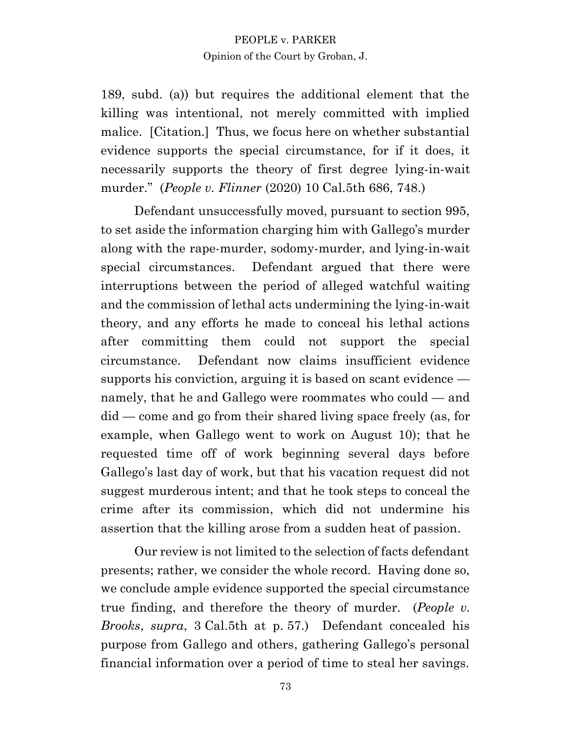189, subd. (a)) but requires the additional element that the killing was intentional, not merely committed with implied malice. [Citation.] Thus, we focus here on whether substantial evidence supports the special circumstance, for if it does, it necessarily supports the theory of first degree lying-in-wait murder." (*People v. Flinner* (2020) 10 Cal.5th 686, 748.)

Defendant unsuccessfully moved, pursuant to section 995, to set aside the information charging him with Gallego's murder along with the rape-murder, sodomy-murder, and lying-in-wait special circumstances. Defendant argued that there were interruptions between the period of alleged watchful waiting and the commission of lethal acts undermining the lying-in-wait theory, and any efforts he made to conceal his lethal actions after committing them could not support the special circumstance. Defendant now claims insufficient evidence supports his conviction, arguing it is based on scant evidence namely, that he and Gallego were roommates who could — and did — come and go from their shared living space freely (as, for example, when Gallego went to work on August 10); that he requested time off of work beginning several days before Gallego's last day of work, but that his vacation request did not suggest murderous intent; and that he took steps to conceal the crime after its commission, which did not undermine his assertion that the killing arose from a sudden heat of passion.

Our review is not limited to the selection of facts defendant presents; rather, we consider the whole record. Having done so, we conclude ample evidence supported the special circumstance true finding, and therefore the theory of murder. (*People v. Brooks*, *supra*, 3 Cal.5th at p. 57.) Defendant concealed his purpose from Gallego and others, gathering Gallego's personal financial information over a period of time to steal her savings.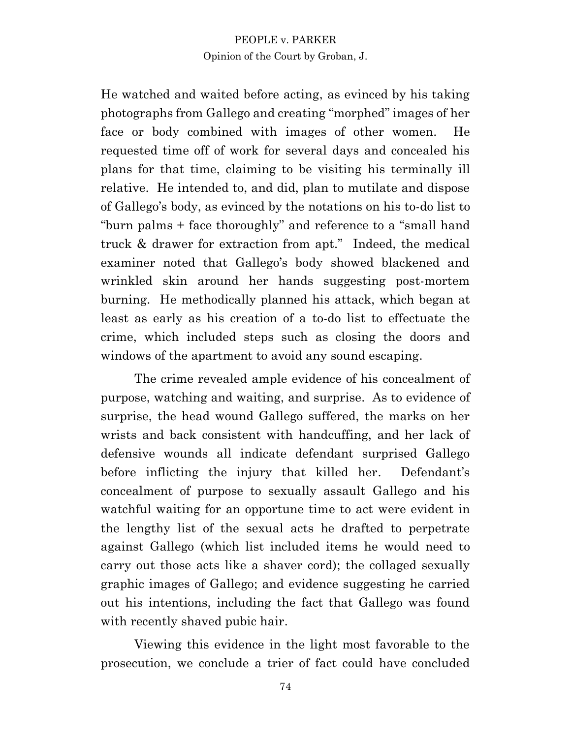He watched and waited before acting, as evinced by his taking photographs from Gallego and creating "morphed" images of her face or body combined with images of other women. He requested time off of work for several days and concealed his plans for that time, claiming to be visiting his terminally ill relative. He intended to, and did, plan to mutilate and dispose of Gallego's body, as evinced by the notations on his to-do list to "burn palms + face thoroughly" and reference to a "small hand truck & drawer for extraction from apt." Indeed, the medical examiner noted that Gallego's body showed blackened and wrinkled skin around her hands suggesting post-mortem burning. He methodically planned his attack, which began at least as early as his creation of a to-do list to effectuate the crime, which included steps such as closing the doors and windows of the apartment to avoid any sound escaping.

The crime revealed ample evidence of his concealment of purpose, watching and waiting, and surprise. As to evidence of surprise, the head wound Gallego suffered, the marks on her wrists and back consistent with handcuffing, and her lack of defensive wounds all indicate defendant surprised Gallego before inflicting the injury that killed her. Defendant's concealment of purpose to sexually assault Gallego and his watchful waiting for an opportune time to act were evident in the lengthy list of the sexual acts he drafted to perpetrate against Gallego (which list included items he would need to carry out those acts like a shaver cord); the collaged sexually graphic images of Gallego; and evidence suggesting he carried out his intentions, including the fact that Gallego was found with recently shaved pubic hair.

Viewing this evidence in the light most favorable to the prosecution, we conclude a trier of fact could have concluded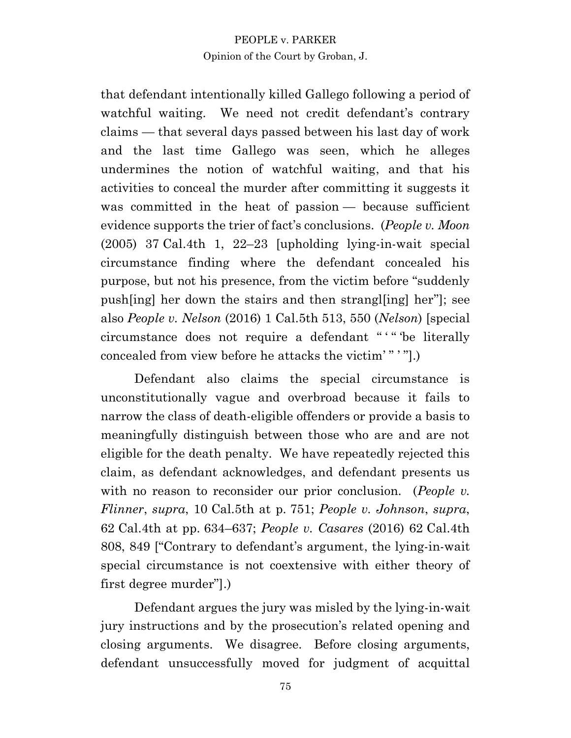that defendant intentionally killed Gallego following a period of watchful waiting. We need not credit defendant's contrary claims — that several days passed between his last day of work and the last time Gallego was seen, which he alleges undermines the notion of watchful waiting, and that his activities to conceal the murder after committing it suggests it was committed in the heat of passion — because sufficient evidence supports the trier of fact's conclusions. (*People v. Moon* (2005) 37 Cal.4th 1, 22–23 [upholding lying-in-wait special circumstance finding where the defendant concealed his purpose, but not his presence, from the victim before "suddenly push[ing] her down the stairs and then strangl[ing] her"]; see also *People v. Nelson* (2016) 1 Cal.5th 513, 550 (*Nelson*) [special circumstance does not require a defendant " ' " 'be literally concealed from view before he attacks the victim' " ' "].)

Defendant also claims the special circumstance is unconstitutionally vague and overbroad because it fails to narrow the class of death-eligible offenders or provide a basis to meaningfully distinguish between those who are and are not eligible for the death penalty. We have repeatedly rejected this claim, as defendant acknowledges, and defendant presents us with no reason to reconsider our prior conclusion. (*People v*. *Flinner*, *supra*, 10 Cal.5th at p. 751; *People v. Johnson*, *supra*, 62 Cal.4th at pp. 634–637; *People v. Casares* (2016) 62 Cal.4th 808, 849 ["Contrary to defendant's argument, the lying-in-wait special circumstance is not coextensive with either theory of first degree murder"].)

Defendant argues the jury was misled by the lying-in-wait jury instructions and by the prosecution's related opening and closing arguments. We disagree. Before closing arguments, defendant unsuccessfully moved for judgment of acquittal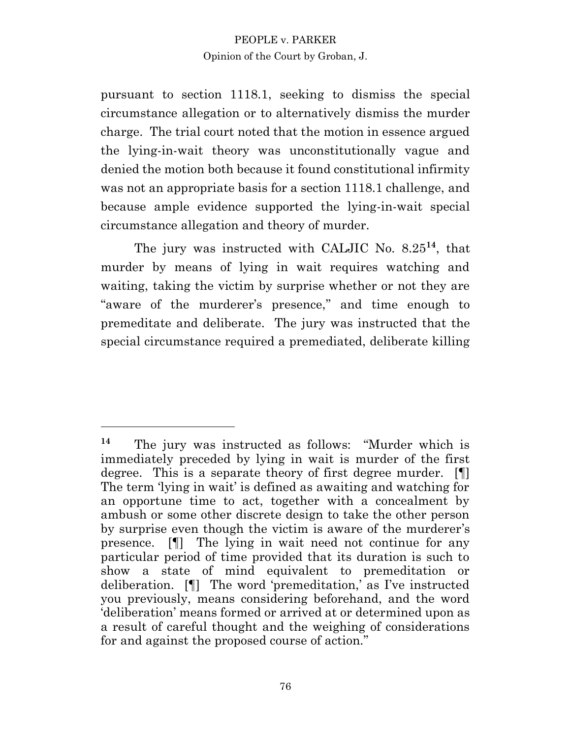pursuant to section 1118.1, seeking to dismiss the special circumstance allegation or to alternatively dismiss the murder charge. The trial court noted that the motion in essence argued the lying-in-wait theory was unconstitutionally vague and denied the motion both because it found constitutional infirmity was not an appropriate basis for a section 1118.1 challenge, and because ample evidence supported the lying-in-wait special circumstance allegation and theory of murder.

The jury was instructed with CALJIC No. 8.25**<sup>14</sup>** , that murder by means of lying in wait requires watching and waiting, taking the victim by surprise whether or not they are "aware of the murderer's presence," and time enough to premeditate and deliberate. The jury was instructed that the special circumstance required a premediated, deliberate killing

**<sup>14</sup>** The jury was instructed as follows: "Murder which is immediately preceded by lying in wait is murder of the first degree. This is a separate theory of first degree murder. [¶] The term 'lying in wait' is defined as awaiting and watching for an opportune time to act, together with a concealment by ambush or some other discrete design to take the other person by surprise even though the victim is aware of the murderer's presence. [¶] The lying in wait need not continue for any particular period of time provided that its duration is such to show a state of mind equivalent to premeditation or deliberation. [¶] The word 'premeditation,' as I've instructed you previously, means considering beforehand, and the word 'deliberation' means formed or arrived at or determined upon as a result of careful thought and the weighing of considerations for and against the proposed course of action."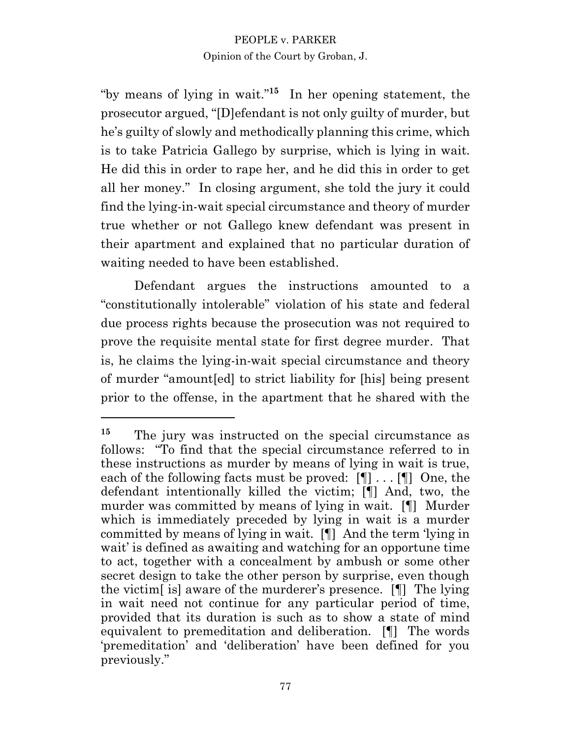"by means of lying in wait."**<sup>15</sup>** In her opening statement, the prosecutor argued, "[D]efendant is not only guilty of murder, but he's guilty of slowly and methodically planning this crime, which is to take Patricia Gallego by surprise, which is lying in wait. He did this in order to rape her, and he did this in order to get all her money." In closing argument, she told the jury it could find the lying-in-wait special circumstance and theory of murder true whether or not Gallego knew defendant was present in their apartment and explained that no particular duration of waiting needed to have been established.

Defendant argues the instructions amounted to a "constitutionally intolerable" violation of his state and federal due process rights because the prosecution was not required to prove the requisite mental state for first degree murder. That is, he claims the lying-in-wait special circumstance and theory of murder "amount[ed] to strict liability for [his] being present prior to the offense, in the apartment that he shared with the

<sup>&</sup>lt;sup>15</sup> The jury was instructed on the special circumstance as follows: "To find that the special circumstance referred to in these instructions as murder by means of lying in wait is true, each of the following facts must be proved: [¶] . . . [¶] One, the defendant intentionally killed the victim; [¶] And, two, the murder was committed by means of lying in wait. [¶] Murder which is immediately preceded by lying in wait is a murder committed by means of lying in wait. [¶] And the term 'lying in wait' is defined as awaiting and watching for an opportune time to act, together with a concealment by ambush or some other secret design to take the other person by surprise, even though the victim[ is] aware of the murderer's presence. [¶] The lying in wait need not continue for any particular period of time, provided that its duration is such as to show a state of mind equivalent to premeditation and deliberation. [¶] The words 'premeditation' and 'deliberation' have been defined for you previously."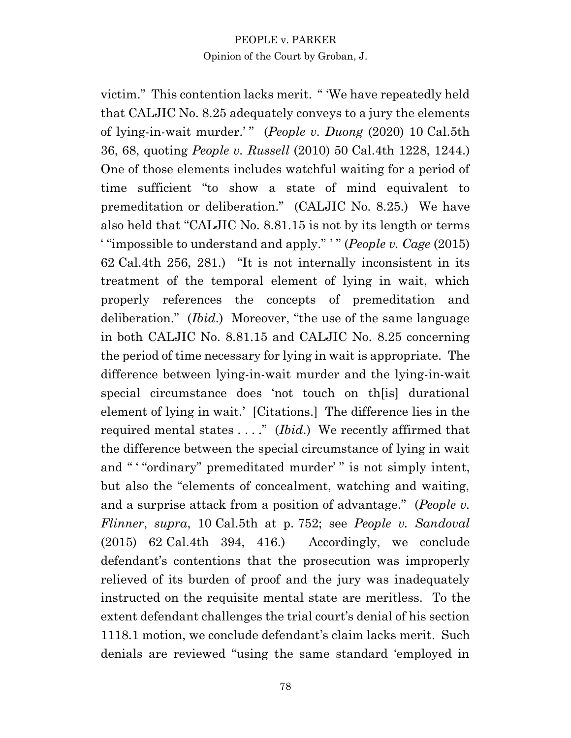victim." This contention lacks merit. " 'We have repeatedly held that CALJIC No. 8.25 adequately conveys to a jury the elements of lying-in-wait murder.' " (*People v. Duong* (2020) 10 Cal.5th 36, 68, quoting *People v. Russell* (2010) 50 Cal.4th 1228, 1244.) One of those elements includes watchful waiting for a period of time sufficient "to show a state of mind equivalent to premeditation or deliberation." (CALJIC No. 8.25.) We have also held that "CALJIC No. 8.81.15 is not by its length or terms ' "impossible to understand and apply." ' " (*People v. Cage* (2015) 62 Cal.4th 256, 281.) "It is not internally inconsistent in its treatment of the temporal element of lying in wait, which properly references the concepts of premeditation and deliberation." (*Ibid*.) Moreover, "the use of the same language in both CALJIC No. 8.81.15 and CALJIC No. 8.25 concerning the period of time necessary for lying in wait is appropriate. The difference between lying-in-wait murder and the lying-in-wait special circumstance does 'not touch on th[is] durational element of lying in wait.' [Citations.] The difference lies in the required mental states . . . ." (*Ibid*.) We recently affirmed that the difference between the special circumstance of lying in wait and ""ordinary" premeditated murder" is not simply intent, but also the "elements of concealment, watching and waiting, and a surprise attack from a position of advantage." (*People v. Flinner*, *supra*, 10 Cal.5th at p. 752; see *People v. Sandoval* (2015) 62 Cal.4th 394, 416.) Accordingly, we conclude defendant's contentions that the prosecution was improperly relieved of its burden of proof and the jury was inadequately instructed on the requisite mental state are meritless. To the extent defendant challenges the trial court's denial of his section 1118.1 motion, we conclude defendant's claim lacks merit. Such denials are reviewed "using the same standard 'employed in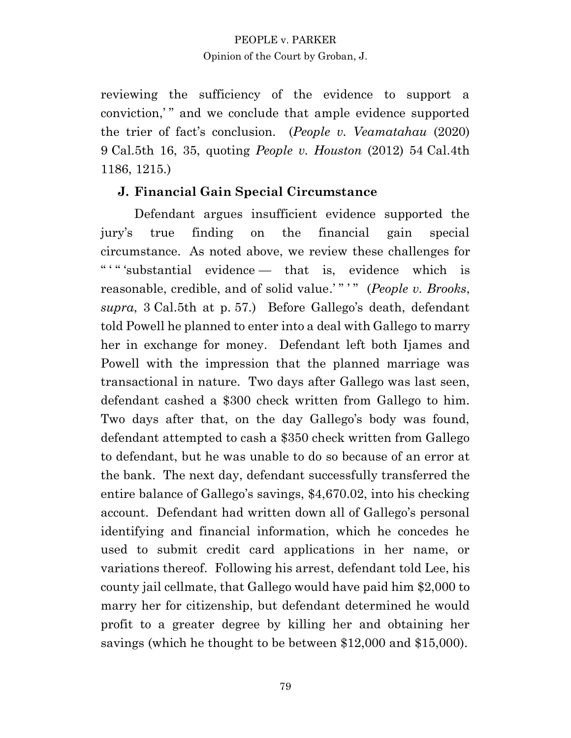reviewing the sufficiency of the evidence to support a conviction," and we conclude that ample evidence supported the trier of fact's conclusion. (*People v. Veamatahau* (2020) 9 Cal.5th 16, 35, quoting *People v. Houston* (2012) 54 Cal.4th 1186, 1215.)

# **J. Financial Gain Special Circumstance**

Defendant argues insufficient evidence supported the jury's true finding on the financial gain special circumstance. As noted above, we review these challenges for " ' " 'substantial evidence — that is, evidence which is reasonable, credible, and of solid value.' " ' " (*People v. Brooks*, *supra*, 3 Cal.5th at p. 57.) Before Gallego's death, defendant told Powell he planned to enter into a deal with Gallego to marry her in exchange for money. Defendant left both Ijames and Powell with the impression that the planned marriage was transactional in nature. Two days after Gallego was last seen, defendant cashed a \$300 check written from Gallego to him. Two days after that, on the day Gallego's body was found, defendant attempted to cash a \$350 check written from Gallego to defendant, but he was unable to do so because of an error at the bank. The next day, defendant successfully transferred the entire balance of Gallego's savings, \$4,670.02, into his checking account. Defendant had written down all of Gallego's personal identifying and financial information, which he concedes he used to submit credit card applications in her name, or variations thereof. Following his arrest, defendant told Lee, his county jail cellmate, that Gallego would have paid him \$2,000 to marry her for citizenship, but defendant determined he would profit to a greater degree by killing her and obtaining her savings (which he thought to be between \$12,000 and \$15,000).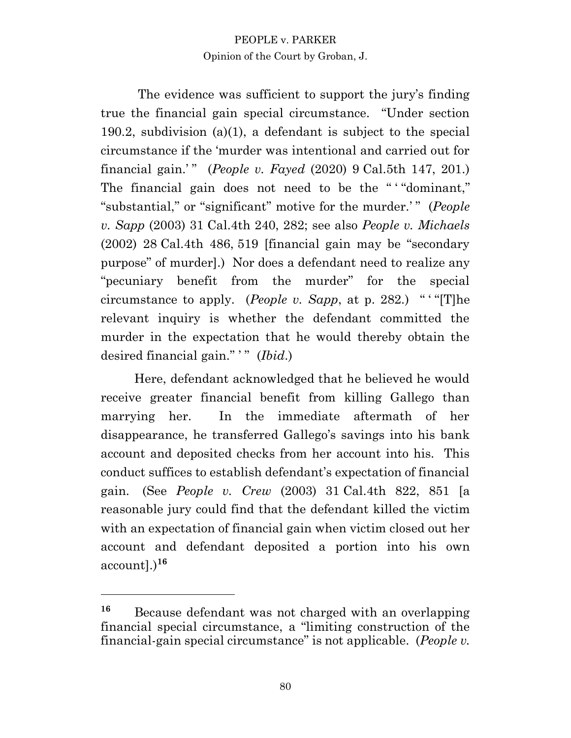The evidence was sufficient to support the jury's finding true the financial gain special circumstance. "Under section 190.2, subdivision (a)(1), a defendant is subject to the special circumstance if the 'murder was intentional and carried out for financial gain.' " (*People v. Fayed* (2020) 9 Cal.5th 147, 201.) The financial gain does not need to be the ""dominant," "substantial," or "significant" motive for the murder.'" (*People v. Sapp* (2003) 31 Cal.4th 240, 282; see also *People v. Michaels* (2002) 28 Cal.4th 486, 519 [financial gain may be "secondary purpose" of murder].) Nor does a defendant need to realize any "pecuniary benefit from the murder" for the special circumstance to apply. (*People v. Sapp*, at p. 282.) " ' "[T]he relevant inquiry is whether the defendant committed the murder in the expectation that he would thereby obtain the desired financial gain."<sup>"</sup> (*Ibid.*)

Here, defendant acknowledged that he believed he would receive greater financial benefit from killing Gallego than marrying her. In the immediate aftermath of her disappearance, he transferred Gallego's savings into his bank account and deposited checks from her account into his. This conduct suffices to establish defendant's expectation of financial gain. (See *People v. Crew* (2003) 31 Cal.4th 822, 851 [a reasonable jury could find that the defendant killed the victim with an expectation of financial gain when victim closed out her account and defendant deposited a portion into his own account].)**<sup>16</sup>**

**<sup>16</sup>** Because defendant was not charged with an overlapping financial special circumstance, a "limiting construction of the financial-gain special circumstance" is not applicable. (*People v.*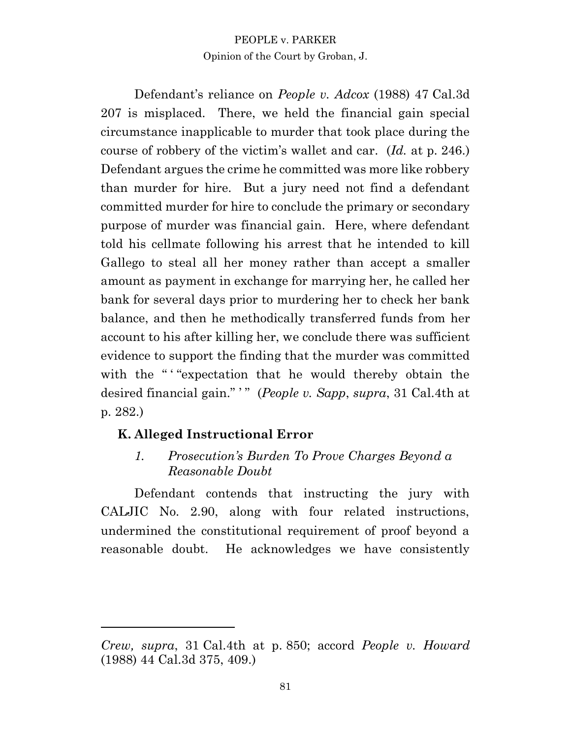Defendant's reliance on *People v. Adcox* (1988) 47 Cal.3d 207 is misplaced. There, we held the financial gain special circumstance inapplicable to murder that took place during the course of robbery of the victim's wallet and car. (*Id.* at p. 246.) Defendant argues the crime he committed was more like robbery than murder for hire. But a jury need not find a defendant committed murder for hire to conclude the primary or secondary purpose of murder was financial gain. Here, where defendant told his cellmate following his arrest that he intended to kill Gallego to steal all her money rather than accept a smaller amount as payment in exchange for marrying her, he called her bank for several days prior to murdering her to check her bank balance, and then he methodically transferred funds from her account to his after killing her, we conclude there was sufficient evidence to support the finding that the murder was committed with the " "expectation that he would thereby obtain the desired financial gain." ' " (*People v. Sapp*, *supra*, 31 Cal.4th at p. 282.)

# **K. Alleged Instructional Error**

*1. Prosecution's Burden To Prove Charges Beyond a Reasonable Doubt* 

Defendant contends that instructing the jury with CALJIC No. 2.90, along with four related instructions, undermined the constitutional requirement of proof beyond a reasonable doubt. He acknowledges we have consistently

*Crew, supra*, 31 Cal.4th at p. 850; accord *People v. Howard*  (1988) 44 Cal.3d 375, 409.)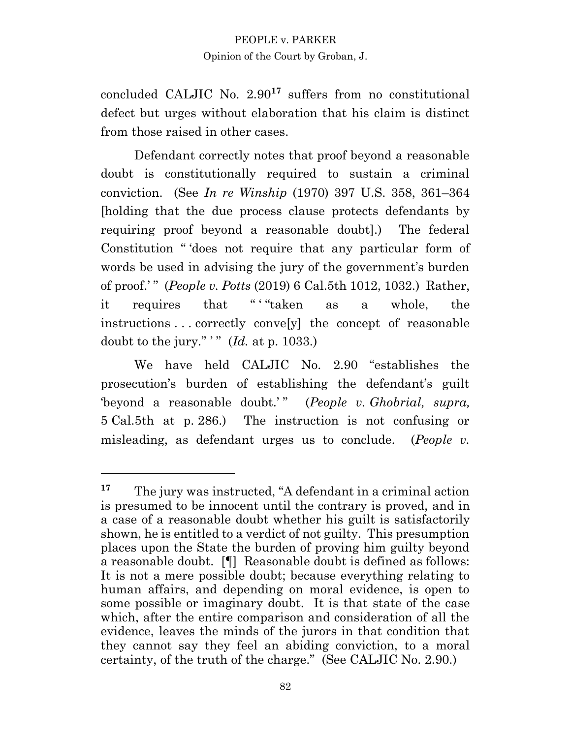concluded CALJIC No. 2.90**<sup>17</sup>** suffers from no constitutional defect but urges without elaboration that his claim is distinct from those raised in other cases.

Defendant correctly notes that proof beyond a reasonable doubt is constitutionally required to sustain a criminal conviction. (See *In re Winship* (1970) 397 U.S. 358, 361–364 [holding that the due process clause protects defendants by requiring proof beyond a reasonable doubt].) The federal Constitution " 'does not require that any particular form of words be used in advising the jury of the government's burden of proof.' " (*People v. Potts* (2019) 6 Cal.5th 1012, 1032.) Rather, it requires that " ' "taken as a whole, the instructions . . . correctly conve[y] the concept of reasonable doubt to the jury."  $\dddot{M}$  (*Id.* at p. 1033.)

We have held CALJIC No. 2.90 "establishes the prosecution's burden of establishing the defendant's guilt 'beyond a reasonable doubt.' " (*People v. Ghobrial, supra,* 5 Cal.5th at p. 286.) The instruction is not confusing or misleading, as defendant urges us to conclude. (*People v.*

**<sup>17</sup>** The jury was instructed, "A defendant in a criminal action is presumed to be innocent until the contrary is proved, and in a case of a reasonable doubt whether his guilt is satisfactorily shown, he is entitled to a verdict of not guilty. This presumption places upon the State the burden of proving him guilty beyond a reasonable doubt. [¶] Reasonable doubt is defined as follows: It is not a mere possible doubt; because everything relating to human affairs, and depending on moral evidence, is open to some possible or imaginary doubt. It is that state of the case which, after the entire comparison and consideration of all the evidence, leaves the minds of the jurors in that condition that they cannot say they feel an abiding conviction, to a moral certainty, of the truth of the charge." (See CALJIC No. 2.90.)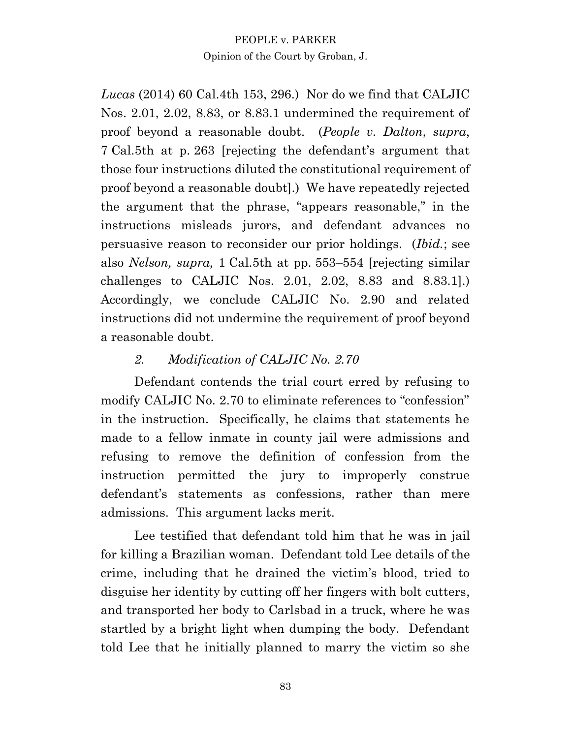*Lucas* (2014) 60 Cal.4th 153, 296.) Nor do we find that CALJIC Nos. 2.01, 2.02, 8.83, or 8.83.1 undermined the requirement of proof beyond a reasonable doubt. (*People v. Dalton*, *supra*, 7 Cal.5th at p. 263 [rejecting the defendant's argument that those four instructions diluted the constitutional requirement of proof beyond a reasonable doubt].) We have repeatedly rejected the argument that the phrase, "appears reasonable," in the instructions misleads jurors, and defendant advances no persuasive reason to reconsider our prior holdings. (*Ibid.*; see also *Nelson, supra,* 1 Cal.5th at pp. 553–554 [rejecting similar challenges to CALJIC Nos. 2.01, 2.02, 8.83 and 8.83.1].) Accordingly, we conclude CALJIC No. 2.90 and related instructions did not undermine the requirement of proof beyond a reasonable doubt.

# *2. Modification of CALJIC No. 2.70*

Defendant contends the trial court erred by refusing to modify CALJIC No. 2.70 to eliminate references to "confession" in the instruction. Specifically, he claims that statements he made to a fellow inmate in county jail were admissions and refusing to remove the definition of confession from the instruction permitted the jury to improperly construe defendant's statements as confessions, rather than mere admissions. This argument lacks merit.

Lee testified that defendant told him that he was in jail for killing a Brazilian woman. Defendant told Lee details of the crime, including that he drained the victim's blood, tried to disguise her identity by cutting off her fingers with bolt cutters, and transported her body to Carlsbad in a truck, where he was startled by a bright light when dumping the body. Defendant told Lee that he initially planned to marry the victim so she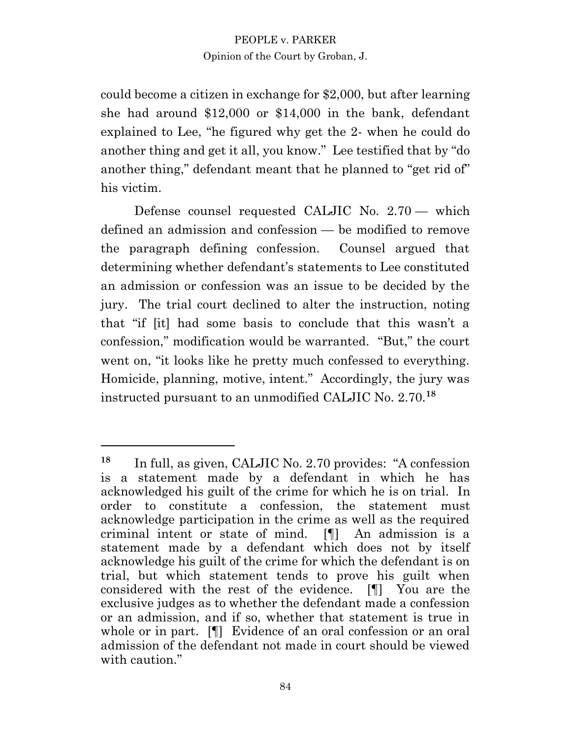could become a citizen in exchange for \$2,000, but after learning she had around \$12,000 or \$14,000 in the bank, defendant explained to Lee, "he figured why get the 2- when he could do another thing and get it all, you know." Lee testified that by "do another thing," defendant meant that he planned to "get rid of" his victim.

Defense counsel requested CALJIC No. 2.70 — which defined an admission and confession — be modified to remove the paragraph defining confession. Counsel argued that determining whether defendant's statements to Lee constituted an admission or confession was an issue to be decided by the jury. The trial court declined to alter the instruction, noting that "if [it] had some basis to conclude that this wasn't a confession," modification would be warranted. "But," the court went on, "it looks like he pretty much confessed to everything. Homicide, planning, motive, intent." Accordingly, the jury was instructed pursuant to an unmodified CALJIC No. 2.70.**<sup>18</sup>**

**<sup>18</sup>** In full, as given, CALJIC No. 2.70 provides: "A confession is a statement made by a defendant in which he has acknowledged his guilt of the crime for which he is on trial. In order to constitute a confession, the statement must acknowledge participation in the crime as well as the required criminal intent or state of mind. [¶] An admission is a statement made by a defendant which does not by itself acknowledge his guilt of the crime for which the defendant is on trial, but which statement tends to prove his guilt when considered with the rest of the evidence. [¶] You are the exclusive judges as to whether the defendant made a confession or an admission, and if so, whether that statement is true in whole or in part. [¶] Evidence of an oral confession or an oral admission of the defendant not made in court should be viewed with caution."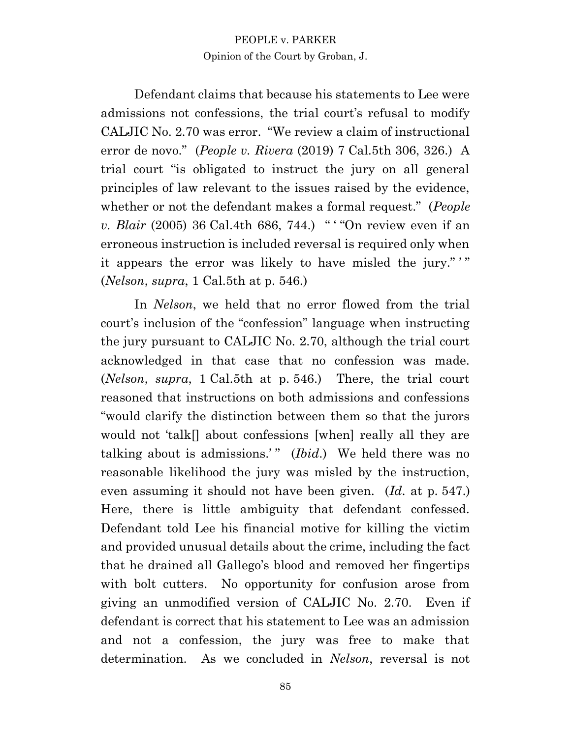Defendant claims that because his statements to Lee were admissions not confessions, the trial court's refusal to modify CALJIC No. 2.70 was error. "We review a claim of instructional error de novo." (*People v. Rivera* (2019) 7 Cal.5th 306, 326.) A trial court "is obligated to instruct the jury on all general principles of law relevant to the issues raised by the evidence, whether or not the defendant makes a formal request." (*People v. Blair* (2005) 36 Cal.4th 686, 744.) " "On review even if an erroneous instruction is included reversal is required only when it appears the error was likely to have misled the jury."" (*Nelson*, *supra*, 1 Cal.5th at p. 546.)

In *Nelson*, we held that no error flowed from the trial court's inclusion of the "confession" language when instructing the jury pursuant to CALJIC No. 2.70, although the trial court acknowledged in that case that no confession was made. (*Nelson*, *supra*, 1 Cal.5th at p. 546.) There, the trial court reasoned that instructions on both admissions and confessions "would clarify the distinction between them so that the jurors would not 'talk[] about confessions [when] really all they are talking about is admissions.'" (*Ibid*.) We held there was no reasonable likelihood the jury was misled by the instruction, even assuming it should not have been given. (*Id*. at p. 547.) Here, there is little ambiguity that defendant confessed. Defendant told Lee his financial motive for killing the victim and provided unusual details about the crime, including the fact that he drained all Gallego's blood and removed her fingertips with bolt cutters. No opportunity for confusion arose from giving an unmodified version of CALJIC No. 2.70. Even if defendant is correct that his statement to Lee was an admission and not a confession, the jury was free to make that determination. As we concluded in *Nelson*, reversal is not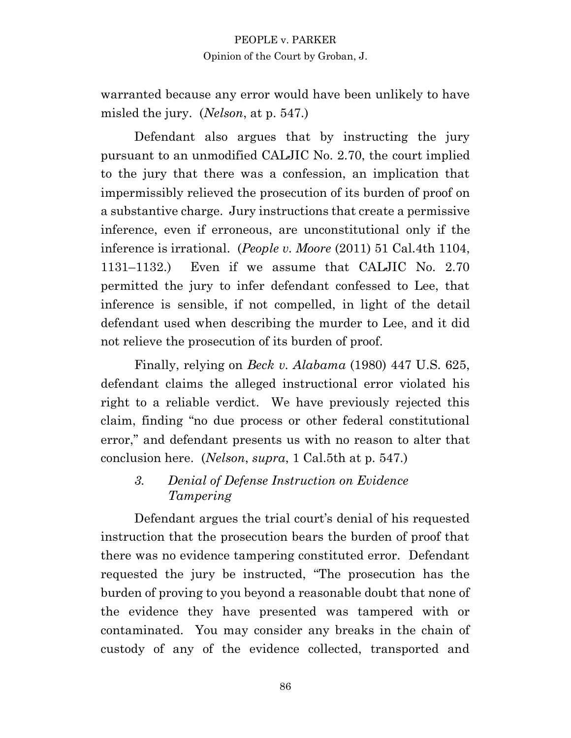warranted because any error would have been unlikely to have misled the jury. (*Nelson*, at p. 547.)

Defendant also argues that by instructing the jury pursuant to an unmodified CALJIC No. 2.70, the court implied to the jury that there was a confession, an implication that impermissibly relieved the prosecution of its burden of proof on a substantive charge. Jury instructions that create a permissive inference, even if erroneous, are unconstitutional only if the inference is irrational. (*People v. Moore* (2011) 51 Cal.4th 1104, 1131–1132.) Even if we assume that CALJIC No. 2.70 permitted the jury to infer defendant confessed to Lee, that inference is sensible, if not compelled, in light of the detail defendant used when describing the murder to Lee, and it did not relieve the prosecution of its burden of proof.

Finally, relying on *Beck v. Alabama* (1980) 447 U.S. 625, defendant claims the alleged instructional error violated his right to a reliable verdict. We have previously rejected this claim, finding "no due process or other federal constitutional error," and defendant presents us with no reason to alter that conclusion here. (*Nelson*, *supra*, 1 Cal.5th at p. 547.)

# *3. Denial of Defense Instruction on Evidence Tampering*

Defendant argues the trial court's denial of his requested instruction that the prosecution bears the burden of proof that there was no evidence tampering constituted error. Defendant requested the jury be instructed, "The prosecution has the burden of proving to you beyond a reasonable doubt that none of the evidence they have presented was tampered with or contaminated. You may consider any breaks in the chain of custody of any of the evidence collected, transported and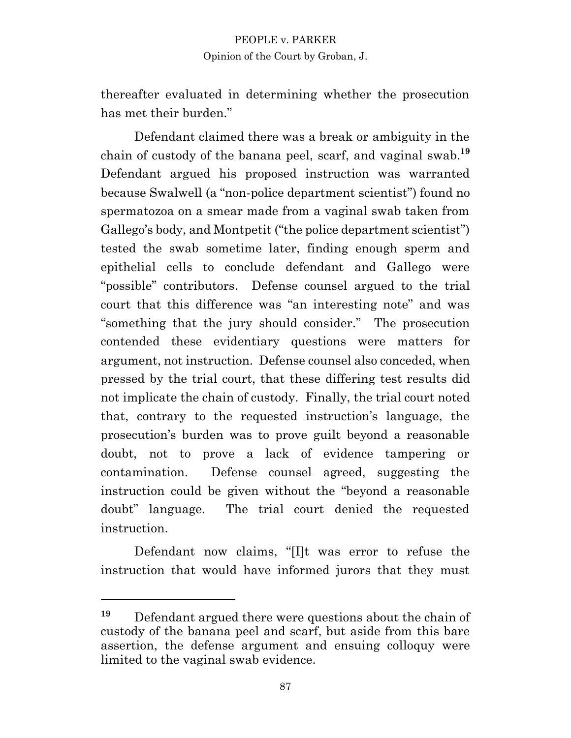thereafter evaluated in determining whether the prosecution has met their burden."

Defendant claimed there was a break or ambiguity in the chain of custody of the banana peel, scarf, and vaginal swab.**<sup>19</sup>** Defendant argued his proposed instruction was warranted because Swalwell (a "non-police department scientist") found no spermatozoa on a smear made from a vaginal swab taken from Gallego's body, and Montpetit ("the police department scientist") tested the swab sometime later, finding enough sperm and epithelial cells to conclude defendant and Gallego were "possible" contributors. Defense counsel argued to the trial court that this difference was "an interesting note" and was "something that the jury should consider." The prosecution contended these evidentiary questions were matters for argument, not instruction. Defense counsel also conceded, when pressed by the trial court, that these differing test results did not implicate the chain of custody. Finally, the trial court noted that, contrary to the requested instruction's language, the prosecution's burden was to prove guilt beyond a reasonable doubt, not to prove a lack of evidence tampering or contamination. Defense counsel agreed, suggesting the instruction could be given without the "beyond a reasonable doubt" language. The trial court denied the requested instruction.

Defendant now claims, "[I]t was error to refuse the instruction that would have informed jurors that they must

**<sup>19</sup>** Defendant argued there were questions about the chain of custody of the banana peel and scarf, but aside from this bare assertion, the defense argument and ensuing colloquy were limited to the vaginal swab evidence.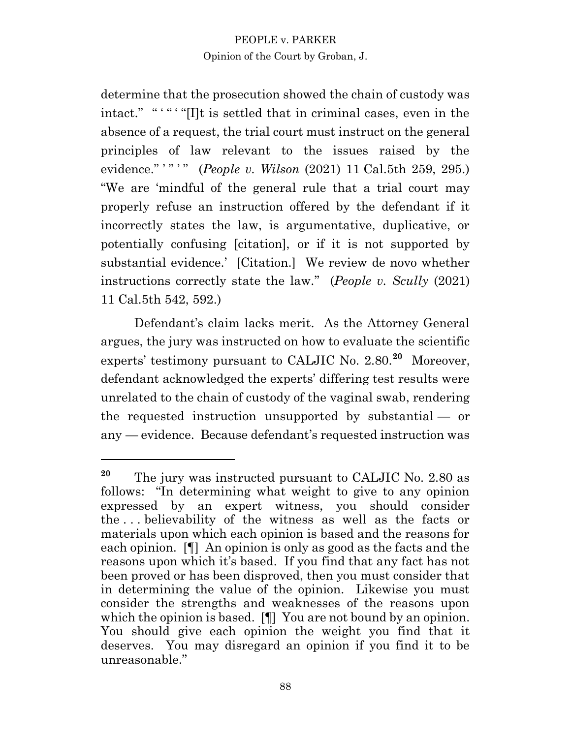determine that the prosecution showed the chain of custody was intact." "'" "[I]t is settled that in criminal cases, even in the absence of a request, the trial court must instruct on the general principles of law relevant to the issues raised by the evidence." '" '" (*People v. Wilson* (2021) 11 Cal.5th 259, 295.) "We are 'mindful of the general rule that a trial court may properly refuse an instruction offered by the defendant if it incorrectly states the law, is argumentative, duplicative, or potentially confusing [citation], or if it is not supported by substantial evidence.' [Citation.] We review de novo whether instructions correctly state the law." (*People v. Scully* (2021) 11 Cal.5th 542, 592.)

Defendant's claim lacks merit. As the Attorney General argues, the jury was instructed on how to evaluate the scientific experts' testimony pursuant to CALJIC No. 2.80.**<sup>20</sup>** Moreover, defendant acknowledged the experts' differing test results were unrelated to the chain of custody of the vaginal swab, rendering the requested instruction unsupported by substantial — or any — evidence. Because defendant's requested instruction was

**<sup>20</sup>** The jury was instructed pursuant to CALJIC No. 2.80 as follows: "In determining what weight to give to any opinion expressed by an expert witness, you should consider the . . . believability of the witness as well as the facts or materials upon which each opinion is based and the reasons for each opinion. [¶] An opinion is only as good as the facts and the reasons upon which it's based. If you find that any fact has not been proved or has been disproved, then you must consider that in determining the value of the opinion. Likewise you must consider the strengths and weaknesses of the reasons upon which the opinion is based. [¶] You are not bound by an opinion. You should give each opinion the weight you find that it deserves. You may disregard an opinion if you find it to be unreasonable."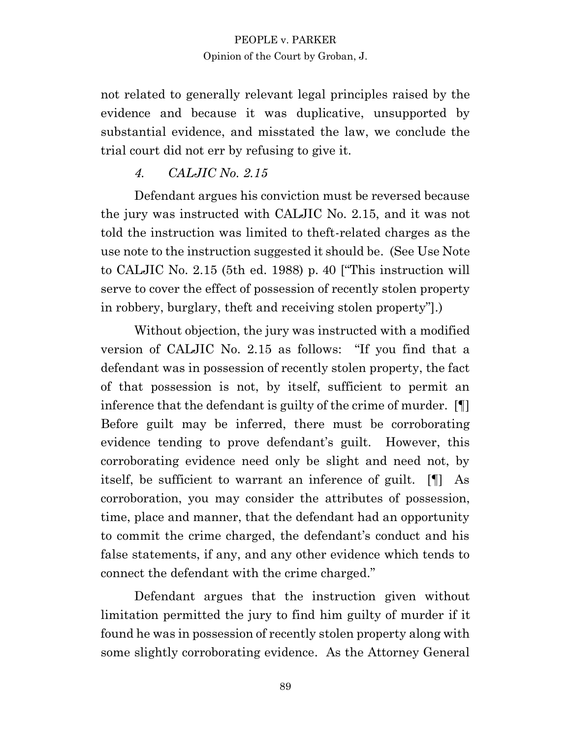not related to generally relevant legal principles raised by the evidence and because it was duplicative, unsupported by substantial evidence, and misstated the law, we conclude the trial court did not err by refusing to give it.

# *4. CALJIC No. 2.15*

Defendant argues his conviction must be reversed because the jury was instructed with CALJIC No. 2.15, and it was not told the instruction was limited to theft-related charges as the use note to the instruction suggested it should be. (See Use Note to CALJIC No. 2.15 (5th ed. 1988) p. 40 ["This instruction will serve to cover the effect of possession of recently stolen property in robbery, burglary, theft and receiving stolen property"].)

Without objection, the jury was instructed with a modified version of CALJIC No. 2.15 as follows: "If you find that a defendant was in possession of recently stolen property, the fact of that possession is not, by itself, sufficient to permit an inference that the defendant is guilty of the crime of murder. [¶] Before guilt may be inferred, there must be corroborating evidence tending to prove defendant's guilt. However, this corroborating evidence need only be slight and need not, by itself, be sufficient to warrant an inference of guilt. [¶] As corroboration, you may consider the attributes of possession, time, place and manner, that the defendant had an opportunity to commit the crime charged, the defendant's conduct and his false statements, if any, and any other evidence which tends to connect the defendant with the crime charged."

Defendant argues that the instruction given without limitation permitted the jury to find him guilty of murder if it found he was in possession of recently stolen property along with some slightly corroborating evidence. As the Attorney General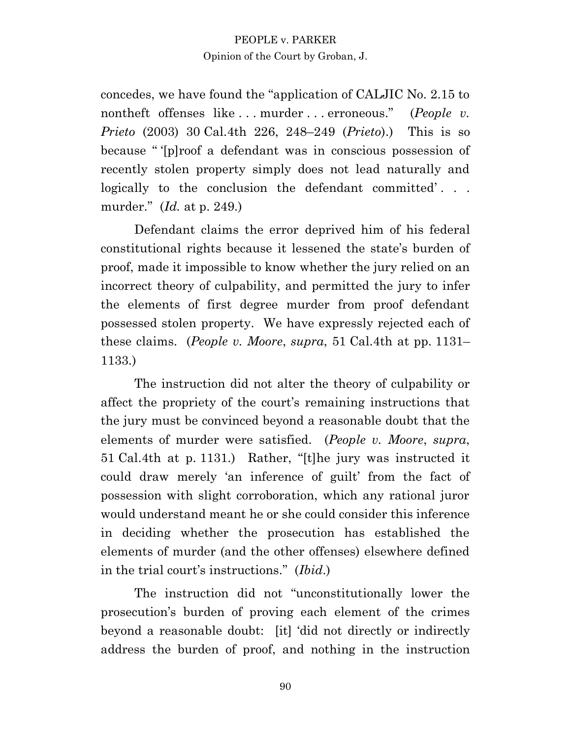concedes, we have found the "application of CALJIC No. 2.15 to nontheft offenses like . . . murder . . . erroneous." (*People v. Prieto* (2003) 30 Cal.4th 226, 248–249 (*Prieto*).) This is so because " '[p]roof a defendant was in conscious possession of recently stolen property simply does not lead naturally and logically to the conclusion the defendant committed'... murder." (*Id.* at p. 249.)

Defendant claims the error deprived him of his federal constitutional rights because it lessened the state's burden of proof, made it impossible to know whether the jury relied on an incorrect theory of culpability, and permitted the jury to infer the elements of first degree murder from proof defendant possessed stolen property. We have expressly rejected each of these claims. (*People v. Moore*, *supra*, 51 Cal.4th at pp. 1131– 1133.)

The instruction did not alter the theory of culpability or affect the propriety of the court's remaining instructions that the jury must be convinced beyond a reasonable doubt that the elements of murder were satisfied. (*People v. Moore*, *supra*, 51 Cal.4th at p. 1131.) Rather, "[t]he jury was instructed it could draw merely 'an inference of guilt' from the fact of possession with slight corroboration, which any rational juror would understand meant he or she could consider this inference in deciding whether the prosecution has established the elements of murder (and the other offenses) elsewhere defined in the trial court's instructions." (*Ibid*.)

The instruction did not "unconstitutionally lower the prosecution's burden of proving each element of the crimes beyond a reasonable doubt: [it] 'did not directly or indirectly address the burden of proof, and nothing in the instruction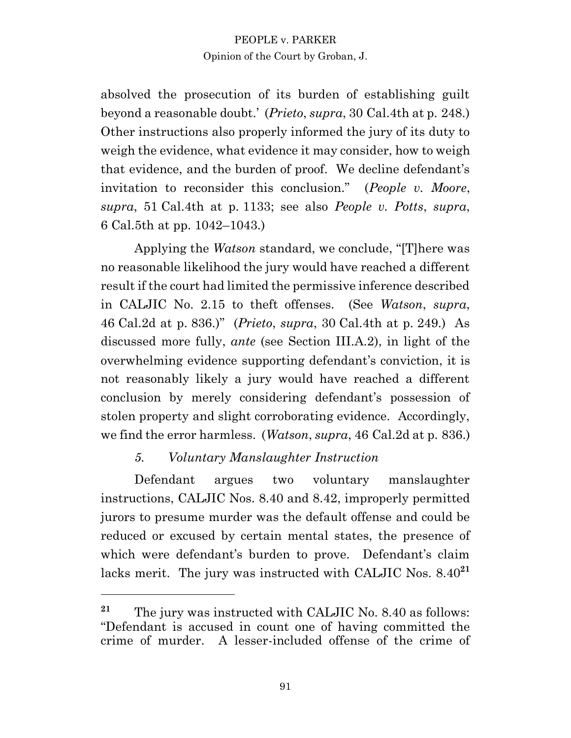absolved the prosecution of its burden of establishing guilt beyond a reasonable doubt.' (*Prieto*, *supra*, 30 Cal.4th at p. 248.) Other instructions also properly informed the jury of its duty to weigh the evidence, what evidence it may consider, how to weigh that evidence, and the burden of proof. We decline defendant's invitation to reconsider this conclusion." (*People v. Moore*, *supra*, 51 Cal.4th at p. 1133; see also *People v. Potts*, *supra*, 6 Cal.5th at pp. 1042–1043.)

Applying the *Watson* standard, we conclude, "[T]here was no reasonable likelihood the jury would have reached a different result if the court had limited the permissive inference described in CALJIC No. 2.15 to theft offenses. (See *Watson*, *supra*, 46 Cal.2d at p. 836.)" (*Prieto*, *supra*, 30 Cal.4th at p. 249.) As discussed more fully, *ante* (see Section III.A.2), in light of the overwhelming evidence supporting defendant's conviction, it is not reasonably likely a jury would have reached a different conclusion by merely considering defendant's possession of stolen property and slight corroborating evidence. Accordingly, we find the error harmless. (*Watson*, *supra*, 46 Cal.2d at p. 836.)

# *5. Voluntary Manslaughter Instruction*

Defendant argues two voluntary manslaughter instructions, CALJIC Nos. 8.40 and 8.42, improperly permitted jurors to presume murder was the default offense and could be reduced or excused by certain mental states, the presence of which were defendant's burden to prove. Defendant's claim lacks merit. The jury was instructed with CALJIC Nos. 8.40**<sup>21</sup>**

**<sup>21</sup>** The jury was instructed with CALJIC No. 8.40 as follows: "Defendant is accused in count one of having committed the crime of murder. A lesser-included offense of the crime of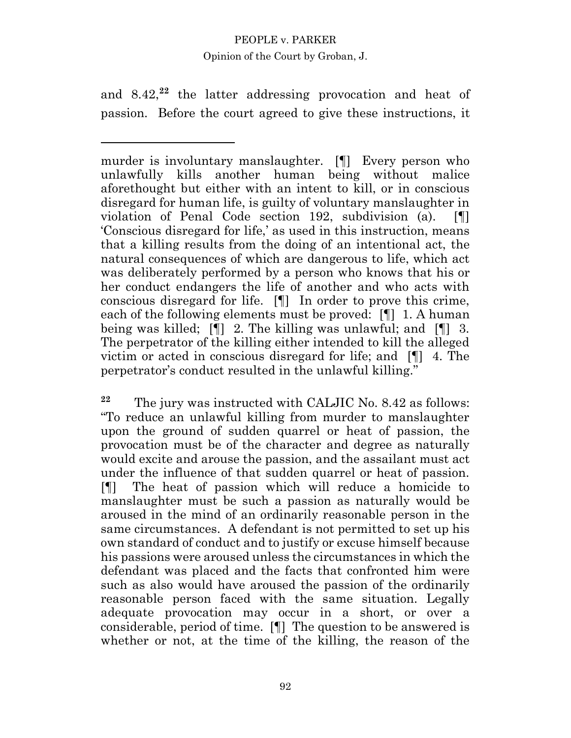and 8.42,<sup>22</sup> the latter addressing provocation and heat of passion. Before the court agreed to give these instructions, it

murder is involuntary manslaughter. [¶] Every person who unlawfully kills another human being without malice aforethought but either with an intent to kill, or in conscious disregard for human life, is guilty of voluntary manslaughter in violation of Penal Code section 192, subdivision (a). [¶] 'Conscious disregard for life,' as used in this instruction, means that a killing results from the doing of an intentional act, the natural consequences of which are dangerous to life, which act was deliberately performed by a person who knows that his or her conduct endangers the life of another and who acts with conscious disregard for life. [¶] In order to prove this crime, each of the following elements must be proved: [¶] 1. A human being was killed; [¶] 2. The killing was unlawful; and [¶] 3. The perpetrator of the killing either intended to kill the alleged victim or acted in conscious disregard for life; and [¶] 4. The perpetrator's conduct resulted in the unlawful killing."

**<sup>22</sup>** The jury was instructed with CALJIC No. 8.42 as follows: "To reduce an unlawful killing from murder to manslaughter upon the ground of sudden quarrel or heat of passion, the provocation must be of the character and degree as naturally would excite and arouse the passion, and the assailant must act under the influence of that sudden quarrel or heat of passion. [¶] The heat of passion which will reduce a homicide to manslaughter must be such a passion as naturally would be aroused in the mind of an ordinarily reasonable person in the same circumstances. A defendant is not permitted to set up his own standard of conduct and to justify or excuse himself because his passions were aroused unless the circumstances in which the defendant was placed and the facts that confronted him were such as also would have aroused the passion of the ordinarily reasonable person faced with the same situation. Legally adequate provocation may occur in a short, or over a considerable, period of time. [¶] The question to be answered is whether or not, at the time of the killing, the reason of the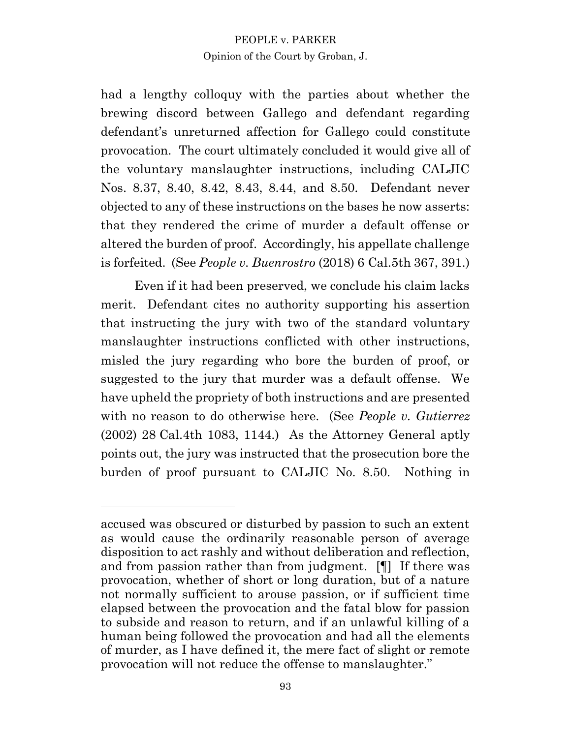had a lengthy colloquy with the parties about whether the brewing discord between Gallego and defendant regarding defendant's unreturned affection for Gallego could constitute provocation. The court ultimately concluded it would give all of the voluntary manslaughter instructions, including CALJIC Nos. 8.37, 8.40, 8.42, 8.43, 8.44, and 8.50. Defendant never objected to any of these instructions on the bases he now asserts: that they rendered the crime of murder a default offense or altered the burden of proof. Accordingly, his appellate challenge is forfeited. (See *People v. Buenrostro* (2018) 6 Cal.5th 367, 391.)

Even if it had been preserved, we conclude his claim lacks merit. Defendant cites no authority supporting his assertion that instructing the jury with two of the standard voluntary manslaughter instructions conflicted with other instructions, misled the jury regarding who bore the burden of proof, or suggested to the jury that murder was a default offense. We have upheld the propriety of both instructions and are presented with no reason to do otherwise here. (See *People v. Gutierrez* (2002) 28 Cal.4th 1083, 1144.) As the Attorney General aptly points out, the jury was instructed that the prosecution bore the burden of proof pursuant to CALJIC No. 8.50. Nothing in

accused was obscured or disturbed by passion to such an extent as would cause the ordinarily reasonable person of average disposition to act rashly and without deliberation and reflection, and from passion rather than from judgment. [¶] If there was provocation, whether of short or long duration, but of a nature not normally sufficient to arouse passion, or if sufficient time elapsed between the provocation and the fatal blow for passion to subside and reason to return, and if an unlawful killing of a human being followed the provocation and had all the elements of murder, as I have defined it, the mere fact of slight or remote provocation will not reduce the offense to manslaughter."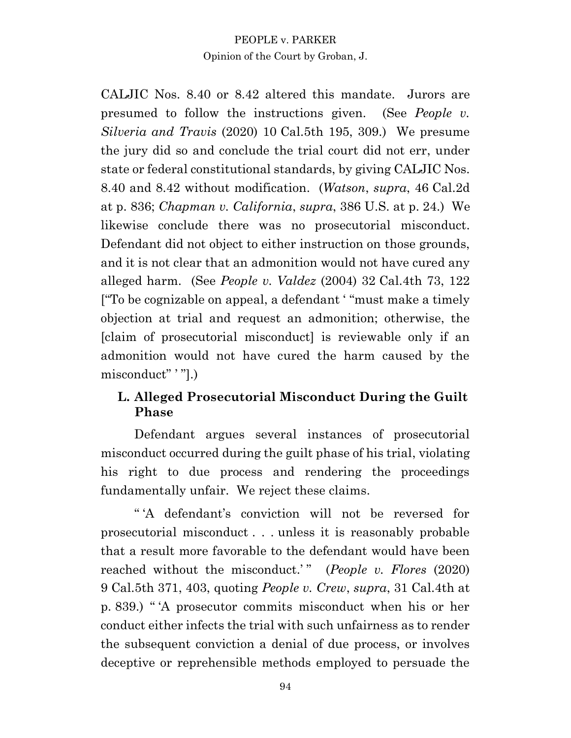CALJIC Nos. 8.40 or 8.42 altered this mandate. Jurors are presumed to follow the instructions given. (See *People v. Silveria and Travis* (2020) 10 Cal.5th 195, 309.) We presume the jury did so and conclude the trial court did not err, under state or federal constitutional standards, by giving CALJIC Nos. 8.40 and 8.42 without modification. (*Watson*, *supra*, 46 Cal.2d at p. 836; *Chapman v. California*, *supra*, 386 U.S. at p. 24.) We likewise conclude there was no prosecutorial misconduct. Defendant did not object to either instruction on those grounds, and it is not clear that an admonition would not have cured any alleged harm. (See *People v. Valdez* (2004) 32 Cal.4th 73, 122 ["To be cognizable on appeal, a defendant ' "must make a timely objection at trial and request an admonition; otherwise, the [claim of prosecutorial misconduct] is reviewable only if an admonition would not have cured the harm caused by the misconduct" ' "].)

# **L. Alleged Prosecutorial Misconduct During the Guilt Phase**

Defendant argues several instances of prosecutorial misconduct occurred during the guilt phase of his trial, violating his right to due process and rendering the proceedings fundamentally unfair. We reject these claims.

" 'A defendant's conviction will not be reversed for prosecutorial misconduct . . . unless it is reasonably probable that a result more favorable to the defendant would have been reached without the misconduct.'" (*People v. Flores* (2020) 9 Cal.5th 371, 403, quoting *People v. Crew*, *supra*, 31 Cal.4th at p. 839.) " 'A prosecutor commits misconduct when his or her conduct either infects the trial with such unfairness as to render the subsequent conviction a denial of due process, or involves deceptive or reprehensible methods employed to persuade the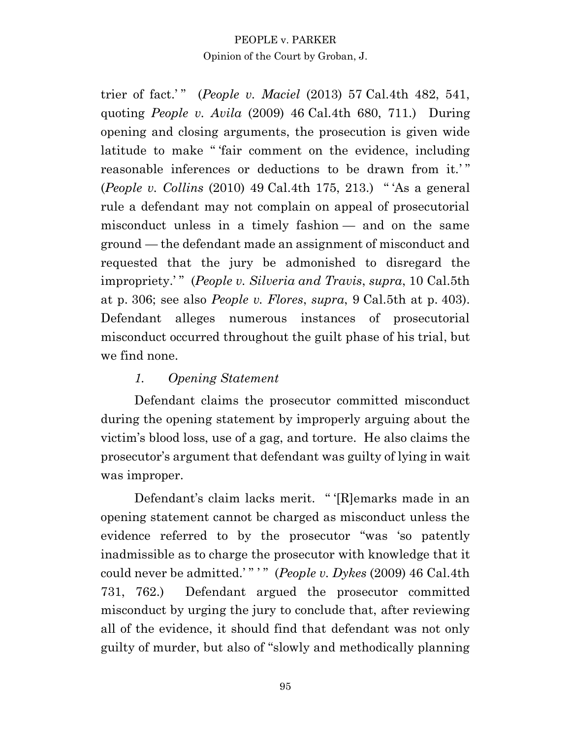trier of fact.'" (*People v. Maciel* (2013) 57 Cal.4th 482, 541, quoting *People v. Avila* (2009) 46 Cal.4th 680, 711.) During opening and closing arguments, the prosecution is given wide latitude to make " 'fair comment on the evidence, including reasonable inferences or deductions to be drawn from it.'" (*People v. Collins* (2010) 49 Cal.4th 175, 213.) " 'As a general rule a defendant may not complain on appeal of prosecutorial misconduct unless in a timely fashion — and on the same ground — the defendant made an assignment of misconduct and requested that the jury be admonished to disregard the impropriety.' " (*People v. Silveria and Travis*, *supra*, 10 Cal.5th at p. 306; see also *People v. Flores*, *supra*, 9 Cal.5th at p. 403). Defendant alleges numerous instances of prosecutorial misconduct occurred throughout the guilt phase of his trial, but we find none.

# *1. Opening Statement*

Defendant claims the prosecutor committed misconduct during the opening statement by improperly arguing about the victim's blood loss, use of a gag, and torture. He also claims the prosecutor's argument that defendant was guilty of lying in wait was improper.

Defendant's claim lacks merit. " '[R]emarks made in an opening statement cannot be charged as misconduct unless the evidence referred to by the prosecutor "was 'so patently inadmissible as to charge the prosecutor with knowledge that it could never be admitted.' " ' " (*People v. Dykes* (2009) 46 Cal.4th 731, 762.) Defendant argued the prosecutor committed misconduct by urging the jury to conclude that, after reviewing all of the evidence, it should find that defendant was not only guilty of murder, but also of "slowly and methodically planning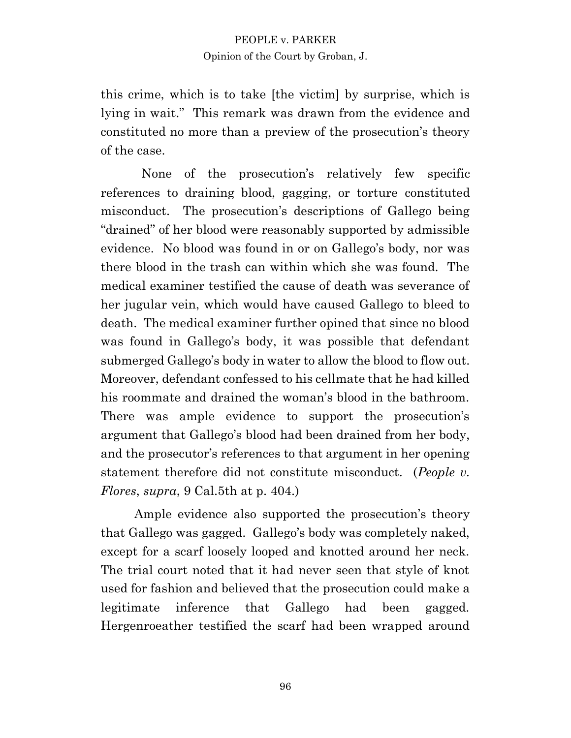this crime, which is to take [the victim] by surprise, which is lying in wait." This remark was drawn from the evidence and constituted no more than a preview of the prosecution's theory of the case.

 None of the prosecution's relatively few specific references to draining blood, gagging, or torture constituted misconduct. The prosecution's descriptions of Gallego being "drained" of her blood were reasonably supported by admissible evidence. No blood was found in or on Gallego's body, nor was there blood in the trash can within which she was found. The medical examiner testified the cause of death was severance of her jugular vein, which would have caused Gallego to bleed to death. The medical examiner further opined that since no blood was found in Gallego's body, it was possible that defendant submerged Gallego's body in water to allow the blood to flow out. Moreover, defendant confessed to his cellmate that he had killed his roommate and drained the woman's blood in the bathroom. There was ample evidence to support the prosecution's argument that Gallego's blood had been drained from her body, and the prosecutor's references to that argument in her opening statement therefore did not constitute misconduct. (*People v. Flores*, *supra*, 9 Cal.5th at p. 404.)

Ample evidence also supported the prosecution's theory that Gallego was gagged. Gallego's body was completely naked, except for a scarf loosely looped and knotted around her neck. The trial court noted that it had never seen that style of knot used for fashion and believed that the prosecution could make a legitimate inference that Gallego had been gagged. Hergenroeather testified the scarf had been wrapped around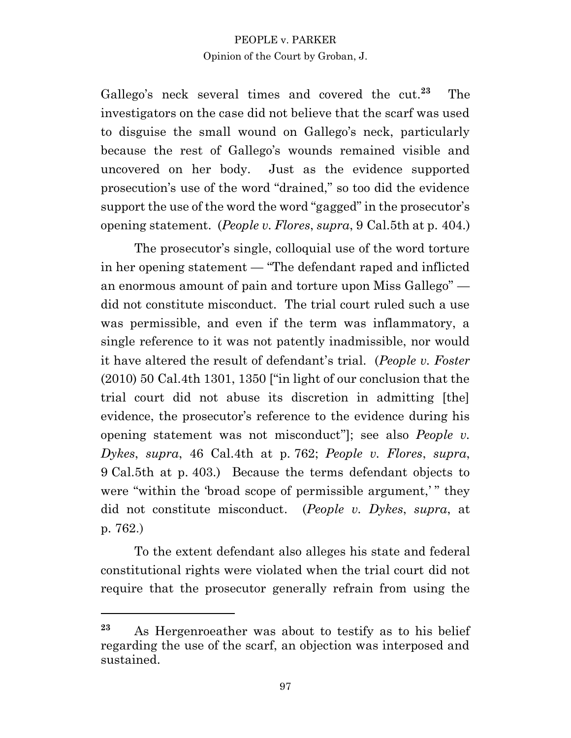Gallego's neck several times and covered the cut. **23** The investigators on the case did not believe that the scarf was used to disguise the small wound on Gallego's neck, particularly because the rest of Gallego's wounds remained visible and uncovered on her body. Just as the evidence supported prosecution's use of the word "drained," so too did the evidence support the use of the word the word "gagged" in the prosecutor's opening statement. (*People v. Flores*, *supra*, 9 Cal.5th at p. 404.)

The prosecutor's single, colloquial use of the word torture in her opening statement — "The defendant raped and inflicted an enormous amount of pain and torture upon Miss Gallego" did not constitute misconduct. The trial court ruled such a use was permissible, and even if the term was inflammatory, a single reference to it was not patently inadmissible, nor would it have altered the result of defendant's trial. (*People v. Foster* (2010) 50 Cal.4th 1301, 1350 ["in light of our conclusion that the trial court did not abuse its discretion in admitting [the] evidence, the prosecutor's reference to the evidence during his opening statement was not misconduct"]; see also *People v. Dykes*, *supra*, 46 Cal.4th at p. 762; *People v. Flores*, *supra*, 9 Cal.5th at p. 403.) Because the terms defendant objects to were "within the 'broad scope of permissible argument,'" they did not constitute misconduct. (*People v. Dykes*, *supra*, at p. 762.)

To the extent defendant also alleges his state and federal constitutional rights were violated when the trial court did not require that the prosecutor generally refrain from using the

**<sup>23</sup>** As Hergenroeather was about to testify as to his belief regarding the use of the scarf, an objection was interposed and sustained.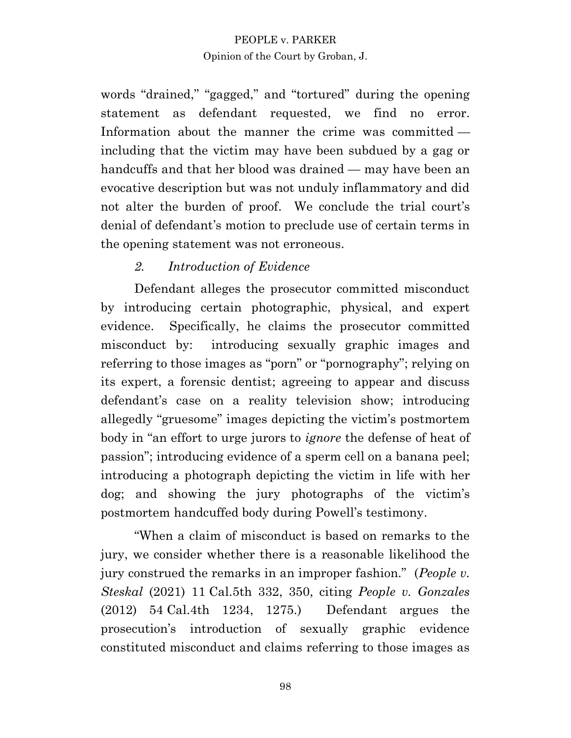words "drained," "gagged," and "tortured" during the opening statement as defendant requested, we find no error. Information about the manner the crime was committed including that the victim may have been subdued by a gag or handcuffs and that her blood was drained — may have been an evocative description but was not unduly inflammatory and did not alter the burden of proof. We conclude the trial court's denial of defendant's motion to preclude use of certain terms in the opening statement was not erroneous.

# *2. Introduction of Evidence*

Defendant alleges the prosecutor committed misconduct by introducing certain photographic, physical, and expert evidence. Specifically, he claims the prosecutor committed misconduct by: introducing sexually graphic images and referring to those images as "porn" or "pornography"; relying on its expert, a forensic dentist; agreeing to appear and discuss defendant's case on a reality television show; introducing allegedly "gruesome" images depicting the victim's postmortem body in "an effort to urge jurors to *ignore* the defense of heat of passion"; introducing evidence of a sperm cell on a banana peel; introducing a photograph depicting the victim in life with her dog; and showing the jury photographs of the victim's postmortem handcuffed body during Powell's testimony.

"When a claim of misconduct is based on remarks to the jury, we consider whether there is a reasonable likelihood the jury construed the remarks in an improper fashion." (*People v. Steskal* (2021) 11 Cal.5th 332, 350, citing *People v. Gonzales* (2012) 54 Cal.4th 1234, 1275.) Defendant argues the prosecution's introduction of sexually graphic evidence constituted misconduct and claims referring to those images as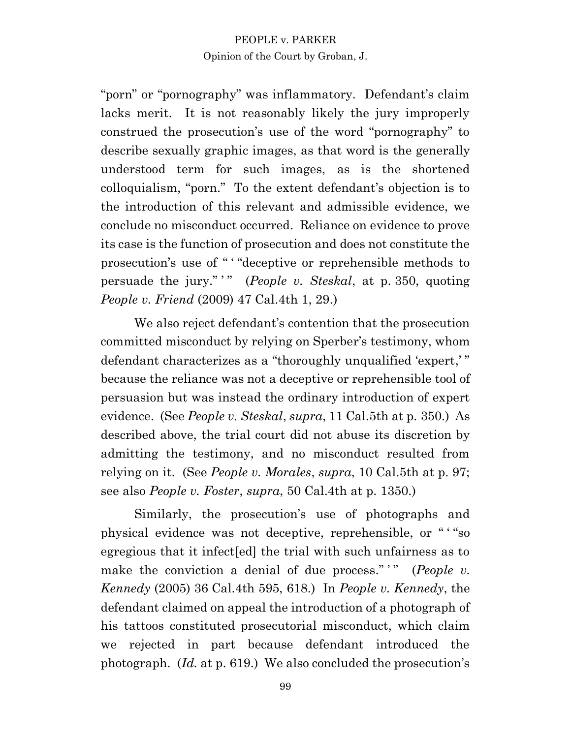"porn" or "pornography" was inflammatory. Defendant's claim lacks merit. It is not reasonably likely the jury improperly construed the prosecution's use of the word "pornography" to describe sexually graphic images, as that word is the generally understood term for such images, as is the shortened colloquialism, "porn." To the extent defendant's objection is to the introduction of this relevant and admissible evidence, we conclude no misconduct occurred. Reliance on evidence to prove its case is the function of prosecution and does not constitute the prosecution's use of " ' "deceptive or reprehensible methods to persuade the jury."" (*People v. Steskal*, at p. 350, quoting *People v. Friend* (2009) 47 Cal.4th 1, 29.)

We also reject defendant's contention that the prosecution committed misconduct by relying on Sperber's testimony, whom defendant characterizes as a "thoroughly unqualified 'expert,' " because the reliance was not a deceptive or reprehensible tool of persuasion but was instead the ordinary introduction of expert evidence. (See *People v. Steskal*, *supra*, 11 Cal.5th at p. 350.) As described above, the trial court did not abuse its discretion by admitting the testimony, and no misconduct resulted from relying on it. (See *People v. Morales*, *supra*, 10 Cal.5th at p. 97; see also *People v. Foster*, *supra*, 50 Cal.4th at p. 1350.)

Similarly, the prosecution's use of photographs and physical evidence was not deceptive, reprehensible, or " ' "so egregious that it infect[ed] the trial with such unfairness as to make the conviction a denial of due process." " (*People v. Kennedy* (2005) 36 Cal.4th 595, 618.) In *People v. Kennedy*, the defendant claimed on appeal the introduction of a photograph of his tattoos constituted prosecutorial misconduct, which claim we rejected in part because defendant introduced the photograph. (*Id.* at p. 619.) We also concluded the prosecution's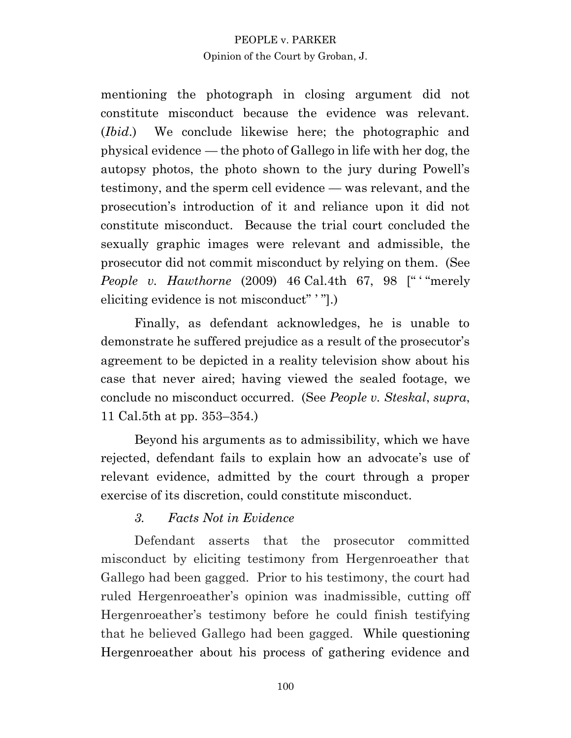mentioning the photograph in closing argument did not constitute misconduct because the evidence was relevant. (*Ibid*.) We conclude likewise here; the photographic and physical evidence — the photo of Gallego in life with her dog, the autopsy photos, the photo shown to the jury during Powell's testimony, and the sperm cell evidence — was relevant, and the prosecution's introduction of it and reliance upon it did not constitute misconduct. Because the trial court concluded the sexually graphic images were relevant and admissible, the prosecutor did not commit misconduct by relying on them. (See *People v. Hawthorne* (2009) 46 Cal.4th 67, 98 [" "merely eliciting evidence is not misconduct" ' "].)

Finally, as defendant acknowledges, he is unable to demonstrate he suffered prejudice as a result of the prosecutor's agreement to be depicted in a reality television show about his case that never aired; having viewed the sealed footage, we conclude no misconduct occurred. (See *People v. Steskal*, *supra*, 11 Cal.5th at pp. 353–354.)

Beyond his arguments as to admissibility, which we have rejected, defendant fails to explain how an advocate's use of relevant evidence, admitted by the court through a proper exercise of its discretion, could constitute misconduct.

# *3. Facts Not in Evidence*

Defendant asserts that the prosecutor committed misconduct by eliciting testimony from Hergenroeather that Gallego had been gagged. Prior to his testimony, the court had ruled Hergenroeather's opinion was inadmissible, cutting off Hergenroeather's testimony before he could finish testifying that he believed Gallego had been gagged. While questioning Hergenroeather about his process of gathering evidence and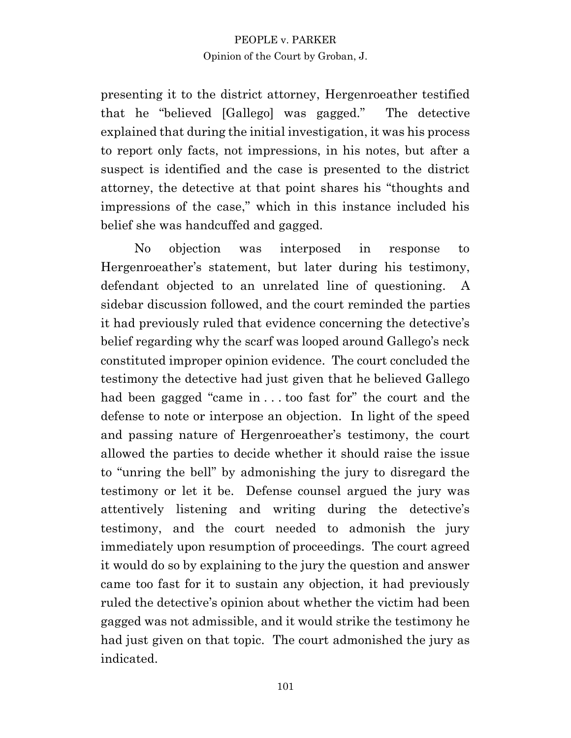presenting it to the district attorney, Hergenroeather testified that he "believed [Gallego] was gagged." The detective explained that during the initial investigation, it was his process to report only facts, not impressions, in his notes, but after a suspect is identified and the case is presented to the district attorney, the detective at that point shares his "thoughts and impressions of the case," which in this instance included his belief she was handcuffed and gagged.

No objection was interposed in response to Hergenroeather's statement, but later during his testimony, defendant objected to an unrelated line of questioning. A sidebar discussion followed, and the court reminded the parties it had previously ruled that evidence concerning the detective's belief regarding why the scarf was looped around Gallego's neck constituted improper opinion evidence. The court concluded the testimony the detective had just given that he believed Gallego had been gagged "came in . . . too fast for" the court and the defense to note or interpose an objection. In light of the speed and passing nature of Hergenroeather's testimony, the court allowed the parties to decide whether it should raise the issue to "unring the bell" by admonishing the jury to disregard the testimony or let it be. Defense counsel argued the jury was attentively listening and writing during the detective's testimony, and the court needed to admonish the jury immediately upon resumption of proceedings. The court agreed it would do so by explaining to the jury the question and answer came too fast for it to sustain any objection, it had previously ruled the detective's opinion about whether the victim had been gagged was not admissible, and it would strike the testimony he had just given on that topic. The court admonished the jury as indicated.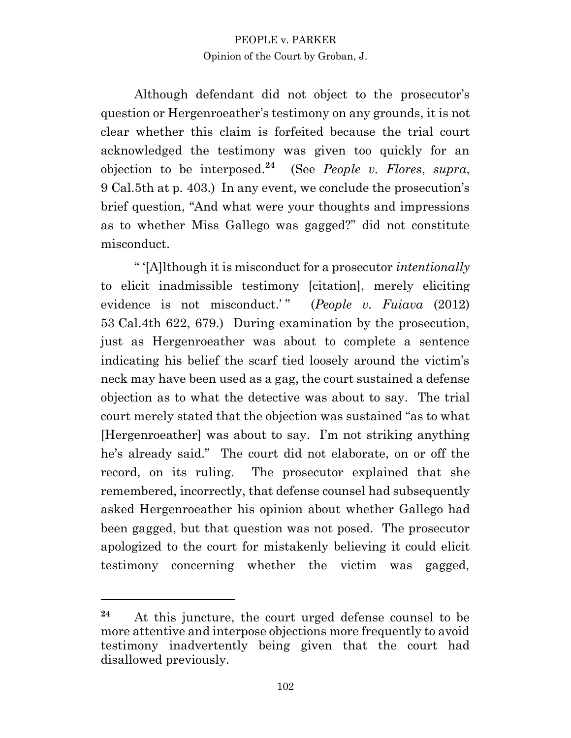Although defendant did not object to the prosecutor's question or Hergenroeather's testimony on any grounds, it is not clear whether this claim is forfeited because the trial court acknowledged the testimony was given too quickly for an objection to be interposed. **24** (See *People v. Flores*, *supra*, 9 Cal.5th at p. 403.) In any event, we conclude the prosecution's brief question, "And what were your thoughts and impressions as to whether Miss Gallego was gagged?" did not constitute misconduct.

" '[A]lthough it is misconduct for a prosecutor *intentionally* to elicit inadmissible testimony [citation], merely eliciting evidence is not misconduct.'" (*People v. Fuiava* (2012) 53 Cal.4th 622, 679.) During examination by the prosecution, just as Hergenroeather was about to complete a sentence indicating his belief the scarf tied loosely around the victim's neck may have been used as a gag, the court sustained a defense objection as to what the detective was about to say. The trial court merely stated that the objection was sustained "as to what [Hergenroeather] was about to say. I'm not striking anything he's already said." The court did not elaborate, on or off the record, on its ruling. The prosecutor explained that she remembered, incorrectly, that defense counsel had subsequently asked Hergenroeather his opinion about whether Gallego had been gagged, but that question was not posed. The prosecutor apologized to the court for mistakenly believing it could elicit testimony concerning whether the victim was gagged,

**<sup>24</sup>** At this juncture, the court urged defense counsel to be more attentive and interpose objections more frequently to avoid testimony inadvertently being given that the court had disallowed previously.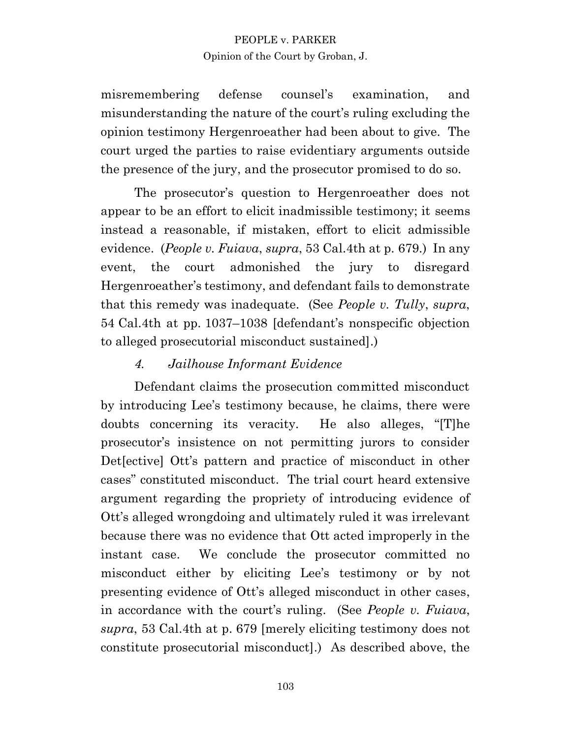misremembering defense counsel's examination, and misunderstanding the nature of the court's ruling excluding the opinion testimony Hergenroeather had been about to give. The court urged the parties to raise evidentiary arguments outside the presence of the jury, and the prosecutor promised to do so.

The prosecutor's question to Hergenroeather does not appear to be an effort to elicit inadmissible testimony; it seems instead a reasonable, if mistaken, effort to elicit admissible evidence. (*People v. Fuiava*, *supra*, 53 Cal.4th at p. 679.) In any event, the court admonished the jury to disregard Hergenroeather's testimony, and defendant fails to demonstrate that this remedy was inadequate. (See *People v. Tully*, *supra*, 54 Cal.4th at pp. 1037–1038 [defendant's nonspecific objection to alleged prosecutorial misconduct sustained].)

# *4. Jailhouse Informant Evidence*

Defendant claims the prosecution committed misconduct by introducing Lee's testimony because, he claims, there were doubts concerning its veracity. He also alleges, "[T]he prosecutor's insistence on not permitting jurors to consider Det[ective] Ott's pattern and practice of misconduct in other cases" constituted misconduct. The trial court heard extensive argument regarding the propriety of introducing evidence of Ott's alleged wrongdoing and ultimately ruled it was irrelevant because there was no evidence that Ott acted improperly in the instant case. We conclude the prosecutor committed no misconduct either by eliciting Lee's testimony or by not presenting evidence of Ott's alleged misconduct in other cases, in accordance with the court's ruling. (See *People v. Fuiava*, *supra*, 53 Cal.4th at p. 679 [merely eliciting testimony does not constitute prosecutorial misconduct].) As described above, the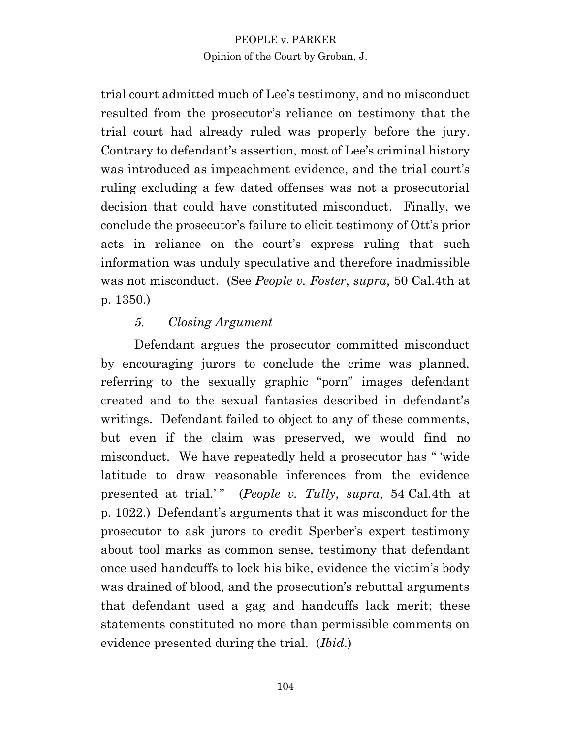trial court admitted much of Lee's testimony, and no misconduct resulted from the prosecutor's reliance on testimony that the trial court had already ruled was properly before the jury. Contrary to defendant's assertion, most of Lee's criminal history was introduced as impeachment evidence, and the trial court's ruling excluding a few dated offenses was not a prosecutorial decision that could have constituted misconduct. Finally, we conclude the prosecutor's failure to elicit testimony of Ott's prior acts in reliance on the court's express ruling that such information was unduly speculative and therefore inadmissible was not misconduct. (See *People v. Foster*, *supra*, 50 Cal.4th at p. 1350.)

# *5. Closing Argument*

Defendant argues the prosecutor committed misconduct by encouraging jurors to conclude the crime was planned, referring to the sexually graphic "porn" images defendant created and to the sexual fantasies described in defendant's writings. Defendant failed to object to any of these comments, but even if the claim was preserved, we would find no misconduct. We have repeatedly held a prosecutor has " 'wide latitude to draw reasonable inferences from the evidence presented at trial.'" (*People v. Tully*, *supra*, 54 Cal.4th at p. 1022.) Defendant's arguments that it was misconduct for the prosecutor to ask jurors to credit Sperber's expert testimony about tool marks as common sense, testimony that defendant once used handcuffs to lock his bike, evidence the victim's body was drained of blood, and the prosecution's rebuttal arguments that defendant used a gag and handcuffs lack merit; these statements constituted no more than permissible comments on evidence presented during the trial. (*Ibid*.)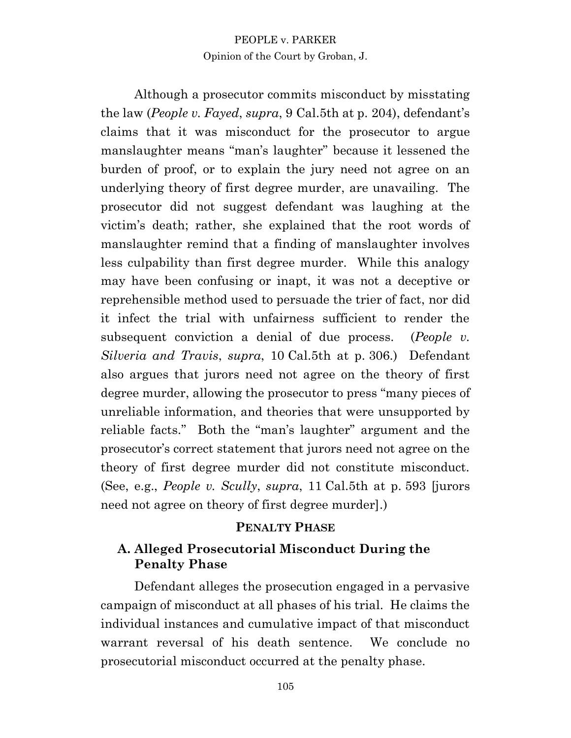Although a prosecutor commits misconduct by misstating the law (*People v. Fayed*, *supra*, 9 Cal.5th at p. 204), defendant's claims that it was misconduct for the prosecutor to argue manslaughter means "man's laughter" because it lessened the burden of proof, or to explain the jury need not agree on an underlying theory of first degree murder, are unavailing. The prosecutor did not suggest defendant was laughing at the victim's death; rather, she explained that the root words of manslaughter remind that a finding of manslaughter involves less culpability than first degree murder. While this analogy may have been confusing or inapt, it was not a deceptive or reprehensible method used to persuade the trier of fact, nor did it infect the trial with unfairness sufficient to render the subsequent conviction a denial of due process. (*People v. Silveria and Travis*, *supra*, 10 Cal.5th at p. 306.) Defendant also argues that jurors need not agree on the theory of first degree murder, allowing the prosecutor to press "many pieces of unreliable information, and theories that were unsupported by reliable facts." Both the "man's laughter" argument and the prosecutor's correct statement that jurors need not agree on the theory of first degree murder did not constitute misconduct. (See, e.g., *People v. Scully*, *supra*, 11 Cal.5th at p. 593 [jurors need not agree on theory of first degree murder].)

#### **PENALTY PHASE**

# **A. Alleged Prosecutorial Misconduct During the Penalty Phase**

Defendant alleges the prosecution engaged in a pervasive campaign of misconduct at all phases of his trial. He claims the individual instances and cumulative impact of that misconduct warrant reversal of his death sentence. We conclude no prosecutorial misconduct occurred at the penalty phase.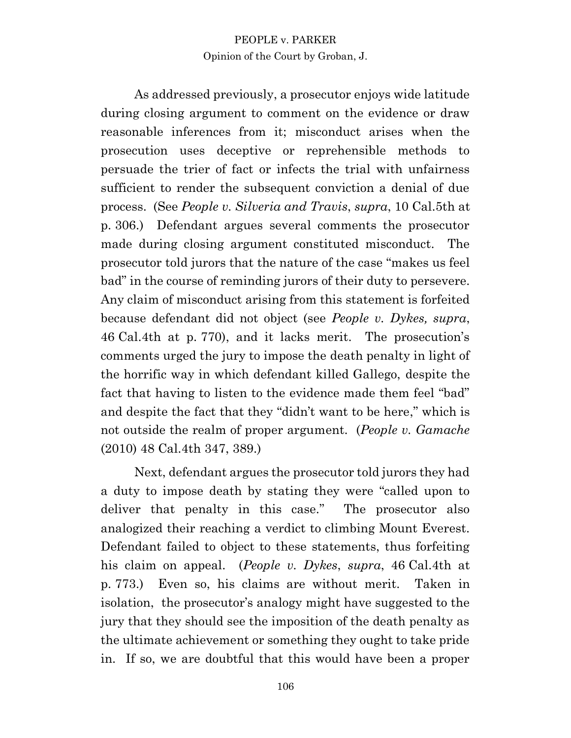As addressed previously, a prosecutor enjoys wide latitude during closing argument to comment on the evidence or draw reasonable inferences from it; misconduct arises when the prosecution uses deceptive or reprehensible methods to persuade the trier of fact or infects the trial with unfairness sufficient to render the subsequent conviction a denial of due process. (See *People v. Silveria and Travis*, *supra*, 10 Cal.5th at p. 306.) Defendant argues several comments the prosecutor made during closing argument constituted misconduct. The prosecutor told jurors that the nature of the case "makes us feel bad" in the course of reminding jurors of their duty to persevere. Any claim of misconduct arising from this statement is forfeited because defendant did not object (see *People v. Dykes, supra*, 46 Cal.4th at p. 770), and it lacks merit. The prosecution's comments urged the jury to impose the death penalty in light of the horrific way in which defendant killed Gallego, despite the fact that having to listen to the evidence made them feel "bad" and despite the fact that they "didn't want to be here," which is not outside the realm of proper argument. (*People v. Gamache* (2010) 48 Cal.4th 347, 389.)

Next, defendant argues the prosecutor told jurors they had a duty to impose death by stating they were "called upon to deliver that penalty in this case." The prosecutor also analogized their reaching a verdict to climbing Mount Everest. Defendant failed to object to these statements, thus forfeiting his claim on appeal. (*People v. Dykes*, *supra*, 46 Cal.4th at p. 773.) Even so, his claims are without merit. Taken in isolation, the prosecutor's analogy might have suggested to the jury that they should see the imposition of the death penalty as the ultimate achievement or something they ought to take pride in. If so, we are doubtful that this would have been a proper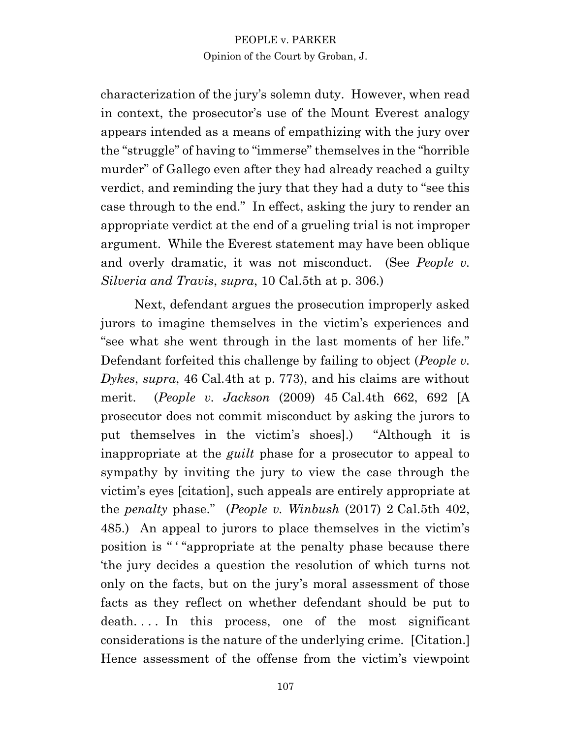characterization of the jury's solemn duty. However, when read in context, the prosecutor's use of the Mount Everest analogy appears intended as a means of empathizing with the jury over the "struggle" of having to "immerse" themselves in the "horrible murder" of Gallego even after they had already reached a guilty verdict, and reminding the jury that they had a duty to "see this case through to the end." In effect, asking the jury to render an appropriate verdict at the end of a grueling trial is not improper argument. While the Everest statement may have been oblique and overly dramatic, it was not misconduct. (See *People v. Silveria and Travis*, *supra*, 10 Cal.5th at p. 306.)

Next, defendant argues the prosecution improperly asked jurors to imagine themselves in the victim's experiences and "see what she went through in the last moments of her life." Defendant forfeited this challenge by failing to object (*People v. Dykes*, *supra*, 46 Cal.4th at p. 773), and his claims are without merit. (*People v. Jackson* (2009) 45 Cal.4th 662, 692 [A prosecutor does not commit misconduct by asking the jurors to put themselves in the victim's shoes].) "Although it is inappropriate at the *guilt* phase for a prosecutor to appeal to sympathy by inviting the jury to view the case through the victim's eyes [citation], such appeals are entirely appropriate at the *penalty* phase." (*People v. Winbush* (2017) 2 Cal.5th 402, 485.) An appeal to jurors to place themselves in the victim's position is " ' "appropriate at the penalty phase because there 'the jury decides a question the resolution of which turns not only on the facts, but on the jury's moral assessment of those facts as they reflect on whether defendant should be put to death.... In this process, one of the most significant considerations is the nature of the underlying crime. [Citation.] Hence assessment of the offense from the victim's viewpoint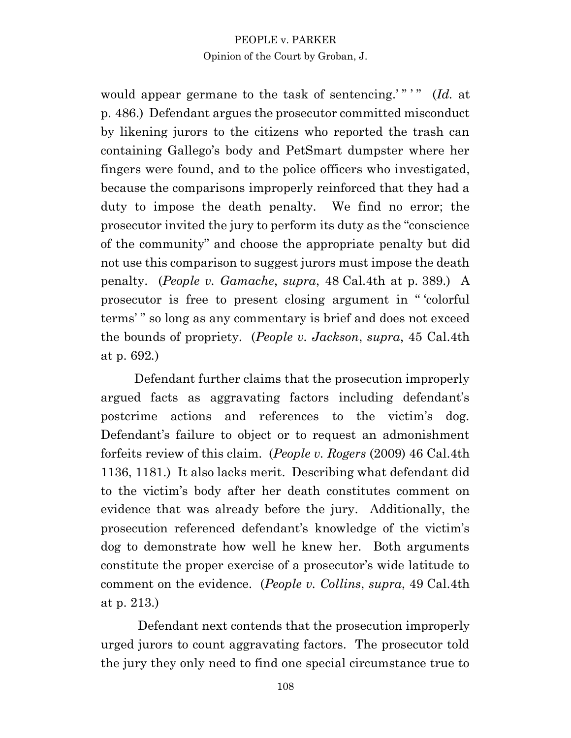would appear germane to the task of sentencing.'" "" (*Id.* at p. 486.) Defendant argues the prosecutor committed misconduct by likening jurors to the citizens who reported the trash can containing Gallego's body and PetSmart dumpster where her fingers were found, and to the police officers who investigated, because the comparisons improperly reinforced that they had a duty to impose the death penalty. We find no error; the prosecutor invited the jury to perform its duty as the "conscience of the community" and choose the appropriate penalty but did not use this comparison to suggest jurors must impose the death penalty. (*People v. Gamache*, *supra*, 48 Cal.4th at p. 389.) A prosecutor is free to present closing argument in " 'colorful terms' " so long as any commentary is brief and does not exceed the bounds of propriety. (*People v. Jackson*, *supra*, 45 Cal.4th at p. 692*.*)

Defendant further claims that the prosecution improperly argued facts as aggravating factors including defendant's postcrime actions and references to the victim's dog. Defendant's failure to object or to request an admonishment forfeits review of this claim. (*People v. Rogers* (2009) 46 Cal.4th 1136, 1181.) It also lacks merit. Describing what defendant did to the victim's body after her death constitutes comment on evidence that was already before the jury. Additionally, the prosecution referenced defendant's knowledge of the victim's dog to demonstrate how well he knew her. Both arguments constitute the proper exercise of a prosecutor's wide latitude to comment on the evidence. (*People v. Collins*, *supra*, 49 Cal.4th at p. 213.)

Defendant next contends that the prosecution improperly urged jurors to count aggravating factors. The prosecutor told the jury they only need to find one special circumstance true to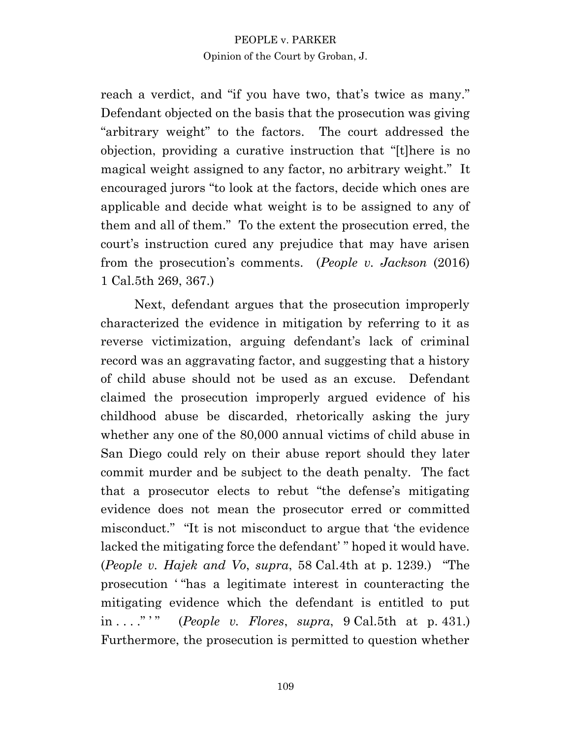reach a verdict, and "if you have two, that's twice as many." Defendant objected on the basis that the prosecution was giving "arbitrary weight" to the factors. The court addressed the objection, providing a curative instruction that "[t]here is no magical weight assigned to any factor, no arbitrary weight." It encouraged jurors "to look at the factors, decide which ones are applicable and decide what weight is to be assigned to any of them and all of them." To the extent the prosecution erred, the court's instruction cured any prejudice that may have arisen from the prosecution's comments. (*People v. Jackson* (2016) 1 Cal.5th 269, 367.)

Next, defendant argues that the prosecution improperly characterized the evidence in mitigation by referring to it as reverse victimization, arguing defendant's lack of criminal record was an aggravating factor, and suggesting that a history of child abuse should not be used as an excuse. Defendant claimed the prosecution improperly argued evidence of his childhood abuse be discarded, rhetorically asking the jury whether any one of the 80,000 annual victims of child abuse in San Diego could rely on their abuse report should they later commit murder and be subject to the death penalty. The fact that a prosecutor elects to rebut "the defense's mitigating evidence does not mean the prosecutor erred or committed misconduct." "It is not misconduct to argue that 'the evidence lacked the mitigating force the defendant' " hoped it would have. (*People v. Hajek and Vo*, *supra*, 58 Cal.4th at p. 1239.) "The prosecution ' "has a legitimate interest in counteracting the mitigating evidence which the defendant is entitled to put in . . . ." ' " (*People v. Flores*, *supra*, 9 Cal.5th at p. 431.) Furthermore, the prosecution is permitted to question whether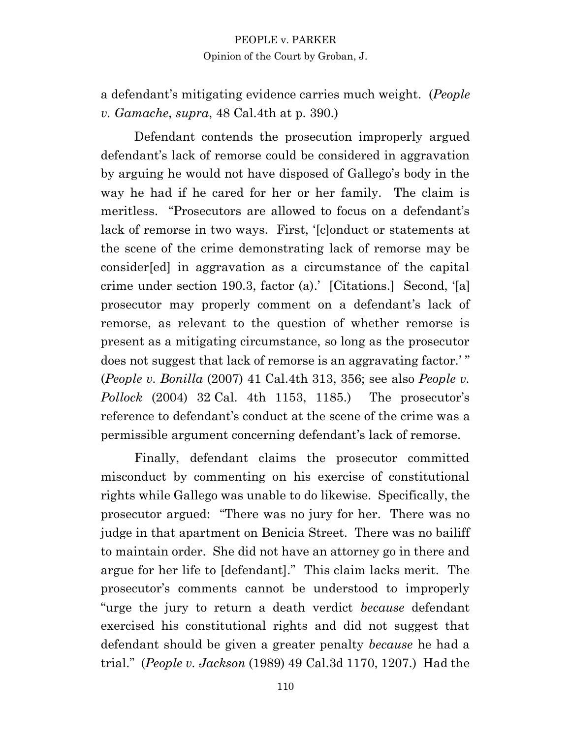a defendant's mitigating evidence carries much weight. (*People v. Gamache*, *supra*, 48 Cal.4th at p. 390.)

Defendant contends the prosecution improperly argued defendant's lack of remorse could be considered in aggravation by arguing he would not have disposed of Gallego's body in the way he had if he cared for her or her family. The claim is meritless. "Prosecutors are allowed to focus on a defendant's lack of remorse in two ways. First, '[c]onduct or statements at the scene of the crime demonstrating lack of remorse may be consider[ed] in aggravation as a circumstance of the capital crime under section 190.3, factor (a).' [Citations.] Second, '[a] prosecutor may properly comment on a defendant's lack of remorse, as relevant to the question of whether remorse is present as a mitigating circumstance, so long as the prosecutor does not suggest that lack of remorse is an aggravating factor.'" (*People v. Bonilla* (2007) 41 Cal.4th 313, 356; see also *People v. Pollock* (2004) 32 Cal. 4th 1153, 1185.) The prosecutor's reference to defendant's conduct at the scene of the crime was a permissible argument concerning defendant's lack of remorse.

Finally, defendant claims the prosecutor committed misconduct by commenting on his exercise of constitutional rights while Gallego was unable to do likewise. Specifically, the prosecutor argued: "There was no jury for her. There was no judge in that apartment on Benicia Street. There was no bailiff to maintain order. She did not have an attorney go in there and argue for her life to [defendant]." This claim lacks merit. The prosecutor's comments cannot be understood to improperly "urge the jury to return a death verdict *because* defendant exercised his constitutional rights and did not suggest that defendant should be given a greater penalty *because* he had a trial." (*People v. Jackson* (1989) 49 Cal.3d 1170, 1207.) Had the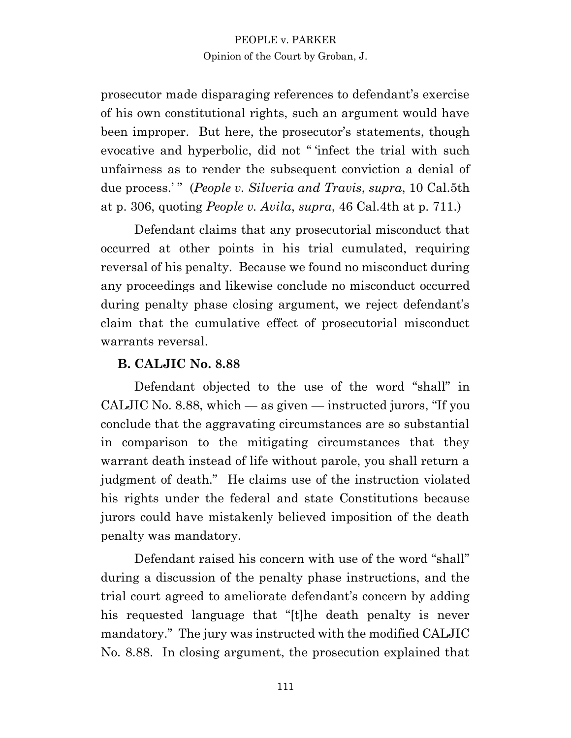prosecutor made disparaging references to defendant's exercise of his own constitutional rights, such an argument would have been improper. But here, the prosecutor's statements, though evocative and hyperbolic, did not " 'infect the trial with such unfairness as to render the subsequent conviction a denial of due process.' " (*People v. Silveria and Travis*, *supra*, 10 Cal.5th at p. 306, quoting *People v. Avila*, *supra*, 46 Cal.4th at p. 711.)

Defendant claims that any prosecutorial misconduct that occurred at other points in his trial cumulated, requiring reversal of his penalty. Because we found no misconduct during any proceedings and likewise conclude no misconduct occurred during penalty phase closing argument, we reject defendant's claim that the cumulative effect of prosecutorial misconduct warrants reversal.

## **B. CALJIC No. 8.88**

Defendant objected to the use of the word "shall" in CALJIC No. 8.88, which  $-\text{as given}$  instructed jurors, "If you conclude that the aggravating circumstances are so substantial in comparison to the mitigating circumstances that they warrant death instead of life without parole, you shall return a judgment of death." He claims use of the instruction violated his rights under the federal and state Constitutions because jurors could have mistakenly believed imposition of the death penalty was mandatory.

Defendant raised his concern with use of the word "shall" during a discussion of the penalty phase instructions, and the trial court agreed to ameliorate defendant's concern by adding his requested language that "[t]he death penalty is never mandatory." The jury was instructed with the modified CALJIC No. 8.88. In closing argument, the prosecution explained that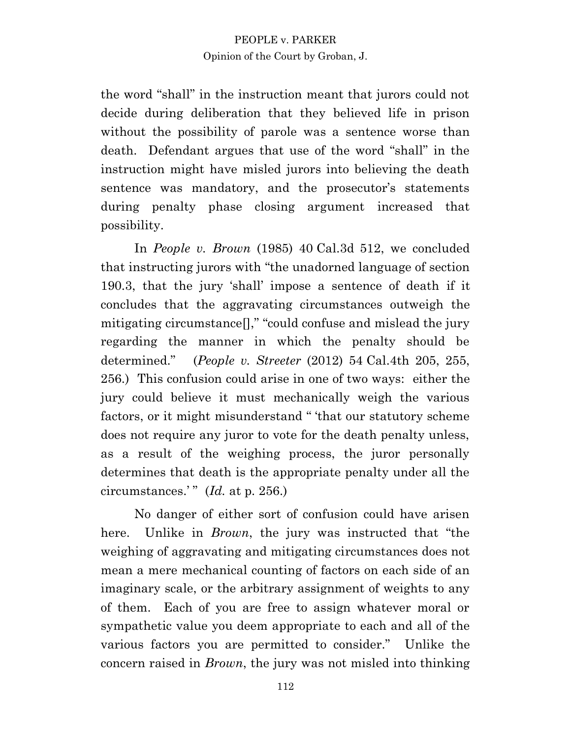the word "shall" in the instruction meant that jurors could not decide during deliberation that they believed life in prison without the possibility of parole was a sentence worse than death. Defendant argues that use of the word "shall" in the instruction might have misled jurors into believing the death sentence was mandatory, and the prosecutor's statements during penalty phase closing argument increased that possibility.

In *People v. Brown* (1985) 40 Cal.3d 512, we concluded that instructing jurors with "the unadorned language of section 190.3, that the jury 'shall' impose a sentence of death if it concludes that the aggravating circumstances outweigh the mitigating circumstance[]," "could confuse and mislead the jury regarding the manner in which the penalty should be determined." (*People v. Streeter* (2012) 54 Cal.4th 205, 255, 256.) This confusion could arise in one of two ways: either the jury could believe it must mechanically weigh the various factors, or it might misunderstand " 'that our statutory scheme does not require any juror to vote for the death penalty unless, as a result of the weighing process, the juror personally determines that death is the appropriate penalty under all the circumstances.' " (*Id.* at p. 256.)

No danger of either sort of confusion could have arisen here. Unlike in *Brown*, the jury was instructed that "the weighing of aggravating and mitigating circumstances does not mean a mere mechanical counting of factors on each side of an imaginary scale, or the arbitrary assignment of weights to any of them. Each of you are free to assign whatever moral or sympathetic value you deem appropriate to each and all of the various factors you are permitted to consider." Unlike the concern raised in *Brown*, the jury was not misled into thinking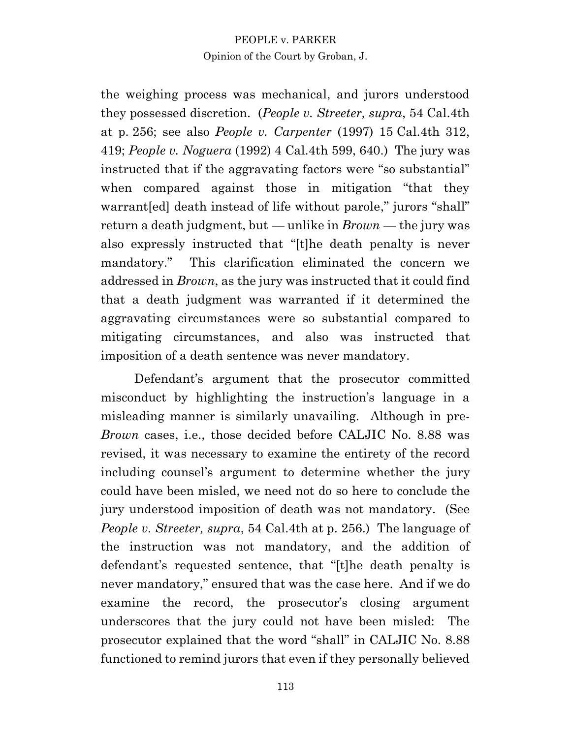the weighing process was mechanical, and jurors understood they possessed discretion. (*People v. Streeter, supra*, 54 Cal.4th at p. 256; see also *People v. Carpenter* (1997) 15 Cal.4th 312, 419; *People v. Noguera* (1992) 4 Cal.4th 599, 640.) The jury was instructed that if the aggravating factors were "so substantial" when compared against those in mitigation "that they warrant[ed] death instead of life without parole," jurors "shall" return a death judgment, but — unlike in *Brown* — the jury was also expressly instructed that "[t]he death penalty is never mandatory." This clarification eliminated the concern we addressed in *Brown*, as the jury was instructed that it could find that a death judgment was warranted if it determined the aggravating circumstances were so substantial compared to mitigating circumstances, and also was instructed that imposition of a death sentence was never mandatory.

Defendant's argument that the prosecutor committed misconduct by highlighting the instruction's language in a misleading manner is similarly unavailing. Although in pre-*Brown* cases, i.e., those decided before CALJIC No. 8.88 was revised, it was necessary to examine the entirety of the record including counsel's argument to determine whether the jury could have been misled, we need not do so here to conclude the jury understood imposition of death was not mandatory. (See *People v. Streeter, supra,* 54 Cal.4th at p. 256.) The language of the instruction was not mandatory, and the addition of defendant's requested sentence, that "[t]he death penalty is never mandatory," ensured that was the case here. And if we do examine the record, the prosecutor's closing argument underscores that the jury could not have been misled: The prosecutor explained that the word "shall" in CALJIC No. 8.88 functioned to remind jurors that even if they personally believed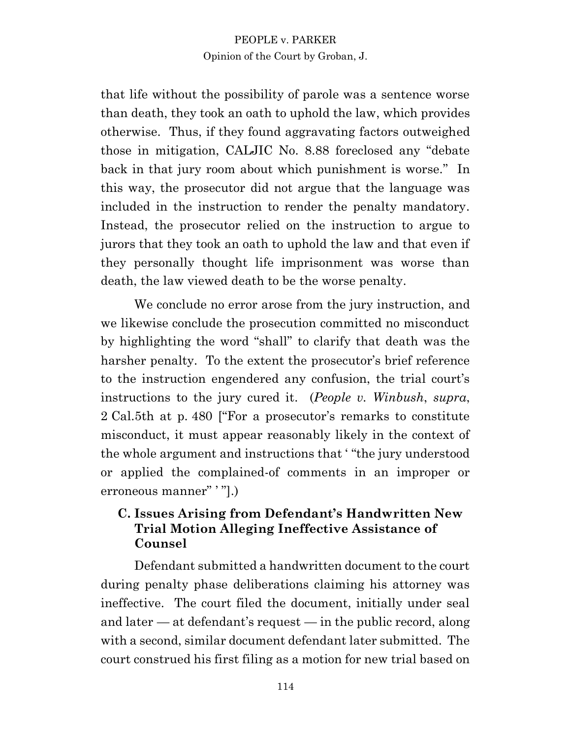that life without the possibility of parole was a sentence worse than death, they took an oath to uphold the law, which provides otherwise. Thus, if they found aggravating factors outweighed those in mitigation, CALJIC No. 8.88 foreclosed any "debate back in that jury room about which punishment is worse." In this way, the prosecutor did not argue that the language was included in the instruction to render the penalty mandatory. Instead, the prosecutor relied on the instruction to argue to jurors that they took an oath to uphold the law and that even if they personally thought life imprisonment was worse than death, the law viewed death to be the worse penalty.

We conclude no error arose from the jury instruction, and we likewise conclude the prosecution committed no misconduct by highlighting the word "shall" to clarify that death was the harsher penalty. To the extent the prosecutor's brief reference to the instruction engendered any confusion, the trial court's instructions to the jury cured it. (*People v. Winbush*, *supra*, 2 Cal.5th at p. 480 ["For a prosecutor's remarks to constitute misconduct, it must appear reasonably likely in the context of the whole argument and instructions that ' "the jury understood or applied the complained-of comments in an improper or erroneous manner" ' "].)

# **C. Issues Arising from Defendant's Handwritten New Trial Motion Alleging Ineffective Assistance of Counsel**

Defendant submitted a handwritten document to the court during penalty phase deliberations claiming his attorney was ineffective. The court filed the document, initially under seal and later  $-$  at defendant's request  $-$  in the public record, along with a second, similar document defendant later submitted. The court construed his first filing as a motion for new trial based on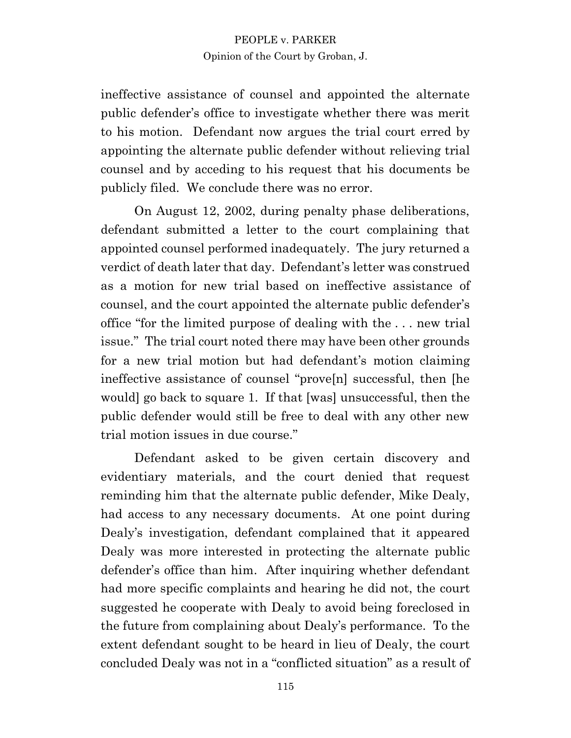ineffective assistance of counsel and appointed the alternate public defender's office to investigate whether there was merit to his motion. Defendant now argues the trial court erred by appointing the alternate public defender without relieving trial counsel and by acceding to his request that his documents be publicly filed. We conclude there was no error.

On August 12, 2002, during penalty phase deliberations, defendant submitted a letter to the court complaining that appointed counsel performed inadequately. The jury returned a verdict of death later that day. Defendant's letter was construed as a motion for new trial based on ineffective assistance of counsel, and the court appointed the alternate public defender's office "for the limited purpose of dealing with the . . . new trial issue." The trial court noted there may have been other grounds for a new trial motion but had defendant's motion claiming ineffective assistance of counsel "prove[n] successful, then [he would] go back to square 1. If that [was] unsuccessful, then the public defender would still be free to deal with any other new trial motion issues in due course."

Defendant asked to be given certain discovery and evidentiary materials, and the court denied that request reminding him that the alternate public defender, Mike Dealy, had access to any necessary documents. At one point during Dealy's investigation, defendant complained that it appeared Dealy was more interested in protecting the alternate public defender's office than him. After inquiring whether defendant had more specific complaints and hearing he did not, the court suggested he cooperate with Dealy to avoid being foreclosed in the future from complaining about Dealy's performance. To the extent defendant sought to be heard in lieu of Dealy, the court concluded Dealy was not in a "conflicted situation" as a result of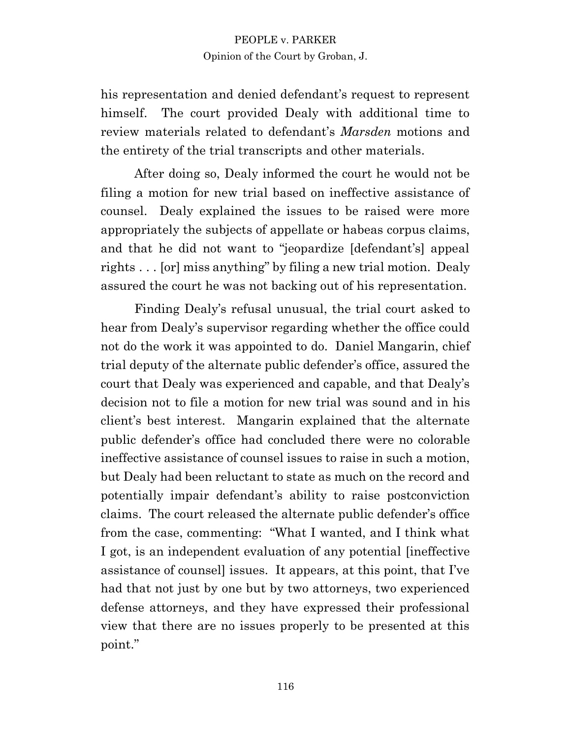his representation and denied defendant's request to represent himself. The court provided Dealy with additional time to review materials related to defendant's *Marsden* motions and the entirety of the trial transcripts and other materials.

After doing so, Dealy informed the court he would not be filing a motion for new trial based on ineffective assistance of counsel. Dealy explained the issues to be raised were more appropriately the subjects of appellate or habeas corpus claims, and that he did not want to "jeopardize [defendant's] appeal rights . . . [or] miss anything" by filing a new trial motion. Dealy assured the court he was not backing out of his representation.

Finding Dealy's refusal unusual, the trial court asked to hear from Dealy's supervisor regarding whether the office could not do the work it was appointed to do. Daniel Mangarin, chief trial deputy of the alternate public defender's office, assured the court that Dealy was experienced and capable, and that Dealy's decision not to file a motion for new trial was sound and in his client's best interest. Mangarin explained that the alternate public defender's office had concluded there were no colorable ineffective assistance of counsel issues to raise in such a motion, but Dealy had been reluctant to state as much on the record and potentially impair defendant's ability to raise postconviction claims. The court released the alternate public defender's office from the case, commenting: "What I wanted, and I think what I got, is an independent evaluation of any potential [ineffective assistance of counsel] issues. It appears, at this point, that I've had that not just by one but by two attorneys, two experienced defense attorneys, and they have expressed their professional view that there are no issues properly to be presented at this point."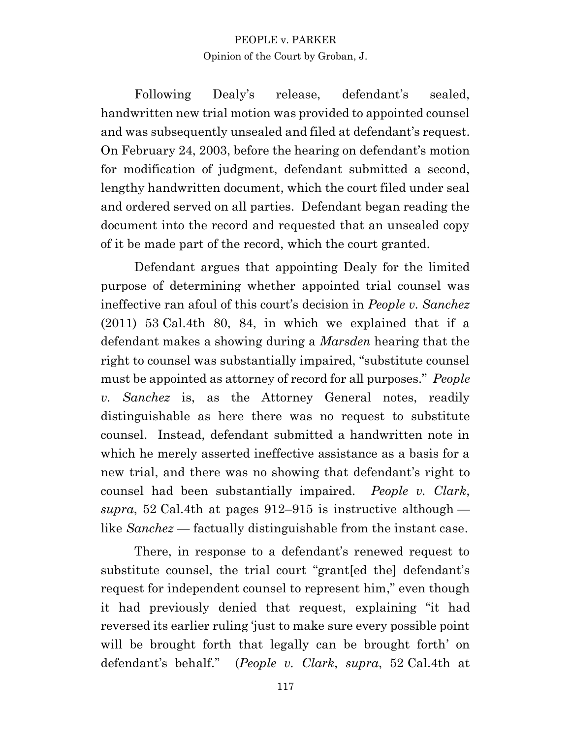Following Dealy's release, defendant's sealed, handwritten new trial motion was provided to appointed counsel and was subsequently unsealed and filed at defendant's request. On February 24, 2003, before the hearing on defendant's motion for modification of judgment, defendant submitted a second, lengthy handwritten document, which the court filed under seal and ordered served on all parties. Defendant began reading the document into the record and requested that an unsealed copy of it be made part of the record, which the court granted.

Defendant argues that appointing Dealy for the limited purpose of determining whether appointed trial counsel was ineffective ran afoul of this court's decision in *People v. Sanchez* (2011) 53 Cal.4th 80, 84, in which we explained that if a defendant makes a showing during a *Marsden* hearing that the right to counsel was substantially impaired, "substitute counsel must be appointed as attorney of record for all purposes." *People v. Sanchez* is, as the Attorney General notes, readily distinguishable as here there was no request to substitute counsel. Instead, defendant submitted a handwritten note in which he merely asserted ineffective assistance as a basis for a new trial, and there was no showing that defendant's right to counsel had been substantially impaired. *People v. Clark*, *supra*, 52 Cal.4th at pages 912–915 is instructive although like *Sanchez* — factually distinguishable from the instant case.

There, in response to a defendant's renewed request to substitute counsel, the trial court "grant[ed the] defendant's request for independent counsel to represent him," even though it had previously denied that request, explaining "it had reversed its earlier ruling 'just to make sure every possible point will be brought forth that legally can be brought forth' on defendant's behalf." (*People v. Clark*, *supra*, 52 Cal.4th at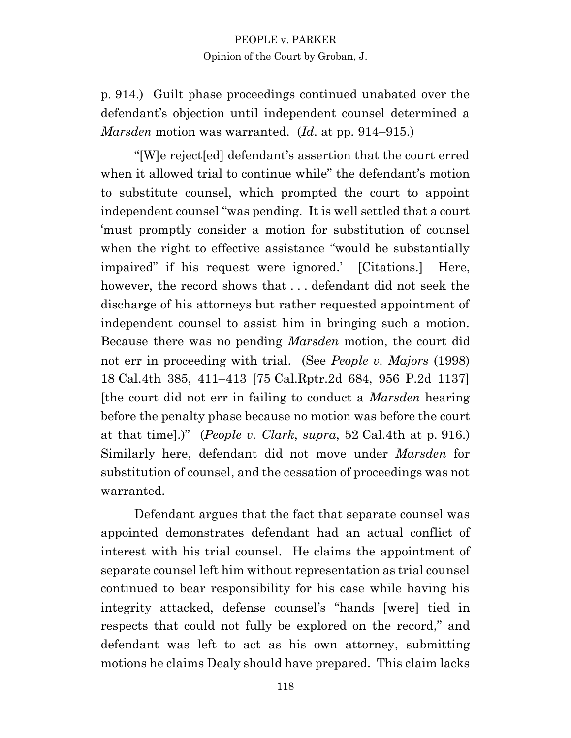p. 914.) Guilt phase proceedings continued unabated over the defendant's objection until independent counsel determined a *Marsden* motion was warranted. (*Id*. at pp. 914–915.)

"[W]e reject[ed] defendant's assertion that the court erred when it allowed trial to continue while" the defendant's motion to substitute counsel, which prompted the court to appoint independent counsel "was pending. It is well settled that a court 'must promptly consider a motion for substitution of counsel when the right to effective assistance "would be substantially impaired" if his request were ignored.' [Citations.] Here, however, the record shows that . . . defendant did not seek the discharge of his attorneys but rather requested appointment of independent counsel to assist him in bringing such a motion. Because there was no pending *Marsden* motion, the court did not err in proceeding with trial. (See *People v. Majors* (1998) 18 Cal.4th 385, 411–413 [75 Cal.Rptr.2d 684, 956 P.2d 1137] [the court did not err in failing to conduct a *Marsden* hearing before the penalty phase because no motion was before the court at that time].)" (*People v. Clark*, *supra*, 52 Cal.4th at p. 916.) Similarly here, defendant did not move under *Marsden* for substitution of counsel, and the cessation of proceedings was not warranted.

Defendant argues that the fact that separate counsel was appointed demonstrates defendant had an actual conflict of interest with his trial counsel. He claims the appointment of separate counsel left him without representation as trial counsel continued to bear responsibility for his case while having his integrity attacked, defense counsel's "hands [were] tied in respects that could not fully be explored on the record," and defendant was left to act as his own attorney, submitting motions he claims Dealy should have prepared. This claim lacks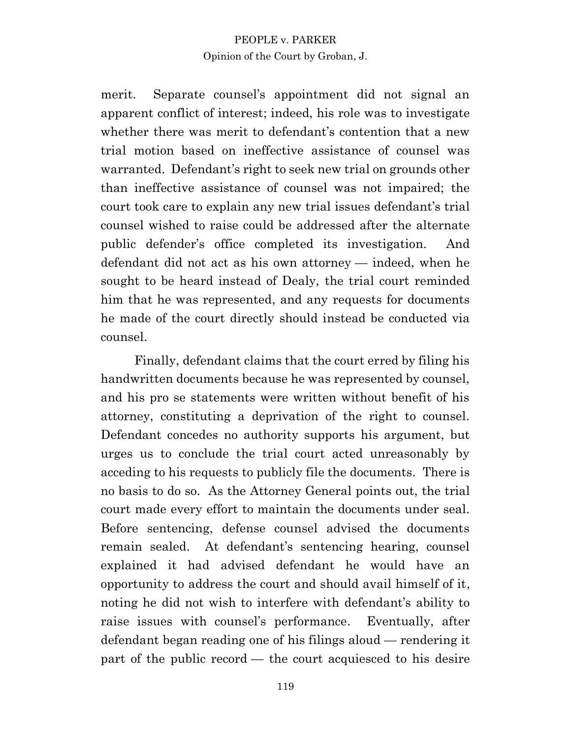merit. Separate counsel's appointment did not signal an apparent conflict of interest; indeed, his role was to investigate whether there was merit to defendant's contention that a new trial motion based on ineffective assistance of counsel was warranted. Defendant's right to seek new trial on grounds other than ineffective assistance of counsel was not impaired; the court took care to explain any new trial issues defendant's trial counsel wished to raise could be addressed after the alternate public defender's office completed its investigation. And defendant did not act as his own attorney — indeed, when he sought to be heard instead of Dealy, the trial court reminded him that he was represented, and any requests for documents he made of the court directly should instead be conducted via counsel.

Finally, defendant claims that the court erred by filing his handwritten documents because he was represented by counsel, and his pro se statements were written without benefit of his attorney, constituting a deprivation of the right to counsel. Defendant concedes no authority supports his argument, but urges us to conclude the trial court acted unreasonably by acceding to his requests to publicly file the documents. There is no basis to do so. As the Attorney General points out, the trial court made every effort to maintain the documents under seal. Before sentencing, defense counsel advised the documents remain sealed. At defendant's sentencing hearing, counsel explained it had advised defendant he would have an opportunity to address the court and should avail himself of it, noting he did not wish to interfere with defendant's ability to raise issues with counsel's performance. Eventually, after defendant began reading one of his filings aloud — rendering it part of the public record — the court acquiesced to his desire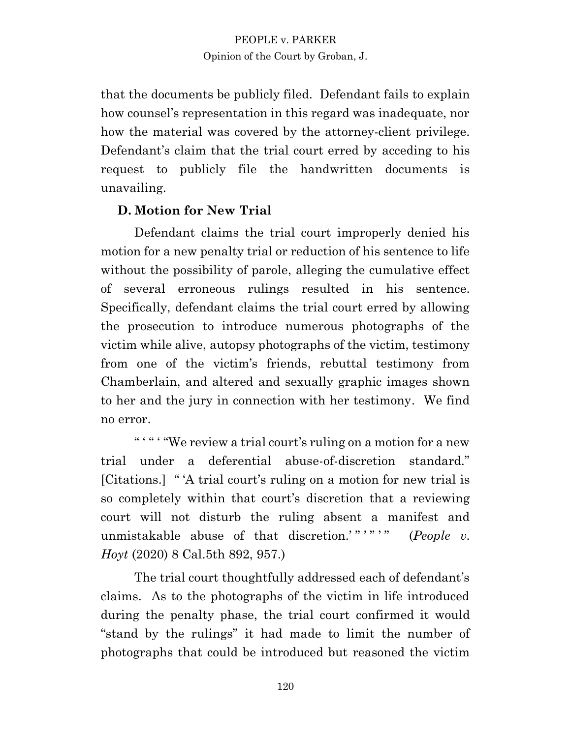that the documents be publicly filed. Defendant fails to explain how counsel's representation in this regard was inadequate, nor how the material was covered by the attorney-client privilege. Defendant's claim that the trial court erred by acceding to his request to publicly file the handwritten documents is unavailing.

## **D. Motion for New Trial**

Defendant claims the trial court improperly denied his motion for a new penalty trial or reduction of his sentence to life without the possibility of parole, alleging the cumulative effect of several erroneous rulings resulted in his sentence. Specifically, defendant claims the trial court erred by allowing the prosecution to introduce numerous photographs of the victim while alive, autopsy photographs of the victim, testimony from one of the victim's friends, rebuttal testimony from Chamberlain, and altered and sexually graphic images shown to her and the jury in connection with her testimony. We find no error.

" "" " "We review a trial court's ruling on a motion for a new trial under a deferential abuse-of-discretion standard." [Citations.] " 'A trial court's ruling on a motion for new trial is so completely within that court's discretion that a reviewing court will not disturb the ruling absent a manifest and unmistakable abuse of that discretion.'"'""" (*People v*. *Hoyt* (2020) 8 Cal.5th 892, 957.)

The trial court thoughtfully addressed each of defendant's claims. As to the photographs of the victim in life introduced during the penalty phase, the trial court confirmed it would "stand by the rulings" it had made to limit the number of photographs that could be introduced but reasoned the victim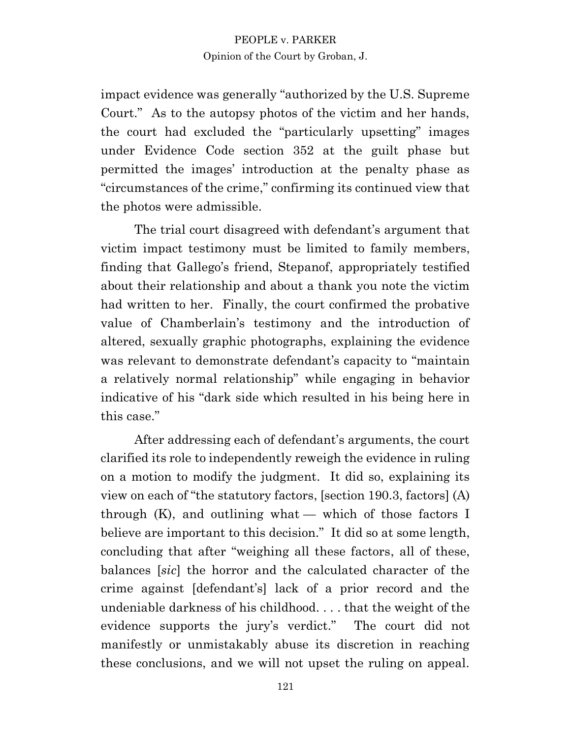impact evidence was generally "authorized by the U.S. Supreme Court." As to the autopsy photos of the victim and her hands, the court had excluded the "particularly upsetting" images under Evidence Code section 352 at the guilt phase but permitted the images' introduction at the penalty phase as "circumstances of the crime," confirming its continued view that the photos were admissible.

The trial court disagreed with defendant's argument that victim impact testimony must be limited to family members, finding that Gallego's friend, Stepanof, appropriately testified about their relationship and about a thank you note the victim had written to her. Finally, the court confirmed the probative value of Chamberlain's testimony and the introduction of altered, sexually graphic photographs, explaining the evidence was relevant to demonstrate defendant's capacity to "maintain a relatively normal relationship" while engaging in behavior indicative of his "dark side which resulted in his being here in this case."

After addressing each of defendant's arguments, the court clarified its role to independently reweigh the evidence in ruling on a motion to modify the judgment. It did so, explaining its view on each of "the statutory factors, [section 190.3, factors] (A) through  $(K)$ , and outlining what — which of those factors I believe are important to this decision." It did so at some length, concluding that after "weighing all these factors, all of these, balances [*sic*] the horror and the calculated character of the crime against [defendant's] lack of a prior record and the undeniable darkness of his childhood. . . . that the weight of the evidence supports the jury's verdict." The court did not manifestly or unmistakably abuse its discretion in reaching these conclusions, and we will not upset the ruling on appeal.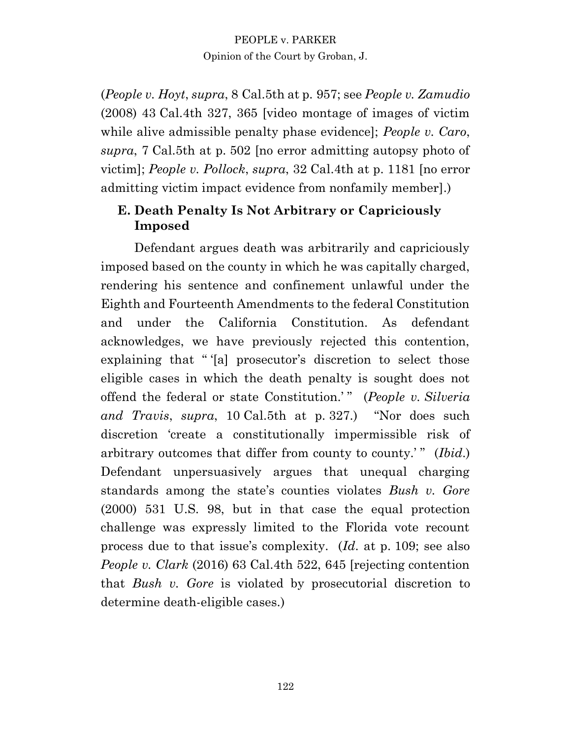(*People v. Hoyt*, *supra*, 8 Cal.5th at p. 957; see *People v. Zamudio* (2008) 43 Cal.4th 327, 365 [video montage of images of victim while alive admissible penalty phase evidence]; *People v. Caro*, *supra*, 7 Cal.5th at p. 502 [no error admitting autopsy photo of victim]; *People v. Pollock*, *supra*, 32 Cal.4th at p. 1181 [no error admitting victim impact evidence from nonfamily member].)

# **E. Death Penalty Is Not Arbitrary or Capriciously Imposed**

Defendant argues death was arbitrarily and capriciously imposed based on the county in which he was capitally charged, rendering his sentence and confinement unlawful under the Eighth and Fourteenth Amendments to the federal Constitution and under the California Constitution. As defendant acknowledges, we have previously rejected this contention, explaining that "'[a] prosecutor's discretion to select those eligible cases in which the death penalty is sought does not offend the federal or state Constitution.' " (*People v. Silveria and Travis*, *supra*, 10 Cal.5th at p. 327.) "Nor does such discretion 'create a constitutionally impermissible risk of arbitrary outcomes that differ from county to county.'" (*Ibid.*) Defendant unpersuasively argues that unequal charging standards among the state's counties violates *Bush v. Gore* (2000) 531 U.S. 98, but in that case the equal protection challenge was expressly limited to the Florida vote recount process due to that issue's complexity. (*Id*. at p. 109; see also *People v. Clark* (2016) 63 Cal.4th 522, 645 [rejecting contention that *Bush v. Gore* is violated by prosecutorial discretion to determine death-eligible cases.)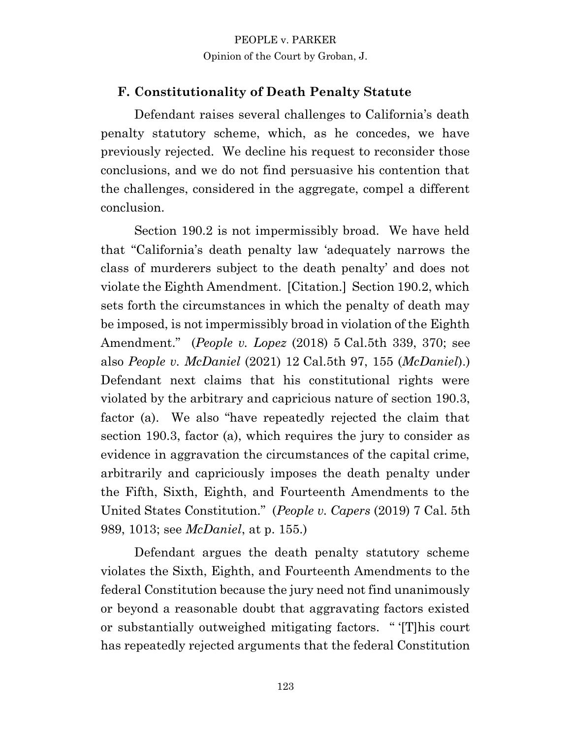# **F. Constitutionality of Death Penalty Statute**

Defendant raises several challenges to California's death penalty statutory scheme, which, as he concedes, we have previously rejected. We decline his request to reconsider those conclusions, and we do not find persuasive his contention that the challenges, considered in the aggregate, compel a different conclusion.

Section 190.2 is not impermissibly broad. We have held that "California's death penalty law 'adequately narrows the class of murderers subject to the death penalty' and does not violate the Eighth Amendment. [Citation.] Section 190.2, which sets forth the circumstances in which the penalty of death may be imposed, is not impermissibly broad in violation of the Eighth Amendment." (*People v. Lopez* (2018) 5 Cal.5th 339, 370; see also *People v. McDaniel* (2021) 12 Cal.5th 97, 155 (*McDaniel*).) Defendant next claims that his constitutional rights were violated by the arbitrary and capricious nature of section 190.3, factor (a). We also "have repeatedly rejected the claim that section 190.3, factor (a), which requires the jury to consider as evidence in aggravation the circumstances of the capital crime, arbitrarily and capriciously imposes the death penalty under the Fifth, Sixth, Eighth, and Fourteenth Amendments to the United States Constitution." (*People v. Capers* (2019) 7 Cal. 5th 989, 1013; see *McDaniel*, at p. 155.)

Defendant argues the death penalty statutory scheme violates the Sixth, Eighth, and Fourteenth Amendments to the federal Constitution because the jury need not find unanimously or beyond a reasonable doubt that aggravating factors existed or substantially outweighed mitigating factors. " '[T]his court has repeatedly rejected arguments that the federal Constitution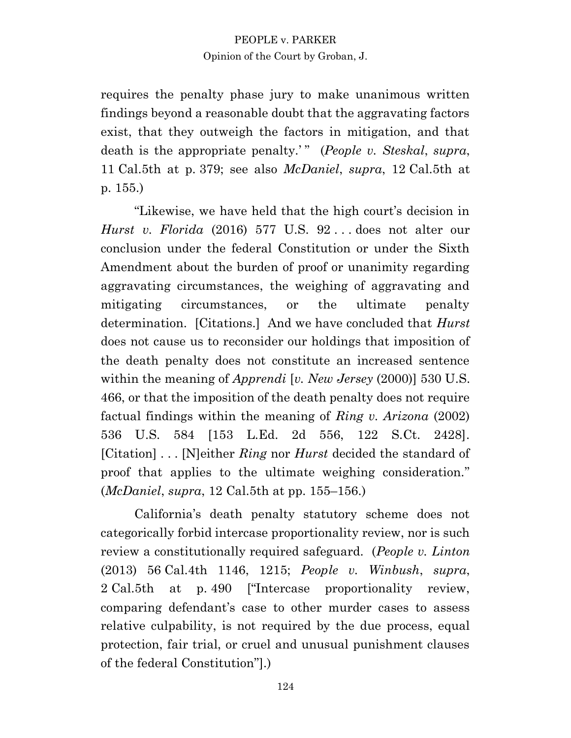requires the penalty phase jury to make unanimous written findings beyond a reasonable doubt that the aggravating factors exist, that they outweigh the factors in mitigation, and that death is the appropriate penalty.'" (*People v. Steskal*, *supra*, 11 Cal.5th at p. 379; see also *McDaniel*, *supra*, 12 Cal.5th at p. 155.)

"Likewise, we have held that the high court's decision in *Hurst v. Florida* (2016) 577 U.S. 92 . . . does not alter our conclusion under the federal Constitution or under the Sixth Amendment about the burden of proof or unanimity regarding aggravating circumstances, the weighing of aggravating and mitigating circumstances, or the ultimate penalty determination. [Citations.] And we have concluded that *Hurst*  does not cause us to reconsider our holdings that imposition of the death penalty does not constitute an increased sentence within the meaning of *Apprendi* [*v. New Jersey* (2000)] 530 U.S. 466, or that the imposition of the death penalty does not require factual findings within the meaning of *Ring v. Arizona* (2002) 536 U.S. 584 [153 L.Ed. 2d 556, 122 S.Ct. 2428]. [Citation] . . . [N]either *Ring* nor *Hurst* decided the standard of proof that applies to the ultimate weighing consideration." (*McDaniel*, *supra*, 12 Cal.5th at pp. 155–156.)

California's death penalty statutory scheme does not categorically forbid intercase proportionality review, nor is such review a constitutionally required safeguard. (*People v. Linton* (2013) 56 Cal.4th 1146, 1215; *People v. Winbush*, *supra*, 2 Cal.5th at p. 490 ["Intercase proportionality review, comparing defendant's case to other murder cases to assess relative culpability, is not required by the due process, equal protection, fair trial, or cruel and unusual punishment clauses of the federal Constitution"].)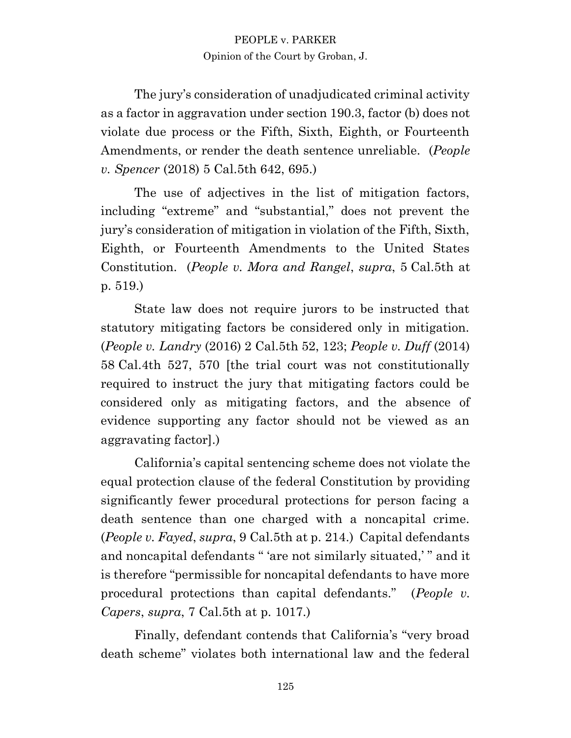The jury's consideration of unadjudicated criminal activity as a factor in aggravation under section 190.3, factor (b) does not violate due process or the Fifth, Sixth, Eighth, or Fourteenth Amendments, or render the death sentence unreliable. (*People v. Spencer* (2018) 5 Cal.5th 642, 695.)

The use of adjectives in the list of mitigation factors, including "extreme" and "substantial," does not prevent the jury's consideration of mitigation in violation of the Fifth, Sixth, Eighth, or Fourteenth Amendments to the United States Constitution. (*People v. Mora and Rangel*, *supra*, 5 Cal.5th at p. 519.)

State law does not require jurors to be instructed that statutory mitigating factors be considered only in mitigation. (*People v. Landry* (2016) 2 Cal.5th 52, 123; *People v. Duff* (2014) 58 Cal.4th 527, 570 [the trial court was not constitutionally required to instruct the jury that mitigating factors could be considered only as mitigating factors, and the absence of evidence supporting any factor should not be viewed as an aggravating factor].)

California's capital sentencing scheme does not violate the equal protection clause of the federal Constitution by providing significantly fewer procedural protections for person facing a death sentence than one charged with a noncapital crime. (*People v. Fayed*, *supra*, 9 Cal.5th at p. 214.) Capital defendants and noncapital defendants " 'are not similarly situated,' " and it is therefore "permissible for noncapital defendants to have more procedural protections than capital defendants." (*People v. Capers*, *supra*, 7 Cal.5th at p. 1017.)

Finally, defendant contends that California's "very broad death scheme" violates both international law and the federal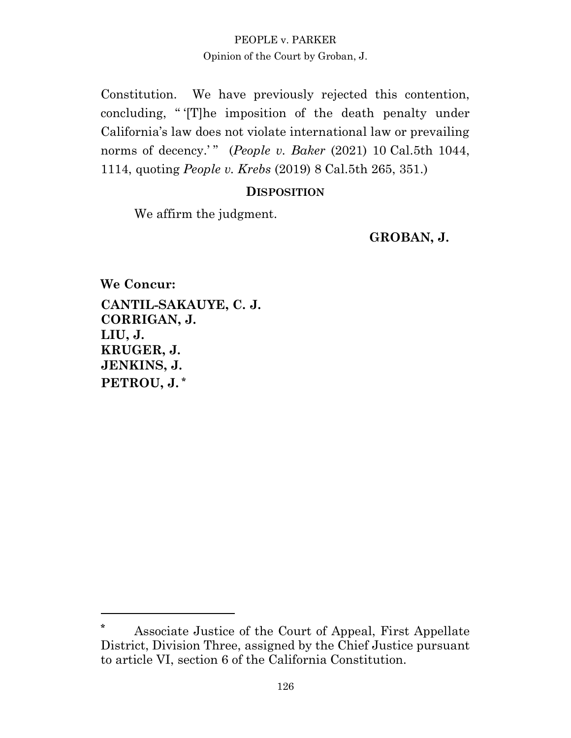Constitution. We have previously rejected this contention, concluding, " '[T]he imposition of the death penalty under California's law does not violate international law or prevailing norms of decency.'" (*People v. Baker* (2021) 10 Cal.5th 1044, 1114, quoting *People v. Krebs* (2019) 8 Cal.5th 265, 351.)

#### **DISPOSITION**

We affirm the judgment.

**GROBAN, J.**

**We Concur: CANTIL-SAKAUYE, C. J. CORRIGAN, J. LIU, J. KRUGER, J. JENKINS, J. PETROU, J. \***

**<sup>\*</sup>** Associate Justice of the Court of Appeal, First Appellate District, Division Three, assigned by the Chief Justice pursuant to article VI, section 6 of the California Constitution.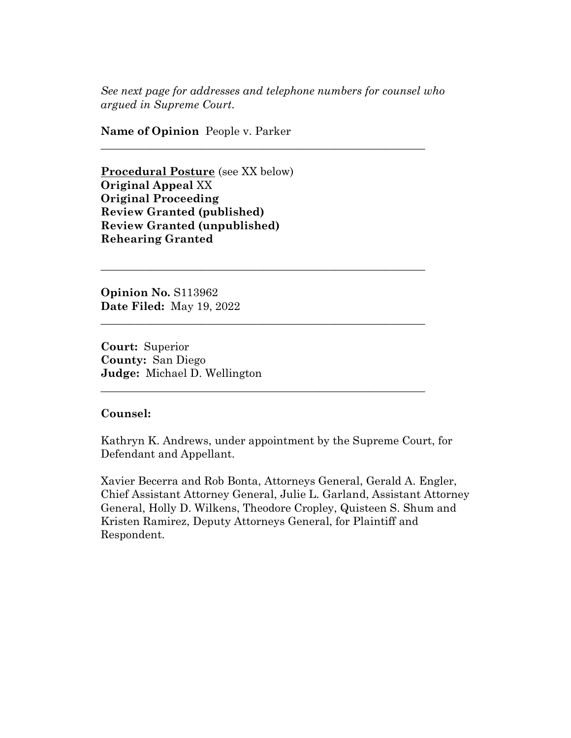*See next page for addresses and telephone numbers for counsel who argued in Supreme Court.*

**\_\_\_\_\_\_\_\_\_\_\_\_\_\_\_\_\_\_\_\_\_\_\_\_\_\_\_\_\_\_\_\_\_\_\_\_\_\_\_\_\_\_\_\_\_\_\_\_\_\_\_\_\_\_\_\_\_\_** 

**\_\_\_\_\_\_\_\_\_\_\_\_\_\_\_\_\_\_\_\_\_\_\_\_\_\_\_\_\_\_\_\_\_\_\_\_\_\_\_\_\_\_\_\_\_\_\_\_\_\_\_\_\_\_\_\_\_\_** 

**\_\_\_\_\_\_\_\_\_\_\_\_\_\_\_\_\_\_\_\_\_\_\_\_\_\_\_\_\_\_\_\_\_\_\_\_\_\_\_\_\_\_\_\_\_\_\_\_\_\_\_\_\_\_\_\_\_\_** 

**\_\_\_\_\_\_\_\_\_\_\_\_\_\_\_\_\_\_\_\_\_\_\_\_\_\_\_\_\_\_\_\_\_\_\_\_\_\_\_\_\_\_\_\_\_\_\_\_\_\_\_\_\_\_\_\_\_\_** 

**Name of Opinion** People v. Parker

**Procedural Posture** (see XX below) **Original Appeal** XX **Original Proceeding Review Granted (published) Review Granted (unpublished) Rehearing Granted**

**Opinion No.** S113962 **Date Filed:** May 19, 2022

**Court:** Superior **County:** San Diego **Judge:** Michael D. Wellington

#### **Counsel:**

Kathryn K. Andrews, under appointment by the Supreme Court, for Defendant and Appellant.

Xavier Becerra and Rob Bonta, Attorneys General, Gerald A. Engler, Chief Assistant Attorney General, Julie L. Garland, Assistant Attorney General, Holly D. Wilkens, Theodore Cropley, Quisteen S. Shum and Kristen Ramirez, Deputy Attorneys General, for Plaintiff and Respondent.